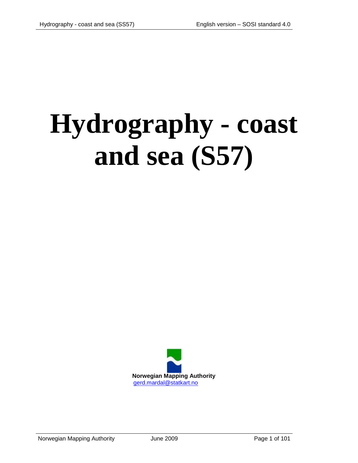# **Hydrography - coast and sea (S57)**

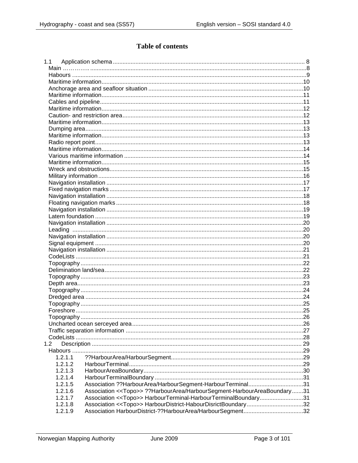# **Table of contents**

| 1.1 |                                                                                       |  |
|-----|---------------------------------------------------------------------------------------|--|
|     |                                                                                       |  |
|     |                                                                                       |  |
|     |                                                                                       |  |
|     |                                                                                       |  |
|     |                                                                                       |  |
|     |                                                                                       |  |
|     |                                                                                       |  |
|     |                                                                                       |  |
|     |                                                                                       |  |
|     |                                                                                       |  |
|     |                                                                                       |  |
|     |                                                                                       |  |
|     |                                                                                       |  |
|     |                                                                                       |  |
|     |                                                                                       |  |
|     |                                                                                       |  |
|     |                                                                                       |  |
|     |                                                                                       |  |
|     |                                                                                       |  |
|     |                                                                                       |  |
|     |                                                                                       |  |
|     |                                                                                       |  |
|     |                                                                                       |  |
|     |                                                                                       |  |
|     |                                                                                       |  |
|     |                                                                                       |  |
|     |                                                                                       |  |
|     |                                                                                       |  |
|     |                                                                                       |  |
|     |                                                                                       |  |
|     |                                                                                       |  |
|     |                                                                                       |  |
|     |                                                                                       |  |
|     |                                                                                       |  |
|     |                                                                                       |  |
|     |                                                                                       |  |
|     |                                                                                       |  |
|     |                                                                                       |  |
|     |                                                                                       |  |
|     |                                                                                       |  |
|     |                                                                                       |  |
|     |                                                                                       |  |
| 1.2 |                                                                                       |  |
|     |                                                                                       |  |
|     | 1.2.1.1                                                                               |  |
|     | 1.2.1.2                                                                               |  |
|     | 1.2.1.3                                                                               |  |
|     | 1.2.1.4                                                                               |  |
|     | Association ??HarbourArea/HarbourSegment-HarbourTerminal31<br>1.2.1.5                 |  |
|     | Association << Topo>> ?? HarbourArea/HarbourSegment-HarbourAreaBoundary31<br>1.2.1.6  |  |
|     | Association < <topo>&gt; HarbourTerminal-HarbourTerminalBoundary31<br/>1.2.1.7</topo> |  |
|     | 1.2.1.8<br>Association < <topo>&gt; HarbourDistrict-HabourDisrictBoundary32</topo>    |  |
|     | 1.2.1.9                                                                               |  |
|     |                                                                                       |  |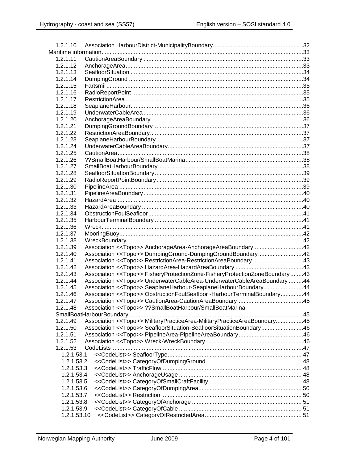| 1.2.1.10             |                                                                                    |  |
|----------------------|------------------------------------------------------------------------------------|--|
|                      |                                                                                    |  |
| 1.2.1.11             |                                                                                    |  |
| 1.2.1.12             |                                                                                    |  |
| 1.2.1.13             |                                                                                    |  |
| 1.2.1.14             |                                                                                    |  |
|                      |                                                                                    |  |
| 1.2.1.15<br>1.2.1.16 |                                                                                    |  |
|                      |                                                                                    |  |
| 1.2.1.17             |                                                                                    |  |
| 1.2.1.18             |                                                                                    |  |
| 1.2.1.19             |                                                                                    |  |
| 1.2.1.20             |                                                                                    |  |
| 1.2.1.21             |                                                                                    |  |
| 1.2.1.22             |                                                                                    |  |
| 1.2.1.23             |                                                                                    |  |
| 1.2.1.24             |                                                                                    |  |
| 1.2.1.25             |                                                                                    |  |
| 1.2.1.26             |                                                                                    |  |
| 1.2.1.27             |                                                                                    |  |
| 1.2.1.28             |                                                                                    |  |
| 1.2.1.29             |                                                                                    |  |
| 1.2.1.30             |                                                                                    |  |
| 1.2.1.31             |                                                                                    |  |
| 1.2.1.32             |                                                                                    |  |
| 1.2.1.33             |                                                                                    |  |
| 1.2.1.34             |                                                                                    |  |
| 1.2.1.35             |                                                                                    |  |
| 1.2.1.36             |                                                                                    |  |
| 1.2.1.37             |                                                                                    |  |
| 1.2.1.38             |                                                                                    |  |
| 1.2.1.39             |                                                                                    |  |
| 1.2.1.40             |                                                                                    |  |
| 1.2.1.41             | Association << Topo>> RestrictionArea-RestrictionAreaBoundary 43                   |  |
| 1.2.1.42             |                                                                                    |  |
| 1.2.1.43             | Association << Topo>> FisheryProtectionZone-FisheryProtectionZoneBoundary43        |  |
| 1.2.1.44             | Association < <topo>&gt; UnderwaterCableArea-UnderwaterCableAreaBoundary 44</topo> |  |
| 1.2.1.45             | Association << Topo>> SeaplaneHarbour-SeaplaneHarbourBoundary 44                   |  |
| 1.2.1.46             | Association < <topo>&gt; ObstructionFoulSeafloor -HarbourTerminalBoundary44</topo> |  |
| 1.2.1.47             |                                                                                    |  |
| 1.2.1.48             | Association << Topo>> ?? SmallBoatHarbour/SmallBoatMarina-                         |  |
|                      |                                                                                    |  |
| 1.2.1.49             | Association << Topo>> MilitaryPracticeArea-MilitaryPracticeAreaBoundary45          |  |
| 1.2.1.50             | Association < <topo>&gt; SeafloorSituation-SeafloorSituationBoundary46</topo>      |  |
| 1.2.1.51             |                                                                                    |  |
| 1.2.1.52             |                                                                                    |  |
| 1.2.1.53             |                                                                                    |  |
| 1.2.1.53.1           |                                                                                    |  |
| 1.2.1.53.2           |                                                                                    |  |
| 1.2.1.53.3           |                                                                                    |  |
| 1.2.1.53.4           |                                                                                    |  |
| 1.2.1.53.5           |                                                                                    |  |
| 1.2.1.53.6           |                                                                                    |  |
| 1.2.1.53.7           |                                                                                    |  |
| 1.2.1.53.8           |                                                                                    |  |
| 1.2.1.53.9           |                                                                                    |  |
| 1.2.1.53.10          |                                                                                    |  |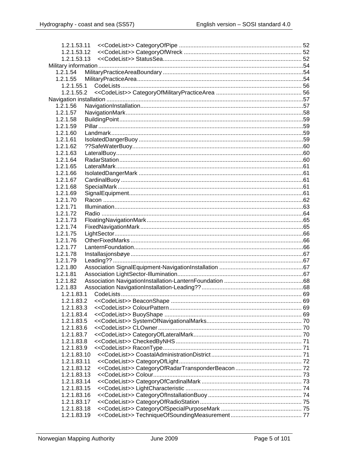| 1.2.1.53.11 |  |
|-------------|--|
| 1.2.1.53.12 |  |
| 1.2.1.53.13 |  |
|             |  |
| 1.2.1.54    |  |
| 1.2.1.55    |  |
|             |  |
| 1.2.1.55.2  |  |
|             |  |
| 1.2.1.56    |  |
| 1.2.1.57    |  |
| 1.2.1.58    |  |
| 1.2.1.59    |  |
| 1.2.1.60    |  |
| 1.2.1.61    |  |
| 1.2.1.62    |  |
| 1.2.1.63    |  |
| 1.2.1.64    |  |
| 1.2.1.65    |  |
| 1.2.1.66    |  |
| 1.2.1.67    |  |
| 1.2.1.68    |  |
| 1.2.1.69    |  |
| 1.2.1.70    |  |
| 1.2.1.71    |  |
| 1.2.1.72    |  |
| 1.2.1.73    |  |
| 1.2.1.74    |  |
| 1.2.1.75    |  |
| 1.2.1.76    |  |
| 1.2.1.77    |  |
| 1.2.1.78    |  |
| 1.2.1.79    |  |
| 1.2.1.80    |  |
| 1.2.1.81    |  |
| 1.2.1.82    |  |
| 1.2.1.83    |  |
| 1.2.1.83.1  |  |
| 1.2.1.83.2  |  |
| 1.2.1.83.3  |  |
| 1.2.1.83.4  |  |
| 1.2.1.83.5  |  |
| 1.2.1.83.6  |  |
| 1.2.1.83.7  |  |
| 1.2.1.83.8  |  |
| 1.2.1.83.9  |  |
| 1.2.1.83.10 |  |
| 1.2.1.83.11 |  |
|             |  |
| 1.2.1.83.12 |  |
| 1.2.1.83.13 |  |
| 1.2.1.83.14 |  |
| 1.2.1.83.15 |  |
| 1.2.1.83.16 |  |
| 1.2.1.83.17 |  |
| 1.2.1.83.18 |  |
| 1.2.1.83.19 |  |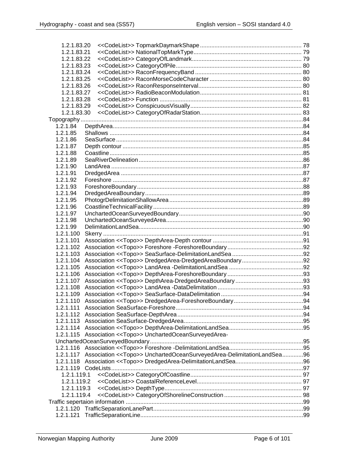| 1.2.1.83.20 |                                                                                  |  |
|-------------|----------------------------------------------------------------------------------|--|
| 1.2.1.83.21 |                                                                                  |  |
| 1.2.1.83.22 |                                                                                  |  |
| 1.2.1.83.23 |                                                                                  |  |
| 1.2.1.83.24 |                                                                                  |  |
| 1.2.1.83.25 |                                                                                  |  |
| 1.2.1.83.26 |                                                                                  |  |
| 1.2.1.83.27 |                                                                                  |  |
| 1.2.1.83.28 |                                                                                  |  |
| 1.2.1.83.29 |                                                                                  |  |
| 1.2.1.83.30 |                                                                                  |  |
|             |                                                                                  |  |
| 1.2.1.84    |                                                                                  |  |
| 1.2.1.85    |                                                                                  |  |
| 1.2.1.86    |                                                                                  |  |
| 1.2.1.87    |                                                                                  |  |
|             |                                                                                  |  |
| 1.2.1.88    |                                                                                  |  |
| 1.2.1.89    |                                                                                  |  |
| 1.2.1.90    |                                                                                  |  |
| 1.2.1.91    |                                                                                  |  |
| 1.2.1.92    |                                                                                  |  |
| 1.2.1.93    |                                                                                  |  |
| 1.2.1.94    |                                                                                  |  |
| 1.2.1.95    |                                                                                  |  |
| 1.2.1.96    |                                                                                  |  |
| 1.2.1.97    |                                                                                  |  |
| 1.2.1.98    |                                                                                  |  |
| 1.2.1.99    |                                                                                  |  |
| 1.2.1.100   |                                                                                  |  |
| 1.2.1.101   |                                                                                  |  |
| 1.2.1.102   |                                                                                  |  |
| 1.2.1.103   |                                                                                  |  |
| 1.2.1.104   |                                                                                  |  |
| 1.2.1.105   |                                                                                  |  |
| 1.2.1.106   |                                                                                  |  |
| 1.2.1.107   |                                                                                  |  |
| 1.2.1.108   |                                                                                  |  |
| 1.2.1.109   |                                                                                  |  |
|             |                                                                                  |  |
| 1.2.1.111   |                                                                                  |  |
|             |                                                                                  |  |
|             |                                                                                  |  |
|             |                                                                                  |  |
| 1.2.1.114   |                                                                                  |  |
|             | 1.2.1.115 Association << Topo>> UnchartedOceanSurveyedArea-                      |  |
|             |                                                                                  |  |
|             |                                                                                  |  |
| 1.2.1.117   | Association < <topo>&gt; UnchartedOceanSurveyedArea-DelimitationLandSea96</topo> |  |
| 1.2.1.118   |                                                                                  |  |
|             |                                                                                  |  |
| 1.2.1.119.1 |                                                                                  |  |
| 1.2.1.119.2 |                                                                                  |  |
| 1.2.1.119.3 |                                                                                  |  |
| 1.2.1.119.4 |                                                                                  |  |
|             |                                                                                  |  |
|             |                                                                                  |  |
|             |                                                                                  |  |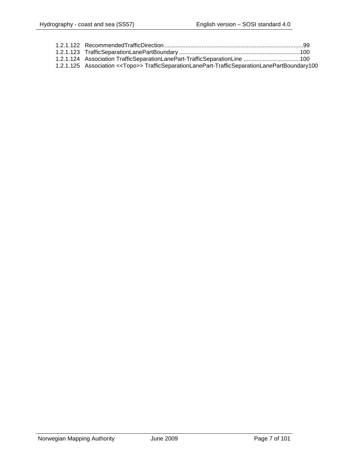| 1.2.1.124 Association TrafficSeparationLanePart-TrafficSeparationLine 100                                |  |
|----------------------------------------------------------------------------------------------------------|--|
| 1.2.1.125 Association < <topo>&gt; TrafficSeparationLanePart-TrafficSeparationLanePartBoundary100</topo> |  |
|                                                                                                          |  |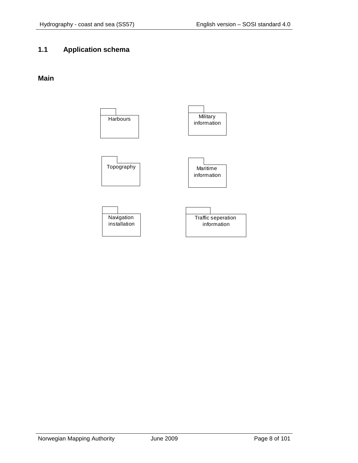# <span id="page-7-0"></span>**1.1 Application schema**

#### <span id="page-7-1"></span>**Main**

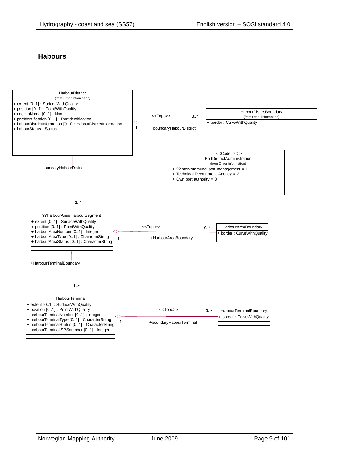#### <span id="page-8-0"></span>**Habours**

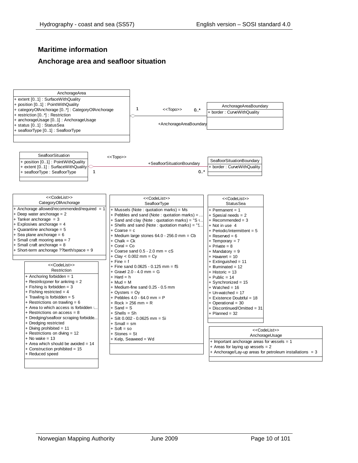# <span id="page-9-1"></span><span id="page-9-0"></span>**Maritime information Anchorage area and seafloor situation**

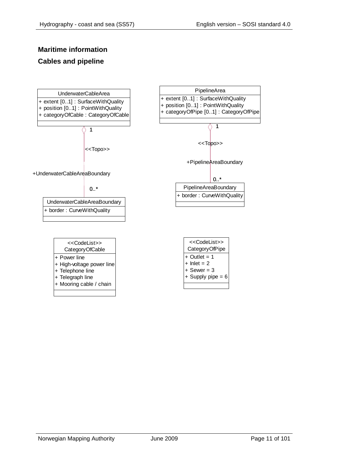# <span id="page-10-1"></span><span id="page-10-0"></span>**Maritime information Cables and pipeline**

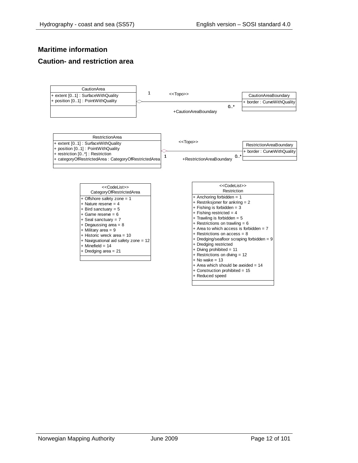# <span id="page-11-0"></span>**Maritime information**

#### <span id="page-11-1"></span>**Caution- and restriction area**

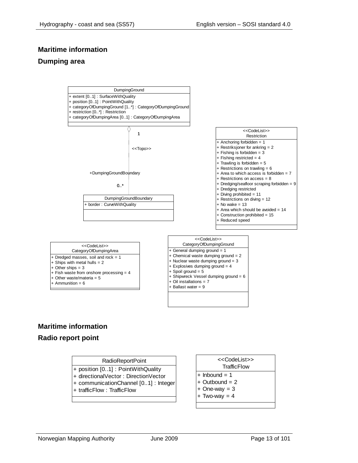# <span id="page-12-0"></span>**Maritime information**

#### <span id="page-12-1"></span>**Dumping area**



# <span id="page-12-2"></span>**Maritime information**

#### <span id="page-12-3"></span>**Radio report point**

| RadioReportPoint |  |
|------------------|--|
|                  |  |

- + position [0..1] : PointWithQuality
- + directionalVector : DirectionVector
- + communicationChannel [0..1] : Integer
- + trafficFlow : TrafficFlow

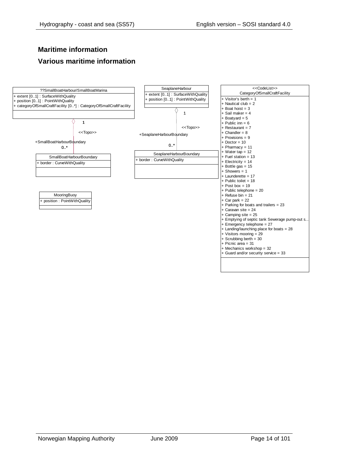# <span id="page-13-1"></span><span id="page-13-0"></span>**Maritime information Various maritime information**

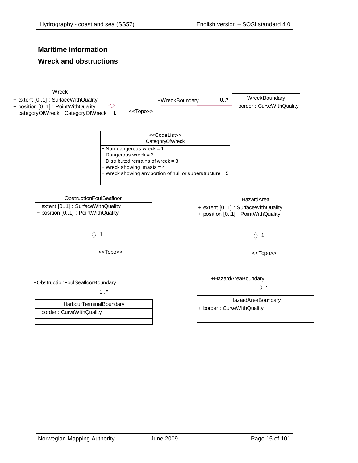# <span id="page-14-1"></span><span id="page-14-0"></span>**Maritime information Wreck and obstructions**

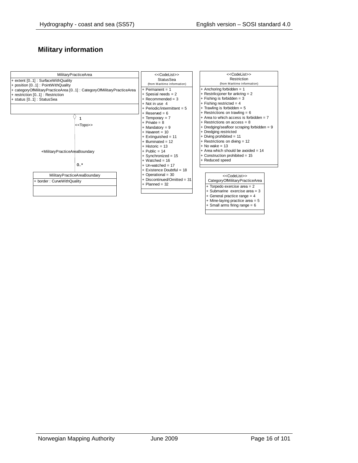# <span id="page-15-0"></span>**Military information**

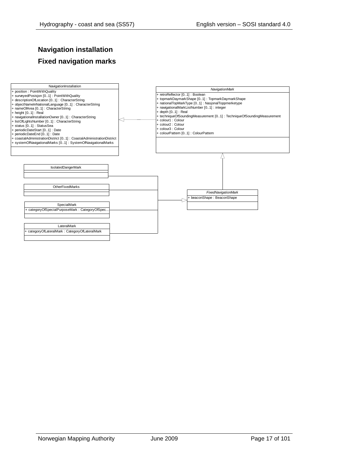# <span id="page-16-1"></span><span id="page-16-0"></span>**Navigation installation Fixed navigation marks**

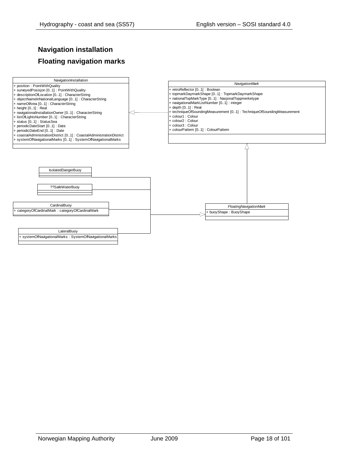# <span id="page-17-1"></span><span id="page-17-0"></span>**Navigation installation Floating navigation marks**

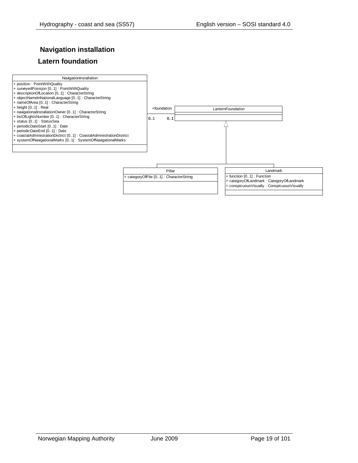# <span id="page-18-0"></span>**Navigation installation**

#### <span id="page-18-1"></span>**Latern foundation**

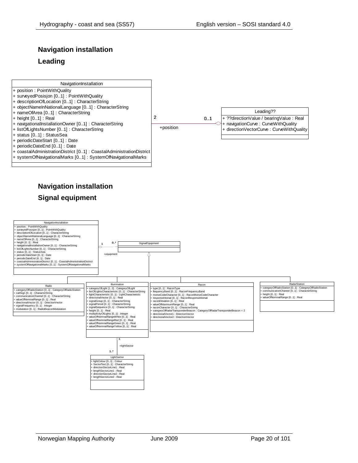# <span id="page-19-0"></span>**Navigation installation**

#### <span id="page-19-1"></span>**Leading**



# <span id="page-19-2"></span>**Navigation installation**

<span id="page-19-3"></span>

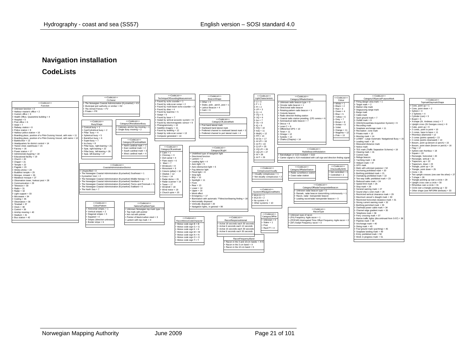# **Navigation installation**

#### Codel ists

<span id="page-20-1"></span><span id="page-20-0"></span>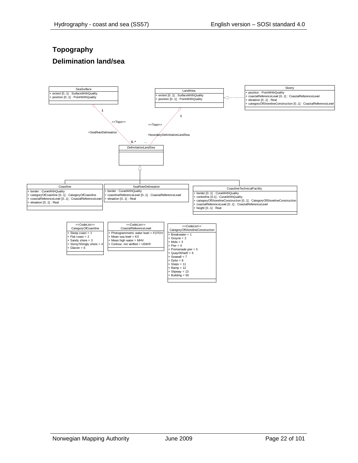# <span id="page-21-1"></span><span id="page-21-0"></span>**Topography Delimination land/sea**

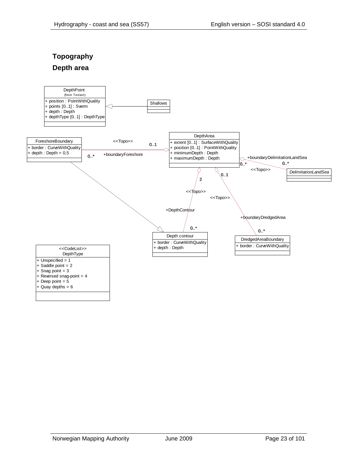# <span id="page-22-1"></span><span id="page-22-0"></span>**Topography Depth area**

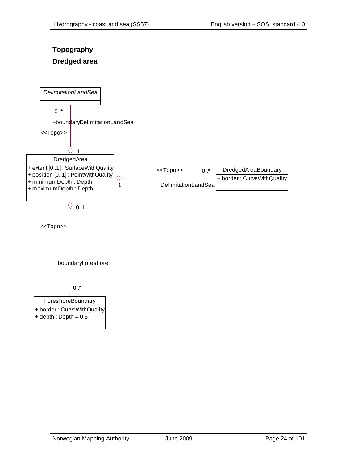# <span id="page-23-1"></span><span id="page-23-0"></span>**Topography Dredged area**

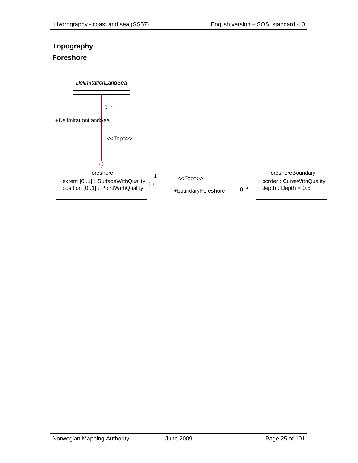# <span id="page-24-1"></span><span id="page-24-0"></span>**Topography Foreshore**

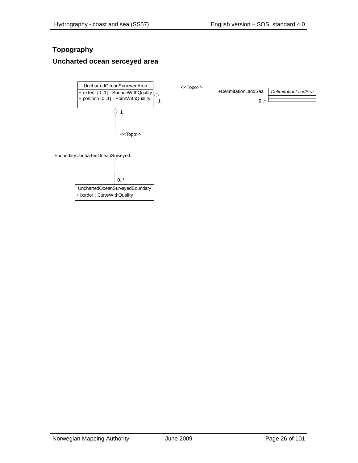# <span id="page-25-1"></span><span id="page-25-0"></span>**Topography Uncharted ocean serceyed area**

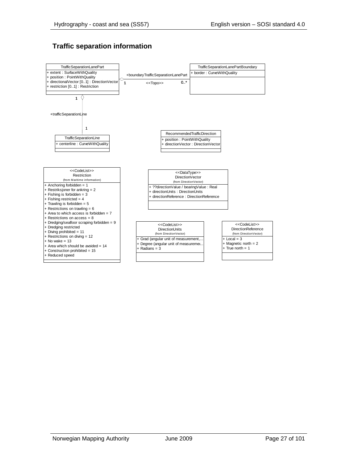# <span id="page-26-0"></span>**Traffic separation information**

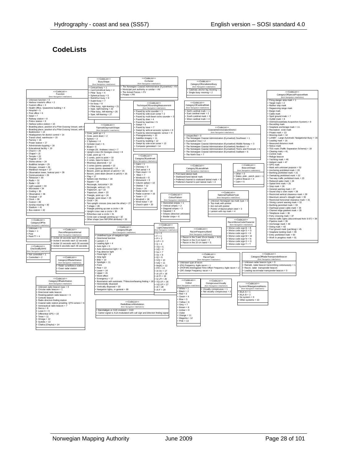# <span id="page-27-0"></span>**CodeLists**

|                                                                        |                                                                                          | < <codelist>&gt;</codelist>                                       | < <codelist>&gt;</codelist>                                                              |                                                                |                                                                                               |                                                  |                                                                                                                                       |                                                                           |
|------------------------------------------------------------------------|------------------------------------------------------------------------------------------|-------------------------------------------------------------------|------------------------------------------------------------------------------------------|----------------------------------------------------------------|-----------------------------------------------------------------------------------------------|--------------------------------------------------|---------------------------------------------------------------------------------------------------------------------------------------|---------------------------------------------------------------------------|
|                                                                        |                                                                                          | <b>Buoy</b> Shane                                                 | Cl Owner                                                                                 |                                                                | < <codel ist="">&gt;</codel>                                                                  |                                                  |                                                                                                                                       |                                                                           |
|                                                                        |                                                                                          | (from Navigation installation)                                    | (from Navigation installation)<br>The Norwegian Coastal Administration (Kystverket) = KV |                                                                | Category OfInstallation Buoy<br>(from Navigation installation)                                |                                                  |                                                                                                                                       |                                                                           |
|                                                                        |                                                                                          | Conical buoy = $1$                                                | Municipal port authority or similar = HV                                                 |                                                                | Catenary anchor leg mooring =                                                                 |                                                  |                                                                                                                                       |                                                                           |
|                                                                        | < <codelist>&gt;</codelist>                                                              | Can/Cylindrical buoy = 2<br>Pillar buoy = $4$                     | The Armed Forces $=$ FV                                                                  |                                                                | Single buoy mooring $= 2$                                                                     |                                                  |                                                                                                                                       | < <codelist>&gt;</codelist>                                               |
|                                                                        | Function                                                                                 | Spherical buoy = 5                                                | $Pri \times A = PR$                                                                      |                                                                |                                                                                               |                                                  |                                                                                                                                       | CategoryOfSpecialPurposeMark                                              |
|                                                                        | (from Navigation installation)                                                           | Barrel/tun buoy = $6$                                             |                                                                                          |                                                                |                                                                                               |                                                  |                                                                                                                                       | (from Navigation installation)                                            |
| $+$ Unknown function = 0<br>Harbour master's office = 2                |                                                                                          | Super-buoy = $7$                                                  |                                                                                          |                                                                |                                                                                               |                                                  |                                                                                                                                       | Firing danger area mark = 1                                               |
| Custom office = $3$                                                    |                                                                                          | $ce$ buoy = 8                                                     |                                                                                          | < <codelist>&gt;<br/>TechniqueOfSoundingMeasurement</codelist> | < <codelist>&gt;<br/>CategoryOfCardinalMark</codelist>                                        |                                                  |                                                                                                                                       | Farget mark = $2$<br>Marker ship mark                                     |
| Health Office, Quarantine building = 4                                 |                                                                                          | Pillar buoy, right-leaning = 21                                   |                                                                                          | (from Navigation installation)                                 | (from Navigation installation)                                                                |                                                  |                                                                                                                                       | Degaussing range mark                                                     |
| $Hosoidal = 5$                                                         |                                                                                          | Spar, right-leaning = 22<br>Pillar buoy, left-leaning = 26        | Found by echo sounder $= 1$                                                              |                                                                | North cardinal mark = 1                                                                       |                                                  |                                                                                                                                       | Barge mark                                                                |
| $+$ Post office = 6                                                    |                                                                                          | Spar, left-leaning = 27                                           | Found by side-scan sonar $= 2$                                                           |                                                                | East cardinal mark $= 2$                                                                      |                                                  |                                                                                                                                       | Cable mark                                                                |
| $HoteI = 7$                                                            |                                                                                          |                                                                   |                                                                                          | Found by multi-beam echo sounder = :                           | South cardinal mark = $3$                                                                     |                                                  |                                                                                                                                       | Snoil amund mark $= 7$                                                    |
| Railway station = 8<br>$Police$ station = 9                            |                                                                                          |                                                                   | Found by diver $= 4$                                                                     |                                                                | West cardinal mark = $4$                                                                      |                                                  |                                                                                                                                       | $Q$ utfall mark = $R$                                                     |
| Harbour police station = 10                                            |                                                                                          |                                                                   | Found by lead-line $= 5$                                                                 |                                                                |                                                                                               |                                                  |                                                                                                                                       | ODAS(OceanData Acquisition System) = 9<br>Recording mark                  |
|                                                                        | Boarding place, position of a Pilot-Cruising Vessel, with n                              | < <codel ist="">&gt;<br/>TopmarkDaymarkShape</codel>              | $S$ went = 6<br>Found by laser = $7$                                                     |                                                                |                                                                                               | < <codel ist="">&gt;</codel>                     |                                                                                                                                       | Seaplane anchorage mark = 11                                              |
|                                                                        | Boarding place, position of a Pilot-Cruising Vessel, with n                              | from Navigation installation                                      |                                                                                          | Swept by vertical acoustic system = 8                          |                                                                                               | CoastalAdministrationDistrict                    |                                                                                                                                       | Recreation zone mark                                                      |
| Bankkontor = 13                                                        |                                                                                          | Cone, point $up = 1$                                              |                                                                                          | Found by electromagnetic sensor $= 9$                          |                                                                                               | (from Navigation installation)                   |                                                                                                                                       | Private mark = 13                                                         |
| Headquarters for district control = 14<br>Transit shed, warehouse = 15 |                                                                                          | Cone, point down = 2                                              | Photogrammetry = $10$                                                                    |                                                                | Unspecified = 0                                                                               |                                                  |                                                                                                                                       | Mooring mark = 14                                                         |
| $Factor = 16$                                                          |                                                                                          | $Sphere = 3$                                                      | Satellite imagery = $11$                                                                 |                                                                |                                                                                               |                                                  | The Norwegian Coastal Administration (Kystverket) Southeast = 1                                                                       | LANBY - Large Automatic Navigational Buoy = 15                            |
| + Power station = 17                                                   |                                                                                          | $2$ Spheres = 4                                                   | Found by levelling $= 12$                                                                | Swept by side-scan sonar $= 13$                                | Kystynrket Vest = $2$                                                                         |                                                  |                                                                                                                                       | Leading mark $= 16$<br>Measured distance mark                             |
| Administrativ bygning = 18                                             |                                                                                          | Cylinder (can) = $5$<br>$B$ oard = 6                              | Computer generated = 14                                                                  |                                                                |                                                                                               |                                                  | The Norwegian Coastal Administration (Kystverket) Middle Norway = 3<br>The Norwegian Coastal Administration (Kystverket) Nordland = 4 | Notice mark                                                               |
| Educational facility = 19                                              |                                                                                          | X-shape (St. Andrews cross) = 7                                   |                                                                                          |                                                                |                                                                                               |                                                  | The Norwegian Coastal Administration (Kystverket) Troms and Finnmark = 5                                                              | TSS mark (Traffic Separation Scheme) = 19                                 |
| $\div$ Church = 20                                                     |                                                                                          | Upright cross (St Georges cross) = 8                              |                                                                                          |                                                                |                                                                                               |                                                  | The Norwegian Coastal Administration (Kystverket) Syalbard = 6                                                                        | Clearing mark = 41                                                        |
| $+$ Chapel = 21<br>$F$ Temple = 22                                     |                                                                                          | Cube, point $up = 9$                                              | < <codelist>&gt;</codelist>                                                              |                                                                | The North Sea = 7                                                                             |                                                  |                                                                                                                                       | Control mark                                                              |
| $Page = 23$                                                            |                                                                                          | 2 cones, point to point = 10                                      | Category OfLandmark                                                                      |                                                                |                                                                                               |                                                  |                                                                                                                                       | Refuge beacon<br>$Y$ achting mark = 46                                    |
| Shinto-shrine = 24                                                     |                                                                                          | 2 cones hase to hase = 11                                         | from Navigation installation                                                             |                                                                |                                                                                               |                                                  |                                                                                                                                       | Heliport mark = 47                                                        |
| Buddhist temple = 25                                                   |                                                                                          | Rhombus (diamond) = 12<br>2 cones (points upward) = 13            | $+ Caim = 1$                                                                             |                                                                | < <codelist>&gt;</codelist>                                                                   |                                                  | < <codelist>&gt;</codelist>                                                                                                           | GPS mark                                                                  |
| Mosque, minaret = 26                                                   |                                                                                          | 2 cones (points downward) = 14                                    | $\div$ Chimney = 3                                                                       |                                                                | CategoryOfLateralMark                                                                         |                                                  | <b>BeaconShape</b>                                                                                                                    | Mark with unknown purpose = 52                                            |
| Marabout mosque = 27                                                   |                                                                                          | Besom, point up (broom or perch) = 15                             | $Dist$ aerial = 4<br>Flare stack = $6$                                                   |                                                                | (from Navigation installation)                                                                |                                                  | from Navigation installation)                                                                                                         | Anchoring prohibited mark = 20                                            |
| Observation tower, lookout post = 28<br>Communication = $29$           |                                                                                          | Besom, point down (broom or perch) = 16                           | $Mast = 7$                                                                               |                                                                | Port-hand lateral mark                                                                        |                                                  | Other = $0$                                                                                                                           | Berthing prohibited mark = 21                                             |
| Television = 30                                                        |                                                                                          | $Flat = 17$                                                       | $Windowsock = 8$                                                                         |                                                                | Starboard-hand lateral mark                                                                   |                                                  | Stake, pole, perch, post =                                                                                                            | Overtaking prohibited mark = 22<br>Two-way traffic prohibited mark $= 23$ |
| $Factor = 31$                                                          |                                                                                          | Sphere over rhombus = 18<br>$Square = 19$                         | $Monument = 9$                                                                           |                                                                | Preferred channel to starboard lateral mark =<br>Preferred channel to port lateral mark = $4$ |                                                  | $l$ attice Beacon = 4<br>$Caim = 6$                                                                                                   | Reduced wake mark = 24                                                    |
| $Rate = 32$                                                            |                                                                                          | Rectangle, horizontal = 20                                        | Column (pillar) = $10$                                                                   |                                                                |                                                                                               |                                                  |                                                                                                                                       | Speed limit mark = 25                                                     |
| Light support = 33                                                     |                                                                                          | Rectangle, vertical = 21                                          | $Ohelisk = 12$<br>$Cross = 14$                                                           |                                                                |                                                                                               |                                                  |                                                                                                                                       | $\frac{1}{2}$ Stop mark = 26                                              |
| $Microwave = 34$<br>$Coolina = 35$                                     |                                                                                          | Trapezium, up = 22                                                | Radar dome = 15                                                                          |                                                                |                                                                                               |                                                  |                                                                                                                                       | General warning mark = 27                                                 |
| $\sqrt{0}$ Observation = 36                                            |                                                                                          | Trapezium, down = 23                                              | Radar scanner = 16                                                                       |                                                                | < <codelist>&gt;</codelist>                                                                   |                                                  | ccCodel ist>>                                                                                                                         | Sound ship's siren mark = 28<br>Restricted vertical clearance mark = 29   |
| $Timeball = 37$                                                        |                                                                                          | Triangle, point up = 24<br>Triangle, point down = 25              | $TOWer = 17$                                                                             | ColourPattern                                                  |                                                                                               | NationalTopMarkType<br>(from Navigation installa |                                                                                                                                       | Maximum vessel's draught mark = 30                                        |
| $\div$ Clock = 38                                                      |                                                                                          | $Circle = 26$                                                     | $Windmill = 18$                                                                          | from Navigation installation                                   |                                                                                               |                                                  | + Unknown Norwegian top mark type = 0                                                                                                 | Restricted horizontal clearance mark = 31                                 |
| $\sqrt{C_{\text{control}}} = 39$                                       |                                                                                          | Two upright crosses (one over the other) = 27                     | Wind motor = 19                                                                          | Horizontal stripes = 1                                         |                                                                                               | Top mark with pointer                            |                                                                                                                                       | Strong current warning mark = 32                                          |
| Airship mooring = 40<br>$$$ Stadium = 41                               |                                                                                          | $T-shape = 28$                                                    | Church spire $= 20$                                                                      | Vertical stripes $= 2$                                         | Iron rod with pointer                                                                         |                                                  | Berthing permitted mark = 33                                                                                                          |                                                                           |
| $Bus$ station = 42                                                     |                                                                                          | Triangle pointing up over a circle = 29                           |                                                                                          | Diagonal stripes = 3                                           |                                                                                               |                                                  | Pointer of black/carbon steel = 3                                                                                                     | Overhead power cable mark = 34<br>Channel edge gradient mark $= 35$       |
|                                                                        |                                                                                          | Upright cross over a circle $= 30$<br>Rrhombus over a circle = 31 |                                                                                          | Squared $= 4$                                                  | Stripes (direction unknow                                                                     | Lantern with top mark $=$ 4                      |                                                                                                                                       | Telephone mark = $36$                                                     |
|                                                                        |                                                                                          | Circle over a triangle pointing up = 32                           |                                                                                          | Border stripe $= 6$                                            |                                                                                               |                                                  |                                                                                                                                       | Ferry crossing mark = $37$                                                |
| < <codel ist="">&gt;</codel>                                           |                                                                                          | Other shape (see INFORM attribute) = 33                           |                                                                                          |                                                                |                                                                                               |                                                  | < <codel ist="">&gt;</codel>                                                                                                          | Marine traffic lights (discontinued from S-57) = 38                       |
| CategoryOfPile                                                         |                                                                                          |                                                                   |                                                                                          |                                                                |                                                                                               |                                                  | RaconMorseCodeCharacter                                                                                                               | Pipeline mark = 39                                                        |
| rom Navigation installati                                              |                                                                                          |                                                                   |                                                                                          | < <codelist>&gt;</codelist>                                    |                                                                                               |                                                  | (from Navigation installation)                                                                                                        | Anchorage mark = 40<br>Diving mark = $43$                                 |
| $Unknown = 0$                                                          | < <codelist>&gt;</codelist>                                                              |                                                                   | < <codelist>&gt;<br/>CategoryOfLight</codelist>                                          | LightCharacteristic<br>rom Navigation installatio              | < <codelist>&gt;</codelist>                                                                   |                                                  | Morse code sign $B = B$                                                                                                               | Foul ground mark (yachting) = 45                                          |
| $State = 1$<br>Post                                                    | RaconResponseInterval                                                                    |                                                                   | (from Navigation installation)                                                           | $-U = 0$                                                       | RaconFrequencyBand                                                                            |                                                  | Morse code sign $G = G$<br>Morse code sign $K = K$                                                                                    | Seaplane landing mark = 49                                                |
| $Back?? = 4$                                                           | (from Navigation installation)                                                           | Undefined type of navigation light                                |                                                                                          | $+ F = 1$                                                      | from Navigation installation                                                                  |                                                  | Morse code sign M = M                                                                                                                 | Entry prohibited mark = 50                                                |
|                                                                        | Active 18 seconds each 30 seconds                                                        | Directional function                                              |                                                                                          | $F = 2$                                                        | Racon in the 3 and 10-cm bands = X+S<br>Racon in the 3 cm band = $X$                          |                                                  | Morse code sign $N = N$                                                                                                               | Work in progress mark $= 51$                                              |
|                                                                        | Active 6 seconds each 12 seconds                                                         | Lantern = 2                                                       |                                                                                          | $FLFI = 3$                                                     | Racon in the 10 cm band = S                                                                   |                                                  | Morse code sign $O = O$                                                                                                               |                                                                           |
| < <codel ist="">&gt;</codel>                                           | Active 15 seconds each 30 seconds<br>Active 6 seconds each 30 seconds                    | Leading light = 4<br>Aero light $= 5$                             |                                                                                          | $0 = 4$                                                        |                                                                                               |                                                  | Morse code sign $T = T$                                                                                                               |                                                                           |
| CheckedBvNHS                                                           |                                                                                          | Aero obstruction light = $6$                                      |                                                                                          | $\text{VQ} = 5$<br>$+ UQ = 6$                                  |                                                                                               |                                                  |                                                                                                                                       |                                                                           |
| m Navigation installation                                              |                                                                                          | Fog detector light                                                |                                                                                          | $ \text{kn} = 7$                                               |                                                                                               |                                                  |                                                                                                                                       |                                                                           |
| $+$ Not controlled = 1                                                 |                                                                                          | $Flood light = 8$                                                 |                                                                                          | $Cc = 8$                                                       |                                                                                               | < <codelist>&gt;</codelist>                      |                                                                                                                                       | < <codelist>&gt;</codelist>                                               |
| $Controlled = 2$                                                       | < <codelist>&gt;</codelist>                                                              | Strip light                                                       |                                                                                          | $P = 10 + 9$                                                   |                                                                                               | RaconType                                        |                                                                                                                                       | CategoryOfRadarTransponderBeacon                                          |
|                                                                        | CategoryOfRadarStation                                                                   | $Bitvr = 10$                                                      |                                                                                          | $NQ = 10$                                                      |                                                                                               | (from Navigation installation)                   | Unknown radar beacon type = 0                                                                                                         | (from Navigation installation)                                            |
|                                                                        | (from Navigation installation)<br>Radar surveillance station                             | Spotlight = 11<br>Front                                           |                                                                                          | $\cdot$ IUQ = 11<br>$Mod(K) = 12$                              | + Unknown type of racon<br>(FA) Frequency Agile racon = 1                                     |                                                  |                                                                                                                                       | Ramark, radar beacon transmitting contonuously =                          |
|                                                                        | Coast radar station                                                                      | $Rear = 13$                                                       |                                                                                          | $FFI = 13$                                                     | (ITOFAR) Interrogated Time Offset Frequency Agile racon = 2                                   |                                                  |                                                                                                                                       | Racon, radar transponder beacon                                           |
|                                                                        |                                                                                          | $l$ nwer = 14                                                     |                                                                                          | $-$ Al Oc = 17                                                 | ← (SF) Swept Frequency racon = 3                                                              |                                                  |                                                                                                                                       | Leading racon/radar transponder beacon = 3                                |
|                                                                        |                                                                                          | $U$ pper = 15                                                     |                                                                                          | $ALFI = 18$                                                    |                                                                                               |                                                  |                                                                                                                                       |                                                                           |
|                                                                        | < <codel ist="">&gt;</codel>                                                             | Moiré effect<br>Emergency = 17                                    |                                                                                          | $A F  = 19$                                                    |                                                                                               |                                                  |                                                                                                                                       |                                                                           |
|                                                                        | CategoryOfRadioStation                                                                   |                                                                   | Illumination with automatic ??direction/bearing finding = 1                              | $Q LFI = 25$<br>$+VO$ I FI = 26                                | < <codel ist="">&gt;</codel>                                                                  | < <codel ist="">&gt;</codel>                     |                                                                                                                                       |                                                                           |
|                                                                        | (from Navigation installation)                                                           | Horizontally disposed                                             |                                                                                          | $UQ LFI = 27$                                                  | Colour                                                                                        | ConspicuousVisually                              | < <codelist>&gt;</codelist>                                                                                                           |                                                                           |
| + Unknown radio beacon type = 0                                        |                                                                                          | Vertically disposed = 20                                          |                                                                                          | $Al = 28$                                                      | m Navigation installa                                                                         | (from Navigation installation)                   | SystemOfNavigationalMarks                                                                                                             |                                                                           |
|                                                                        |                                                                                          |                                                                   |                                                                                          | $AIF = 29$                                                     | $White = 1$<br>$Black = 2$                                                                    | Visually conspicuous = 1                         | (from Navigation installation)                                                                                                        |                                                                           |
| Directional radio beacon                                               |                                                                                          | Navigation lights, in general = 99                                |                                                                                          |                                                                |                                                                                               | Not visually conspicuous =                       | $14144 - 1$                                                                                                                           |                                                                           |
|                                                                        | Circular radio beacon = 1                                                                |                                                                   |                                                                                          |                                                                |                                                                                               |                                                  |                                                                                                                                       |                                                                           |
|                                                                        | Rotating-pattern radio beacon = 3                                                        |                                                                   |                                                                                          |                                                                | $Red = 3$<br>$Green = 4$                                                                      |                                                  | $HALA B = 2$                                                                                                                          |                                                                           |
| Console beacon                                                         |                                                                                          |                                                                   |                                                                                          |                                                                | $Blue = 5$                                                                                    |                                                  | No system $= 9$<br>Other systems = 10                                                                                                 |                                                                           |
|                                                                        | Radio direction finding station                                                          |                                                                   | < <codelist>&gt;</codelist>                                                              |                                                                | $V$ ellow – $R$                                                                               |                                                  |                                                                                                                                       |                                                                           |
|                                                                        | Coastal radio station providing QTG service = 6<br>Aeronautical radio beacon = $\bar{7}$ |                                                                   | <b>RadioBeaconModulation</b>                                                             |                                                                | $Grev = 7$                                                                                    |                                                  |                                                                                                                                       |                                                                           |
| $Dacca = 8$                                                            |                                                                                          |                                                                   | (from Navigation installation)                                                           |                                                                | $Brown = 8$                                                                                   |                                                  |                                                                                                                                       |                                                                           |
| $l$ oran $C = 9$                                                       |                                                                                          | Bærebølgen er G1D modulert = G1D                                  | Carrier signal is A1A-modulated with call sign and direction finding signa               |                                                                | Amber = $9$<br>Violet                                                                         |                                                  |                                                                                                                                       |                                                                           |
| Differential GPS = 10                                                  |                                                                                          |                                                                   |                                                                                          |                                                                | Orange = $11$                                                                                 |                                                  |                                                                                                                                       |                                                                           |
| Toran = $11$<br>Omega = $12$                                           |                                                                                          |                                                                   |                                                                                          |                                                                | Magenta = 12                                                                                  |                                                  |                                                                                                                                       |                                                                           |
| $S$ yledis = 13                                                        |                                                                                          |                                                                   |                                                                                          |                                                                | $Print = 13$                                                                                  |                                                  |                                                                                                                                       |                                                                           |
| Chaika (Chavka) = 14                                                   |                                                                                          |                                                                   |                                                                                          |                                                                |                                                                                               |                                                  |                                                                                                                                       |                                                                           |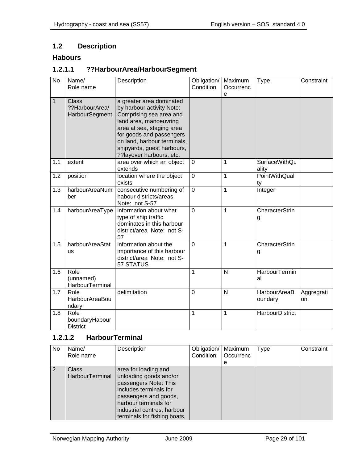# <span id="page-28-0"></span>**1.2 Description**

#### <span id="page-28-1"></span>**Habours**

# <span id="page-28-2"></span>**1.2.1.1 ??HarbourArea/HarbourSegment**

| $\overline{N}$ | Name/<br>Role name                                      | Description                                                                                                                                                                                                                                                  | Obligation/<br>Condition | Maximum<br>Occurrenc | <b>Type</b>                    | Constraint       |
|----------------|---------------------------------------------------------|--------------------------------------------------------------------------------------------------------------------------------------------------------------------------------------------------------------------------------------------------------------|--------------------------|----------------------|--------------------------------|------------------|
| $\overline{1}$ | <b>Class</b><br>??HarbourArea/<br><b>HarbourSegment</b> | a greater area dominated<br>by harbour activity Note:<br>Comprising sea area and<br>land area, manoeuvring<br>area at sea, staging area<br>for goods and passengers<br>on land, harbour terminals,<br>shipyards, guest harbours,<br>??layover harbours, etc. |                          | e                    |                                |                  |
| 1.1            | extent                                                  | area over which an object<br>extends                                                                                                                                                                                                                         | 0                        | 1                    | <b>SurfaceWithQu</b><br>ality  |                  |
| 1.2            | position                                                | location where the object<br>exists                                                                                                                                                                                                                          | 0                        | 1                    | PointWithQuali<br>ty           |                  |
| 1.3            | harbourAreaNum<br>ber                                   | consecutive numbering of<br>habour districts/areas.<br>Note: not S-57                                                                                                                                                                                        | $\overline{0}$           | 1                    | Integer                        |                  |
| 1.4            | harbourAreaType                                         | information about what<br>type of ship traffic<br>dominates in this harbour<br>district/area Note: not S-<br>57                                                                                                                                              | $\overline{0}$           | 1                    | CharacterStrin<br>g            |                  |
| 1.5            | harbourAreaStat<br><b>us</b>                            | information about the<br>importance of this harbour<br>district/area Note: not S-<br>57 STATUS                                                                                                                                                               | $\overline{0}$           | 1                    | CharacterStrin<br>g            |                  |
| 1.6            | Role<br>(unnamed)<br>HarbourTerminal                    |                                                                                                                                                                                                                                                              | 1                        | N                    | HarbourTermin<br>al            |                  |
| 1.7            | Role<br><b>HarbourAreaBou</b><br>ndary                  | delimitation                                                                                                                                                                                                                                                 | $\overline{0}$           | $\mathsf{N}$         | <b>HarbourAreaB</b><br>oundary | Aggregrati<br>on |
| 1.8            | Role<br>boundaryHabour<br><b>District</b>               |                                                                                                                                                                                                                                                              | 1                        | 1                    | <b>HarbourDistrict</b>         |                  |

# <span id="page-28-3"></span>**1.2.1.2 HarbourTerminal**

| No. | Name/<br>Role name                     | Description                                                                                                                                                                                                        | Obligation/   Maximum<br>Condition | Occurrenc<br>е | Type | Constraint |
|-----|----------------------------------------|--------------------------------------------------------------------------------------------------------------------------------------------------------------------------------------------------------------------|------------------------------------|----------------|------|------------|
|     | <b>Class</b><br><b>HarbourTerminal</b> | area for loading and<br>unloading goods and/or<br>passengers Note: This<br>includes terminals for<br>passengers and goods,<br>harbour terminals for<br>industrial centres, harbour<br>terminals for fishing boats, |                                    |                |      |            |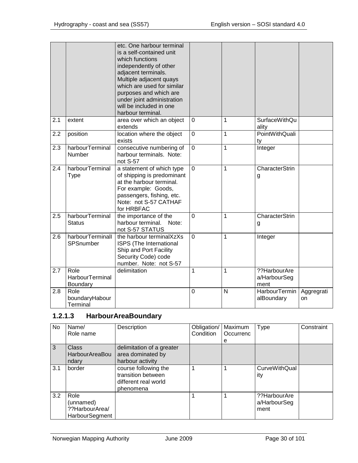|     |                                            | etc. One harbour terminal<br>is a self-contained unit<br>which functions<br>independently of other<br>adjacent terminals.<br>Multiple adjacent quays<br>which are used for similar<br>purposes and which are<br>under joint administration<br>will be included in one<br>harbour terminal. |                |   |                                      |                  |
|-----|--------------------------------------------|--------------------------------------------------------------------------------------------------------------------------------------------------------------------------------------------------------------------------------------------------------------------------------------------|----------------|---|--------------------------------------|------------------|
| 2.1 | extent                                     | area over which an object<br>extends                                                                                                                                                                                                                                                       | 0              | 1 | <b>SurfaceWithQu</b><br>ality        |                  |
| 2.2 | position                                   | location where the object<br>exists                                                                                                                                                                                                                                                        | $\overline{0}$ | 1 | <b>PointWithQuali</b><br>ty          |                  |
| 2.3 | harbourTerminal<br><b>Number</b>           | consecutive numbering of<br>harbour terminals. Note:<br>not S-57                                                                                                                                                                                                                           | $\overline{0}$ | 1 | Integer                              |                  |
| 2.4 | harbourTerminal<br><b>Type</b>             | a statement of which type<br>of shipping is predominant<br>at the harbour terminal.<br>For example: Goods,<br>passengers, fishing, etc.<br>Note: not S-57 CATHAF<br>for HRBFAC                                                                                                             | $\overline{0}$ | 1 | CharacterStrin<br>g                  |                  |
| 2.5 | harbourTerminal<br><b>Status</b>           | the importance of the<br>harbour terminal. Note:<br>not S-57 STATUS                                                                                                                                                                                                                        | $\overline{0}$ | 1 | CharacterStrin<br>g                  |                  |
| 2.6 | harbourTerminall<br>SPSnumber              | the harbour terminalXzXs<br>ISPS (The International<br>Ship and Port Facility<br>Security Code) code<br>number. Note: not S-57                                                                                                                                                             | $\overline{0}$ | 1 | Integer                              |                  |
| 2.7 | Role<br><b>HarbourTerminal</b><br>Boundary | delimitation                                                                                                                                                                                                                                                                               | 1              | 1 | ??HarbourAre<br>a/HarbourSeg<br>ment |                  |
| 2.8 | Role<br>boundaryHabour<br>Terminal         |                                                                                                                                                                                                                                                                                            | 0              | N | <b>HarbourTermin</b><br>alBoundary   | Aggregrati<br>on |

# <span id="page-29-0"></span>**1.2.1.3 HarbourAreaBoundary**

| <b>No</b> | Name/                 | Description               | Obligation/ | Maximum   | <b>Type</b>          | Constraint |
|-----------|-----------------------|---------------------------|-------------|-----------|----------------------|------------|
|           | Role name             |                           | Condition   | Occurrenc |                      |            |
|           |                       |                           |             | е         |                      |            |
| 3         | <b>Class</b>          | delimitation of a greater |             |           |                      |            |
|           | <b>HarbourAreaBou</b> | area dominated by         |             |           |                      |            |
|           | ndary                 | harbour activity          |             |           |                      |            |
| 3.1       | border                | course following the      |             |           | <b>CurveWithQual</b> |            |
|           |                       | transition between        |             |           | ity                  |            |
|           |                       | different real world      |             |           |                      |            |
|           |                       | phenomena                 |             |           |                      |            |
| 3.2       | Role                  |                           |             |           | ??HarbourAre         |            |
|           | (unnamed)             |                           |             |           | a/HarbourSeg         |            |
|           | ??HarbourArea/        |                           |             |           | ment                 |            |
|           | HarbourSegment        |                           |             |           |                      |            |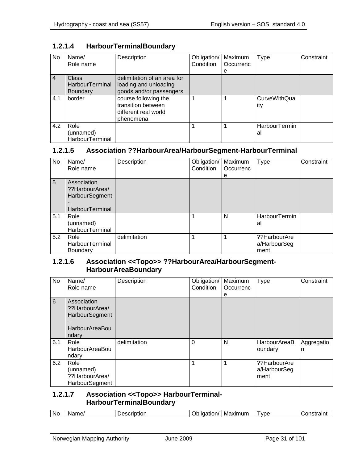| No             | Name/<br>Role name                                 | Description                                                                     | Obligation/<br>Condition | Maximum<br>Occurrenc<br>e | Type                        | Constraint |
|----------------|----------------------------------------------------|---------------------------------------------------------------------------------|--------------------------|---------------------------|-----------------------------|------------|
| $\overline{4}$ | <b>Class</b><br>HarbourTerminal<br><b>Boundary</b> | delimitation of an area for<br>loading and unloading<br>goods and/or passengers |                          |                           |                             |            |
| 4.1            | border                                             | course following the<br>transition between<br>different real world<br>phenomena |                          |                           | <b>CurveWithQual</b><br>ity |            |
| 4.2            | Role<br>(unnamed)<br><b>HarbourTerminal</b>        |                                                                                 |                          |                           | <b>HarbourTermin</b><br>al  |            |

#### <span id="page-30-0"></span>**1.2.1.4 HarbourTerminalBoundary**

#### <span id="page-30-1"></span>**1.2.1.5 Association ??HarbourArea/HarbourSegment-HarbourTerminal**

| No  | Name/<br>Role name                                                               | Description  | Obligation/<br>Condition | Maximum<br>Occurrenc<br>е | Type                                 | Constraint |
|-----|----------------------------------------------------------------------------------|--------------|--------------------------|---------------------------|--------------------------------------|------------|
| 5   | Association<br>??HarbourArea/<br><b>HarbourSegment</b><br><b>HarbourTerminal</b> |              |                          |                           |                                      |            |
| 5.1 | Role<br>(unnamed)<br>HarbourTerminal                                             |              |                          | N                         | <b>HarbourTermin</b><br>al           |            |
| 5.2 | Role<br><b>HarbourTerminal</b><br>Boundary                                       | delimitation |                          |                           | ??HarbourAre<br>a/HarbourSeg<br>ment |            |

#### <span id="page-30-2"></span>**1.2.1.6 Association <<Topo>> ??HarbourArea/HarbourSegment-HarbourAreaBoundary**

| No  | Name/<br>Role name                                                                       | Description  | Obligation/<br>Condition | Maximum<br>Occurrenc<br>е | Type                                 | Constraint      |
|-----|------------------------------------------------------------------------------------------|--------------|--------------------------|---------------------------|--------------------------------------|-----------------|
| 6   | Association<br>??HarbourArea/<br><b>HarbourSegment</b><br><b>HarbourAreaBou</b><br>ndary |              |                          |                           |                                      |                 |
| 6.1 | Role<br><b>HarbourAreaBou</b><br>ndary                                                   | delimitation | $\Omega$                 | N                         | HarbourAreaB<br>oundary              | Aggregatio<br>n |
| 6.2 | Role<br>(unnamed)<br>??HarbourArea/<br><b>HarbourSegment</b>                             |              |                          |                           | ??HarbourAre<br>a/HarbourSeg<br>ment |                 |

#### <span id="page-30-3"></span>**1.2.1.7 Association <<Topo>> HarbourTerminal-HarbourTerminalBoundary**

|  | No. | Name/ | Jescription<br>◡ | ∠oligation.<br>- Ale | Maximum | <b>VDE</b> | $-$<br>$\sim$ $\sim$<br>™all ∟<br>.וסו |
|--|-----|-------|------------------|----------------------|---------|------------|----------------------------------------|
|--|-----|-------|------------------|----------------------|---------|------------|----------------------------------------|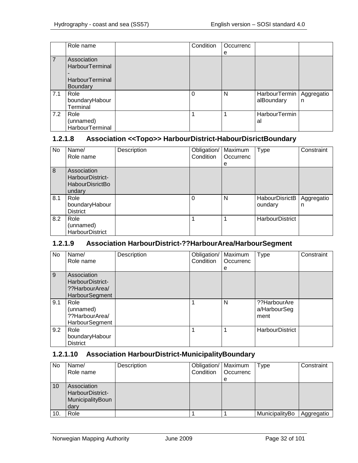|     | Role name              | Condition | Occurrenc |               |            |
|-----|------------------------|-----------|-----------|---------------|------------|
|     |                        |           | e         |               |            |
| 7   | Association            |           |           |               |            |
|     | <b>HarbourTerminal</b> |           |           |               |            |
|     |                        |           |           |               |            |
|     | <b>HarbourTerminal</b> |           |           |               |            |
|     | <b>Boundary</b>        |           |           |               |            |
| 7.1 | Role                   | $\Omega$  | N         | HarbourTermin | Aggregatio |
|     | boundaryHabour         |           |           | alBoundary    | n          |
|     | Terminal               |           |           |               |            |
| 7.2 | Role                   |           |           | HarbourTermin |            |
|     | (unnamed)              |           |           | al            |            |
|     | HarbourTerminal        |           |           |               |            |

#### <span id="page-31-0"></span>**1.2.1.8 Association <<Topo>> HarbourDistrict-HabourDisrictBoundary**

| No. | Name/<br>Role name                                                  | Description | Obligation/<br>Condition | Maximum<br>Occurrenc<br>е | Type                             | Constraint      |
|-----|---------------------------------------------------------------------|-------------|--------------------------|---------------------------|----------------------------------|-----------------|
| 8   | Association<br>HarbourDistrict-<br><b>HabourDisrictBo</b><br>undary |             |                          |                           |                                  |                 |
| 8.1 | Role<br>boundaryHabour<br><b>District</b>                           |             | $\Omega$                 | N                         | <b>HabourDisrictB</b><br>oundary | Aggregatio<br>n |
| 8.2 | Role<br>(unnamed)<br><b>HarbourDistrict</b>                         |             |                          |                           | <b>HarbourDistrict</b>           |                 |

#### <span id="page-31-1"></span>**1.2.1.9 Association HarbourDistrict-??HarbourArea/HarbourSegment**

| No. | Name/<br>Role name                                                         | Description | Obligation/<br>Condition | Maximum<br>Occurrenc<br>e | Type                                 | Constraint |
|-----|----------------------------------------------------------------------------|-------------|--------------------------|---------------------------|--------------------------------------|------------|
| 9   | Association<br>HarbourDistrict-<br>??HarbourArea/<br><b>HarbourSegment</b> |             |                          |                           |                                      |            |
| 9.1 | Role<br>(unnamed)<br>??HarbourArea/<br><b>HarbourSegment</b>               |             |                          | N                         | ??HarbourAre<br>a/HarbourSeg<br>ment |            |
| 9.2 | Role<br>boundaryHabour<br><b>District</b>                                  |             | 1                        | 1                         | <b>HarbourDistrict</b>               |            |

# <span id="page-31-2"></span>**1.2.1.10 Association HarbourDistrict-MunicipalityBoundary**

| <b>No</b> | Name/<br>Role name                                          | Description | Obligation/   Maximum<br>Condition | Occurrenc | Type           | Constraint |
|-----------|-------------------------------------------------------------|-------------|------------------------------------|-----------|----------------|------------|
|           |                                                             |             |                                    |           |                |            |
|           |                                                             |             |                                    | е         |                |            |
| 10        | Association<br>HarbourDistrict-<br>MunicipalityBoun<br>dary |             |                                    |           |                |            |
| 10.       | Role                                                        |             |                                    |           | MunicipalityBo | Aggregatio |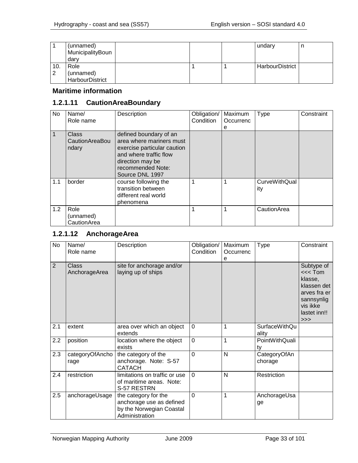|     | (unnamed)<br>MunicipalityBoun<br>dary |  | undary          | n |
|-----|---------------------------------------|--|-----------------|---|
| 10. | Role                                  |  | HarbourDistrict |   |
| 2   | (unnamed)                             |  |                 |   |
|     | HarbourDistrict                       |  |                 |   |

#### <span id="page-32-0"></span>**Maritime information**

#### <span id="page-32-1"></span>**1.2.1.11 CautionAreaBoundary**

| <b>No</b> | Name/<br>Role name               | Description                                                                                                                                                             | Obligation/<br>Condition | Maximum<br>Occurrenc | Type                        | Constraint |
|-----------|----------------------------------|-------------------------------------------------------------------------------------------------------------------------------------------------------------------------|--------------------------|----------------------|-----------------------------|------------|
|           |                                  |                                                                                                                                                                         |                          | е                    |                             |            |
| 1         | Class<br>CautionAreaBou<br>ndary | defined boundary of an<br>area where mariners must<br>exercise particular caution<br>and where traffic flow<br>direction may be<br>recommended Note:<br>Source DNL 1997 |                          |                      |                             |            |
| 1.1       | border                           | course following the<br>transition between<br>different real world<br>phenomena                                                                                         |                          |                      | <b>CurveWithQual</b><br>ity |            |
| 1.2       | Role<br>(unnamed)<br>CautionArea |                                                                                                                                                                         |                          |                      | CautionArea                 |            |

#### <span id="page-32-2"></span>**1.2.1.12 AnchorageArea**

| <b>No</b>      | Name/<br>Role name            | Description                                                                                    | Obligation/<br>Condition | Maximum<br>Occurrenc<br>e | <b>Type</b>                   | Constraint                                                                                                       |
|----------------|-------------------------------|------------------------------------------------------------------------------------------------|--------------------------|---------------------------|-------------------------------|------------------------------------------------------------------------------------------------------------------|
| $\overline{2}$ | <b>Class</b><br>AnchorageArea | site for anchorage and/or<br>laying up of ships                                                |                          |                           |                               | Subtype of<br>$<<$ Tom<br>klasse,<br>klassen det<br>arves fra er<br>sannsynlig<br>vis ikke<br>lastet inn!!<br>>> |
| 2.1            | extent                        | area over which an object<br>extends                                                           | $\Omega$                 | 1                         | <b>SurfaceWithQu</b><br>ality |                                                                                                                  |
| 2.2            | position                      | location where the object<br>exists                                                            | $\overline{0}$           | 1                         | PointWithQuali<br>ty          |                                                                                                                  |
| 2.3            | categoryOfAncho<br>rage       | the category of the<br>anchorage. Note: S-57<br><b>CATACH</b>                                  | $\overline{0}$           | N                         | CategoryOfAn<br>chorage       |                                                                                                                  |
| 2.4            | restriction                   | limitations on traffic or use<br>of maritime areas. Note:<br>S-57 RESTRN                       | $\overline{0}$           | N                         | Restriction                   |                                                                                                                  |
| 2.5            | anchorageUsage                | the category for the<br>anchorage use as defined<br>by the Norwegian Coastal<br>Administration | 0                        | 1                         | AnchorageUsa<br>ge            |                                                                                                                  |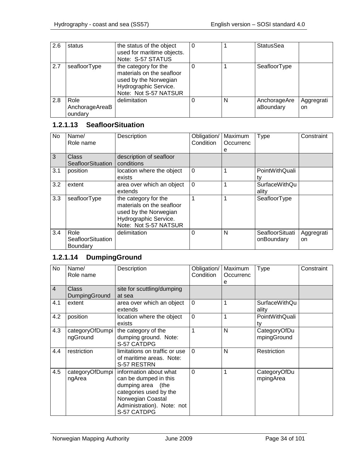| 2.6 | status                            | the status of the object<br>used for maritime objects.<br>Note: S-57 STATUS                                                  | U |   | <b>StatusSea</b>          |                   |
|-----|-----------------------------------|------------------------------------------------------------------------------------------------------------------------------|---|---|---------------------------|-------------------|
| 2.7 | seafloorType                      | the category for the<br>materials on the seafloor<br>used by the Norwegian<br>Hydrographic Service.<br>Note: Not S-57 NATSUR |   |   | SeafloorType              |                   |
| 2.8 | Role<br>AnchorageAreaB<br>oundary | delimitation                                                                                                                 |   | N | AnchorageAre<br>aBoundary | Aggregrati<br>on. |

# <span id="page-33-0"></span>**1.2.1.13 SeafloorSituation**

| No  | Name/<br>Role name                                  | Description                                                                                                                  | Obligation/<br>Condition | Maximum<br>Occurrenc<br>е | <b>Type</b>                   | Constraint       |
|-----|-----------------------------------------------------|------------------------------------------------------------------------------------------------------------------------------|--------------------------|---------------------------|-------------------------------|------------------|
| 3   | Class<br>SeafloorSituation                          | description of seafloor<br>conditions                                                                                        |                          |                           |                               |                  |
| 3.1 | position                                            | location where the object<br>exists                                                                                          | $\Omega$                 |                           | PointWithQuali<br>tv          |                  |
| 3.2 | extent                                              | area over which an object<br>extends                                                                                         | $\Omega$                 |                           | <b>SurfaceWithQu</b><br>ality |                  |
| 3.3 | seafloorType                                        | the category for the<br>materials on the seafloor<br>used by the Norwegian<br>Hydrographic Service.<br>Note: Not S-57 NATSUR |                          |                           | SeafloorType                  |                  |
| 3.4 | Role<br><b>SeafloorSituation</b><br><b>Boundary</b> | delimitation                                                                                                                 | $\Omega$                 | N                         | SeafloorSituati<br>onBoundary | Aggregrati<br>on |

# <span id="page-33-1"></span>**1.2.1.14 DumpingGround**

| No             | Name/<br>Role name            | Description                                                                                                                                                      | Obligation/<br>Condition | Maximum<br>Occurrenc<br>e | <b>Type</b>                   | Constraint |
|----------------|-------------------------------|------------------------------------------------------------------------------------------------------------------------------------------------------------------|--------------------------|---------------------------|-------------------------------|------------|
| $\overline{4}$ | <b>Class</b><br>DumpingGround | site for scuttling/dumping<br>at sea                                                                                                                             |                          |                           |                               |            |
| 4.1            | extent                        | area over which an object<br>extends                                                                                                                             | $\Omega$                 | 1                         | <b>SurfaceWithQu</b><br>ality |            |
| 4.2            | position                      | location where the object<br>exists                                                                                                                              | $\overline{0}$           | 1                         | PointWithQuali<br>ty          |            |
| 4.3            | categoryOfDumpi<br>ngGround   | the category of the<br>dumping ground. Note:<br>S-57 CATDPG                                                                                                      | 1                        | N                         | CategoryOfDu<br>mpingGround   |            |
| 4.4            | restriction                   | limitations on traffic or use<br>of maritime areas. Note:<br>S-57 RESTRN                                                                                         | $\Omega$                 | N                         | Restriction                   |            |
| 4.5            | categoryOfDumpi<br>ngArea     | information about what<br>can be dumped in this<br>dumping area (the<br>categories used by the<br>Norwegian Coastal<br>Administration). Note: not<br>S-57 CATDPG | $\Omega$                 | 1                         | CategoryOfDu<br>mpingArea     |            |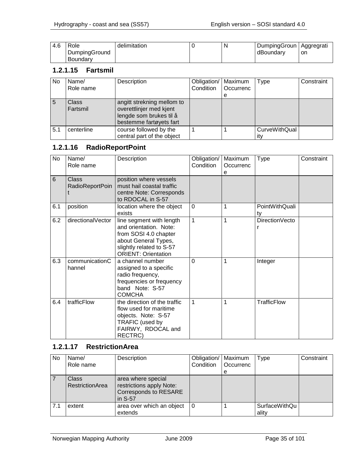| 4.6 | Role          | delimitation | <b>N</b> | DumpingGroun | Aggregrati |
|-----|---------------|--------------|----------|--------------|------------|
|     | DumpingGround |              |          | dBoundary    | on         |
|     | Boundary      |              |          |              |            |

#### <span id="page-34-0"></span>**1.2.1.15 Fartsmil**

| No  | Name/<br>Role name | Description                                                                                                 | Obligation/   Maximum<br>Condition | l Occurrenc<br>е | Type                        | Constraint |
|-----|--------------------|-------------------------------------------------------------------------------------------------------------|------------------------------------|------------------|-----------------------------|------------|
| 5   | Class<br>Fartsmil  | angitt strekning mellom to<br>overettlinjer med kjent<br>lengde som brukes til å<br>bestemme fartøyets fart |                                    |                  |                             |            |
| 5.1 | centerline         | course followed by the<br>central part of the object                                                        |                                    |                  | <b>CurveWithQual</b><br>itv |            |

#### <span id="page-34-1"></span>**1.2.1.16 RadioReportPoint**

| <b>No</b> | Name/<br>Role name       | Description                                                                                                                                                   | Obligation/<br>Condition | Maximum<br>Occurrenc<br>e | <b>Type</b>          | Constraint |
|-----------|--------------------------|---------------------------------------------------------------------------------------------------------------------------------------------------------------|--------------------------|---------------------------|----------------------|------------|
| 6         | Class<br>RadioReportPoin | position where vessels<br>must hail coastal traffic<br>centre Note: Corresponds<br>to RDOCAL in S-57                                                          |                          |                           |                      |            |
| 6.1       | position                 | location where the object<br>exists                                                                                                                           | $\mathbf 0$              | 1                         | PointWithQuali<br>tv |            |
| 6.2       | directionalVector        | line segment with length<br>and orientation. Note:<br>from SOSI 4.0 chapter<br>about General Types,<br>slightly related to S-57<br><b>ORIENT: Orientation</b> | $\mathbf{1}$             | 1                         | DirectionVecto       |            |
| 6.3       | communicationC<br>hannel | a channel number<br>assigned to a specific<br>radio frequency,<br>frequencies or frequency<br>band Note: S-57<br><b>COMCHA</b>                                | $\Omega$                 | 1                         | Integer              |            |
| 6.4       | trafficFlow              | the direction of the traffic<br>flow used for maritime<br>objects. Note: S-57<br>TRAFIC (used by<br>FAIRWY, RDOCAL and<br>RECTRC)                             | $\mathbf{1}$             | 1                         | <b>TrafficFlow</b>   |            |

#### <span id="page-34-2"></span>**1.2.1.17 RestrictionArea**

| <b>No</b> | Name/<br>Role name              | Description                                                                        | Obligation/<br>Condition | Maximum<br><b>Occurrenc</b><br>e | <b>Type</b>                   | Constraint |
|-----------|---------------------------------|------------------------------------------------------------------------------------|--------------------------|----------------------------------|-------------------------------|------------|
|           | Class<br><b>RestrictionArea</b> | area where special<br>restrictions apply Note:<br>Corresponds to RESARE<br>in S-57 |                          |                                  |                               |            |
| 7.1       | extent                          | area over which an object<br>extends                                               | 0                        |                                  | <b>SurfaceWithQu</b><br>ality |            |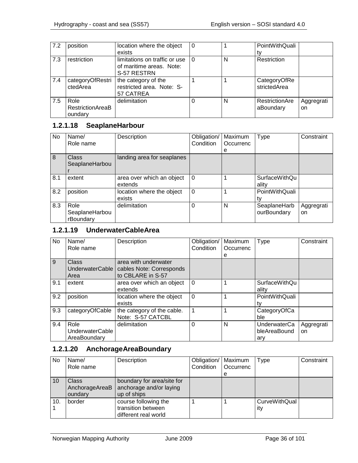| 7.2 | position                                   | location where the object                                                | <b>0</b> |   | PointWithQuali               |                  |
|-----|--------------------------------------------|--------------------------------------------------------------------------|----------|---|------------------------------|------------------|
|     |                                            | exists                                                                   |          |   | tv                           |                  |
| 7.3 | restriction                                | limitations on traffic or use<br>of maritime areas. Note:<br>S-57 RESTRN | l O      | N | Restriction                  |                  |
| 7.4 | categoryOfRestri<br>ctedArea               | the category of the<br>restricted area. Note: S-<br>57 CATREA            |          |   | CategoryOfRe<br>strictedArea |                  |
| 7.5 | Role<br><b>RestrictionAreaB</b><br>oundary | delimitation                                                             |          | N | RestrictionAre<br>aBoundary  | Aggregrati<br>on |

#### <span id="page-35-0"></span>**1.2.1.18 SeaplaneHarbour**

| No. | Name/<br>Role name                  | Description                          | Obligation/<br>Condition | Maximum<br>Occurrenc | <b>Type</b>                 | Constraint       |
|-----|-------------------------------------|--------------------------------------|--------------------------|----------------------|-----------------------------|------------------|
| 8   | Class<br>SeaplaneHarbou             | landing area for seaplanes           |                          | е                    |                             |                  |
| 8.1 | extent                              | area over which an object<br>extends | $\Omega$                 |                      | SurfaceWithQu<br>ality      |                  |
| 8.2 | position                            | location where the object<br>exists  | $\Omega$                 |                      | PointWithQuali              |                  |
| 8.3 | Role<br>SeaplaneHarbou<br>rBoundary | delimitation                         | 0                        | N                    | SeaplaneHarb<br>ourBoundary | Aggregrati<br>on |

# <span id="page-35-1"></span>**1.2.1.19 UnderwaterCableArea**

| No  | Name/<br>Role name                             | Description                                                           | Obligation/<br>Condition | Maximum<br>Occurrenc<br>е | <b>Type</b>                                | Constraint       |
|-----|------------------------------------------------|-----------------------------------------------------------------------|--------------------------|---------------------------|--------------------------------------------|------------------|
| 9   | Class<br><b>UnderwaterCable</b><br>Area        | area with underwater<br>cables Note: Corresponds<br>to CBLARE in S-57 |                          |                           |                                            |                  |
| 9.1 | extent                                         | area over which an object<br>extends                                  | $\Omega$                 | 1                         | <b>SurfaceWithQu</b><br>ality              |                  |
| 9.2 | position                                       | location where the object<br>exists                                   | $\Omega$                 |                           | PointWithQuali<br>t٧                       |                  |
| 9.3 | categoryOfCable                                | the category of the cable.<br>Note: S-57 CATCBL                       | 1                        |                           | CategoryOfCa<br>ble                        |                  |
| 9.4 | Role<br><b>UnderwaterCable</b><br>AreaBoundary | delimitation                                                          | $\Omega$                 | N                         | <b>UnderwaterCa</b><br>bleAreaBound<br>ary | Aggregrati<br>on |

# <span id="page-35-2"></span>**1.2.1.20 AnchorageAreaBoundary**

| No  | Name/<br>Role name                 | Description                                                          | Obligation/   Maximum<br>Condition | <b>Occurrenc</b><br>e | Type                 | Constraint |
|-----|------------------------------------|----------------------------------------------------------------------|------------------------------------|-----------------------|----------------------|------------|
| 10  | Class<br>AnchorageAreaB<br>oundary | boundary for area/site for<br>anchorage and/or laying<br>up of ships |                                    |                       |                      |            |
| 10. | border                             | course following the<br>transition between<br>different real world   |                                    |                       | CurveWithQual<br>itv |            |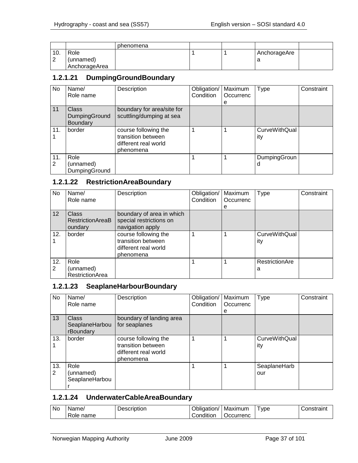|        |               | phenomena |  |              |  |
|--------|---------------|-----------|--|--------------|--|
| 10.    | Role          |           |  | AnchorageAre |  |
| ⌒<br>∸ | (unnamed)     |           |  |              |  |
|        | AnchorageArea |           |  |              |  |

#### **1.2.1.21 DumpingGroundBoundary**

| No  | Name/         | Description                | Obligation/ | Maximum   | Type          | Constraint |
|-----|---------------|----------------------------|-------------|-----------|---------------|------------|
|     | Role name     |                            | Condition   | Occurrenc |               |            |
|     |               |                            |             | е         |               |            |
| 11  | <b>Class</b>  | boundary for area/site for |             |           |               |            |
|     | DumpingGround | scuttling/dumping at sea   |             |           |               |            |
|     | Boundary      |                            |             |           |               |            |
| 11. | border        | course following the       |             |           | CurveWithQual |            |
|     |               | transition between         |             |           | ity           |            |
|     |               | different real world       |             |           |               |            |
|     |               | phenomena                  |             |           |               |            |
| 11. | Role          |                            |             |           | DumpingGroun  |            |
| 2   | (unnamed)     |                            |             |           | d             |            |
|     | DumpingGround |                            |             |           |               |            |

## **1.2.1.22 RestrictionAreaBoundary**

| No.             | Name/                                              | Description                                                                     | Obligation/ | Maximum   | Type                        | Constraint |
|-----------------|----------------------------------------------------|---------------------------------------------------------------------------------|-------------|-----------|-----------------------------|------------|
|                 | Role name                                          |                                                                                 | Condition   | Occurrenc |                             |            |
|                 |                                                    |                                                                                 |             | е         |                             |            |
| 12 <sup>2</sup> | <b>Class</b><br><b>RestrictionAreaB</b><br>oundary | boundary of area in which<br>special restrictions on<br>navigation apply        |             |           |                             |            |
| 12.             | border                                             | course following the<br>transition between<br>different real world<br>phenomena |             |           | <b>CurveWithQual</b><br>ity |            |
| 12.<br>2        | Role<br>(unnamed)<br>RestrictionArea               |                                                                                 |             |           | RestrictionAre<br>а         |            |

#### **1.2.1.23 SeaplaneHarbourBoundary**

| No       | Name/<br>Role name                   | Description                                                                     | Obligation/<br>Condition | Maximum<br>Occurrenc<br>е | Type                        | Constraint |
|----------|--------------------------------------|---------------------------------------------------------------------------------|--------------------------|---------------------------|-----------------------------|------------|
| 13       | Class<br>SeaplaneHarbou<br>rBoundary | boundary of landing area<br>for seaplanes                                       |                          |                           |                             |            |
| 13.      | border                               | course following the<br>transition between<br>different real world<br>phenomena |                          |                           | <b>CurveWithQual</b><br>ity |            |
| 13.<br>2 | Role<br>(unnamed)<br>SeaplaneHarbou  |                                                                                 |                          |                           | SeaplaneHarb<br>our         |            |

## **1.2.1.24 UnderwaterCableAreaBoundary**

| . No | lame,<br>.   | Description | Obligation/ | Maximum   | vpe | ∶onstraınt |
|------|--------------|-------------|-------------|-----------|-----|------------|
|      | name<br>Role |             | Condition   | Jccurrenc |     |            |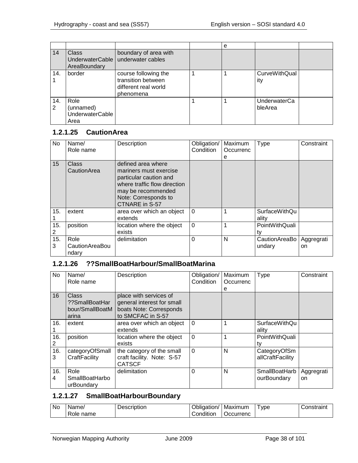|                       |                                                     |                                                                                 | е |                                |  |
|-----------------------|-----------------------------------------------------|---------------------------------------------------------------------------------|---|--------------------------------|--|
| 14                    | <b>Class</b><br>UnderwaterCable<br>AreaBoundary     | boundary of area with<br>underwater cables                                      |   |                                |  |
| 14.                   | border                                              | course following the<br>transition between<br>different real world<br>phenomena |   | <b>CurveWithQual</b><br>ity    |  |
| 14.<br>$\overline{2}$ | Role<br>(unnamed)<br><b>UnderwaterCable</b><br>Area |                                                                                 |   | <b>UnderwaterCa</b><br>bleArea |  |

## **1.2.1.25 CautionArea**

| No       | Name/<br>Role name              | Description                                                                                                                                                            | Obligation/<br>Condition | Maximum<br>Occurrenc | <b>Type</b>                   | Constraint       |
|----------|---------------------------------|------------------------------------------------------------------------------------------------------------------------------------------------------------------------|--------------------------|----------------------|-------------------------------|------------------|
| 15       | Class<br>CautionArea            | defined area where<br>mariners must exercise<br>particular caution and<br>where traffic flow direction<br>may be recommended<br>Note: Corresponds to<br>CTNARE in S-57 |                          | e                    |                               |                  |
| 15.      | extent                          | area over which an object<br>extends                                                                                                                                   | $\Omega$                 |                      | <b>SurfaceWithQu</b><br>alitv |                  |
| 15.<br>2 | position                        | location where the object<br>exists                                                                                                                                    | $\Omega$                 |                      | PointWithQuali<br>tv          |                  |
| 15.<br>3 | Role<br>CautionAreaBou<br>ndary | delimitation                                                                                                                                                           | $\Omega$                 | N                    | CautionAreaBo<br>undary       | Aggregrati<br>on |

## **1.2.1.26 ??SmallBoatHarbour/SmallBoatMarina**

| No       | Name/<br>Role name                                  | Description                                                                                          | Obligation/<br>Condition | Maximum<br>Occurrenc<br>е | <b>Type</b>                         | Constraint       |
|----------|-----------------------------------------------------|------------------------------------------------------------------------------------------------------|--------------------------|---------------------------|-------------------------------------|------------------|
| 16       | Class<br>??SmallBoatHar<br>bour/SmallBoatM<br>arina | place with services of<br>general interest for small<br>boats Note: Corresponds<br>to SMCFAC in S-57 |                          |                           |                                     |                  |
| 16.      | extent                                              | area over which an object<br>extends                                                                 | $\Omega$                 | 1                         | <b>SurfaceWithQu</b><br>ality       |                  |
| 16.<br>2 | position                                            | location where the object<br>exists                                                                  | $\overline{0}$           | 1                         | PointWithQuali<br>tv                |                  |
| 16.<br>3 | categoryOfSmall<br>CraftFacility                    | the category of the small<br>craft facility. Note: S-57<br><b>CATSCF</b>                             | $\Omega$                 | N                         | CategoryOfSm<br>allCraftFacility    |                  |
| 16.<br>4 | Role<br>SmallBoatHarbo<br>urBoundary                | delimitation                                                                                         | $\Omega$                 | N                         | <b>SmallBoatHarb</b><br>ourBoundary | Aggregrati<br>on |

## **1.2.1.27 SmallBoatHarbourBoundary**

| No. | Name,               | Description | Obligation/        | Maximum   | vpe | ∴onstrain* |
|-----|---------------------|-------------|--------------------|-----------|-----|------------|
|     | name<br><b>ROIE</b> |             | 1.1.1<br>Condition | Jccurrenc |     |            |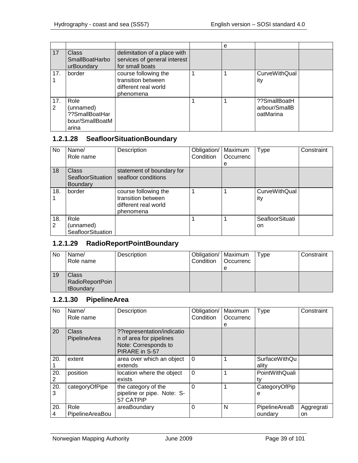|          |                                                                 |                                                                                 | е |                                            |  |
|----------|-----------------------------------------------------------------|---------------------------------------------------------------------------------|---|--------------------------------------------|--|
| 17       | <b>Class</b><br>SmallBoatHarbo<br>urBoundary                    | delimitation of a place with<br>services of general interest<br>for small boats |   |                                            |  |
| 17.      | border                                                          | course following the<br>transition between<br>different real world<br>phenomena |   | <b>CurveWithQual</b><br>ity                |  |
| 17.<br>2 | Role<br>(unnamed)<br>??SmallBoatHar<br>bour/SmallBoatM<br>arina |                                                                                 |   | ??SmallBoatH<br>arbour/SmallB<br>oatMarina |  |

### **1.2.1.28 SeafloorSituationBoundary**

| No       | Name/                                                | Description                                                                     | Obligation/ | Maximum   | Type                        | Constraint |
|----------|------------------------------------------------------|---------------------------------------------------------------------------------|-------------|-----------|-----------------------------|------------|
|          | Role name                                            |                                                                                 | Condition   | Occurrenc |                             |            |
|          |                                                      |                                                                                 |             | е         |                             |            |
| 18       | <b>Class</b><br>SeafloorSituation<br><b>Boundary</b> | statement of boundary for<br>seafloor conditions                                |             |           |                             |            |
| 18.      | border                                               | course following the<br>transition between<br>different real world<br>phenomena |             |           | <b>CurveWithQual</b><br>ity |            |
| 18.<br>2 | Role<br>(unnamed)<br>SeafloorSituation               |                                                                                 |             |           | SeafloorSituati<br>on.      |            |

## **1.2.1.29 RadioReportPointBoundary**

| <b>No</b> | Name/<br>Role name                           | Description | Obligation/   Maximum<br>Condition | <b>Occurrenc</b><br>e | Type | Constraint |
|-----------|----------------------------------------------|-------------|------------------------------------|-----------------------|------|------------|
| 19        | Class<br><b>RadioReportPoin</b><br>tBoundary |             |                                    |                       |      |            |

#### **1.2.1.30 PipelineArea**

| No       | Name/<br>Role name      | Description                                                                                     | Obligation/<br>Condition | Maximum<br>Occurrenc<br>е | <b>Type</b>                   | Constraint       |
|----------|-------------------------|-------------------------------------------------------------------------------------------------|--------------------------|---------------------------|-------------------------------|------------------|
| 20       | Class<br>PipelineArea   | ??representation/indicatio<br>n of area for pipelines<br>Note: Corresponds to<br>PIRARE in S-57 |                          |                           |                               |                  |
| 20.      | extent                  | area over which an object<br>extends                                                            | 0                        |                           | <b>SurfaceWithQu</b><br>ality |                  |
| 20.<br>2 | position                | location where the object<br>exists                                                             | $\Omega$                 |                           | PointWithQuali                |                  |
| 20.<br>3 | categoryOfPipe          | the category of the<br>pipeline or pipe. Note: S-<br>57 CATPIP                                  | $\Omega$                 |                           | CategoryOfPip<br>е            |                  |
| 20.<br>4 | Role<br>PipelineAreaBou | areaBoundary                                                                                    | 0                        | N                         | PipelineAreaB<br>oundary      | Aggregrati<br>on |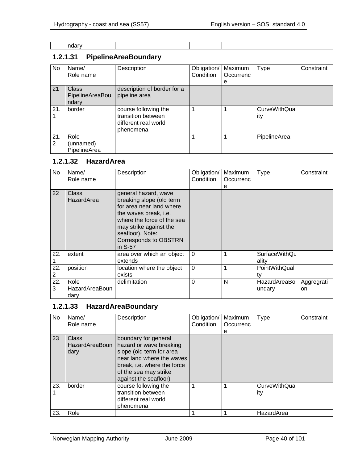| - ---<br>ndar |  |  |  |
|---------------|--|--|--|
|               |  |  |  |

## **1.2.1.31 PipelineAreaBoundary**

| No.      | Name/<br>Role name                       | Description                                                                     | Obligation/<br>Condition | Maximum<br>Occurrenc<br>е | <b>Type</b>                 | Constraint |
|----------|------------------------------------------|---------------------------------------------------------------------------------|--------------------------|---------------------------|-----------------------------|------------|
| 21       | <b>Class</b><br>PipelineAreaBou<br>ndary | description of border for a<br>pipeline area                                    |                          |                           |                             |            |
| 21.      | border                                   | course following the<br>transition between<br>different real world<br>phenomena |                          |                           | <b>CurveWithQual</b><br>ity |            |
| 21.<br>2 | Role<br>(unnamed)<br>PipelineArea        |                                                                                 |                          |                           | PipelineArea                |            |

#### **1.2.1.32 HazardArea**

| <b>No</b> | Name/<br>Role name             | Description                                                                                                                                                                                                                    | Obligation/<br>Condition | Maximum<br>Occurrenc<br>е | <b>Type</b>            | Constraint       |
|-----------|--------------------------------|--------------------------------------------------------------------------------------------------------------------------------------------------------------------------------------------------------------------------------|--------------------------|---------------------------|------------------------|------------------|
| 22        | Class<br>HazardArea            | general hazard, wave<br>breaking slope (old term<br>for area near land where<br>the waves break, i.e.<br>where the force of the sea<br>may strike against the<br>seafloor). Note:<br><b>Corresponds to OBSTRN</b><br>in $S-57$ |                          |                           |                        |                  |
| 22.       | extent                         | area over which an object<br>extends                                                                                                                                                                                           | $\Omega$                 | 1                         | SurfaceWithQu<br>ality |                  |
| 22.       | position                       | location where the object<br>exists                                                                                                                                                                                            | $\Omega$                 |                           | PointWithQuali<br>tv   |                  |
| 22.<br>3  | Role<br>HazardAreaBoun<br>dary | delimitation                                                                                                                                                                                                                   | 0                        | N                         | HazardAreaBo<br>undary | Aggregrati<br>on |

## **1.2.1.33 HazardAreaBoundary**

| No. | Name/<br>Role name                     | Description                                                                                                                                                                               | Obligation/<br>Condition | Maximum<br>Occurrenc<br>е | Type                        | Constraint |
|-----|----------------------------------------|-------------------------------------------------------------------------------------------------------------------------------------------------------------------------------------------|--------------------------|---------------------------|-----------------------------|------------|
| 23  | <b>Class</b><br>HazardAreaBoun<br>dary | boundary for general<br>hazard or wave breaking<br>slope (old term for area<br>near land where the waves<br>break, i.e. where the force<br>of the sea may strike<br>against the seafloor) |                          |                           |                             |            |
| 23. | border                                 | course following the<br>transition between<br>different real world<br>phenomena                                                                                                           |                          |                           | <b>CurveWithQual</b><br>ity |            |
| 23. | Role                                   |                                                                                                                                                                                           |                          |                           | HazardArea                  |            |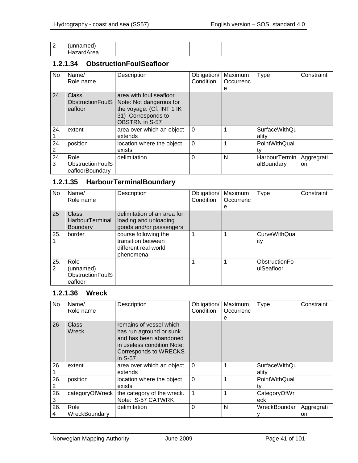| $\sqrt{2}$<br>$\sim$ | 1.1000000000<br>.    |  |  |  |
|----------------------|----------------------|--|--|--|
|                      | $\mathbf{r}$<br>l Uc |  |  |  |

### **1.2.1.34 ObstructionFoulSeafloor**

| <b>No</b> | Name/<br>Role name                                 | Description                                                                                                             | Obligation/<br>Condition | Maximum<br>Occurrenc<br>е | <b>Type</b>                   | Constraint       |
|-----------|----------------------------------------------------|-------------------------------------------------------------------------------------------------------------------------|--------------------------|---------------------------|-------------------------------|------------------|
| 24        | Class<br>ObstructionFoulS<br>eafloor               | area with foul seafloor<br>Note: Not dangerous for<br>the voyage. (Cf. INT 1 IK<br>31) Corresponds to<br>OBSTRN in S-57 |                          |                           |                               |                  |
| 24.       | extent                                             | area over which an object<br>extends                                                                                    | $\Omega$                 |                           | <b>SurfaceWithQu</b><br>ality |                  |
| 24.<br>2  | position                                           | location where the object<br>exists                                                                                     | $\Omega$                 |                           | PointWithQuali                |                  |
| 24.<br>3  | Role<br><b>ObstructionFoulS</b><br>eafloorBoundary | delimitation                                                                                                            | 0                        | N                         | HarbourTermin<br>alBoundary   | Aggregrati<br>on |

## **1.2.1.35 HarbourTerminalBoundary**

| No.      | Name/<br>Role name                                        | Description                                                                     | Obligation/<br>Condition | Maximum<br>Occurrenc<br>е | Type                        | Constraint |
|----------|-----------------------------------------------------------|---------------------------------------------------------------------------------|--------------------------|---------------------------|-----------------------------|------------|
| 25       | <b>Class</b><br><b>HarbourTerminal</b><br><b>Boundary</b> | delimitation of an area for<br>loading and unloading<br>goods and/or passengers |                          |                           |                             |            |
| 25.      | border                                                    | course following the<br>transition between<br>different real world<br>phenomena |                          |                           | CurveWithQual<br>ity        |            |
| 25.<br>2 | Role<br>(unnamed)<br><b>ObstructionFoulS</b><br>eafloor   |                                                                                 |                          |                           | ObstructionFo<br>ulSeafloor |            |

#### **1.2.1.36 Wreck**

| <b>No</b> | Name/<br>Role name    | Description                                                                                                                                    | Obligation/<br>Condition | Maximum<br>Occurrenc | Type                          | Constraint        |
|-----------|-----------------------|------------------------------------------------------------------------------------------------------------------------------------------------|--------------------------|----------------------|-------------------------------|-------------------|
| 26        | <b>Class</b><br>Wreck | remains of vessel which<br>has run aground or sunk<br>and has been abandoned<br>in useless condition Note:<br>Corresponds to WRECKS<br>in S-57 |                          | е                    |                               |                   |
| 26.       | extent                | area over which an object<br>extends                                                                                                           | $\Omega$                 |                      | <b>SurfaceWithQu</b><br>ality |                   |
| 26.       | position              | location where the object<br>exists                                                                                                            | $\mathbf 0$              |                      | PointWithQuali                |                   |
| 26.<br>3  | categoryOfWreck       | the category of the wreck.<br>Note: S-57 CATWRK                                                                                                | 1                        |                      | CategoryOfWr<br>eck           |                   |
| 26.<br>4  | Role<br>WreckBoundary | delimitation                                                                                                                                   | $\Omega$                 | N                    | WreckBoundar                  | Aggregrati<br>on. |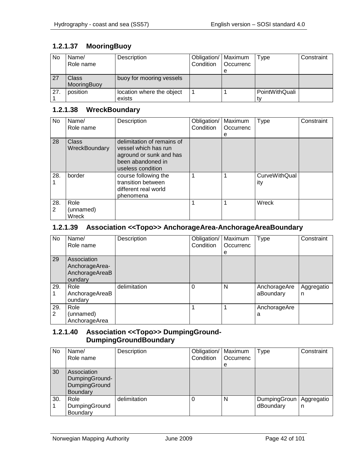## **1.2.1.37 MooringBuoy**

| <b>No</b> | Name/<br>Role name | Description               | Obligation/   Maximum<br>Condition | Occurrenc | Type           | Constraint |
|-----------|--------------------|---------------------------|------------------------------------|-----------|----------------|------------|
|           |                    |                           |                                    | е         |                |            |
| 27        | Class              | buoy for mooring vessels  |                                    |           |                |            |
|           | MooringBuoy        |                           |                                    |           |                |            |
| 27        | position           | location where the object |                                    |           | PointWithQuali |            |
|           |                    | exists                    |                                    |           |                |            |

#### **1.2.1.38 WreckBoundary**

| No.      | Name/<br>Role name         | Description                                                                                                             | Obligation/<br>Condition | Maximum<br>Occurrenc<br>е | <b>Type</b>                 | Constraint |
|----------|----------------------------|-------------------------------------------------------------------------------------------------------------------------|--------------------------|---------------------------|-----------------------------|------------|
| 28       | Class<br>WreckBoundary     | delimitation of remains of<br>vessel which has run<br>aground or sunk and has<br>been abandoned in<br>useless condition |                          |                           |                             |            |
| 28.      | border                     | course following the<br>transition between<br>different real world<br>phenomena                                         |                          |                           | <b>CurveWithQual</b><br>ity |            |
| 28.<br>2 | Role<br>(unnamed)<br>Wreck |                                                                                                                         |                          |                           | Wreck                       |            |

#### **1.2.1.39 Association <<Topo>> AnchorageArea-AnchorageAreaBoundary**

| No  | Name/          | Description  | Obligation/ | Maximum   | Type         | Constraint |
|-----|----------------|--------------|-------------|-----------|--------------|------------|
|     | Role name      |              | Condition   | Occurrenc |              |            |
|     |                |              |             | е         |              |            |
| 29  | Association    |              |             |           |              |            |
|     | AnchorageArea- |              |             |           |              |            |
|     | AnchorageAreaB |              |             |           |              |            |
|     | oundary        |              |             |           |              |            |
| 29. | Role           | delimitation | $\Omega$    | N         | AnchorageAre | Aggregatio |
|     | AnchorageAreaB |              |             |           | aBoundary    | n          |
|     | oundary        |              |             |           |              |            |
| 29. | Role           |              |             |           | AnchorageAre |            |
| 2   | (unnamed)      |              |             |           | a            |            |
|     | AnchorageArea  |              |             |           |              |            |

#### **1.2.1.40 Association <<Topo>> DumpingGround-DumpingGroundBoundary**

| No. | Name/          | Description  | Obligation/   Maximum |           | Type         | Constraint |
|-----|----------------|--------------|-----------------------|-----------|--------------|------------|
|     | Role name      |              | Condition             | Occurrenc |              |            |
|     |                |              |                       | е         |              |            |
| 30  | Association    |              |                       |           |              |            |
|     | DumpingGround- |              |                       |           |              |            |
|     | DumpingGround  |              |                       |           |              |            |
|     | Boundary       |              |                       |           |              |            |
| 30. | Role           | delimitation |                       | N         | DumpingGroun | Aggregatio |
|     | DumpingGround  |              |                       |           | dBoundary    | n          |
|     | Boundary       |              |                       |           |              |            |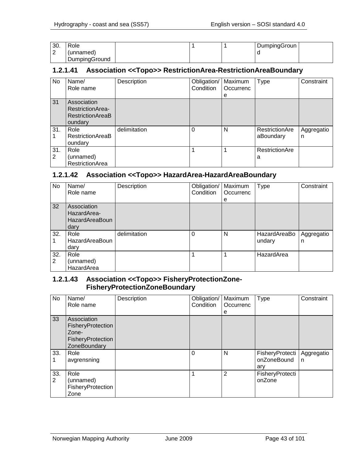| 30.    | Role          |  | DumpingGroun |  |
|--------|---------------|--|--------------|--|
| ⌒<br>∠ | (unnamed)     |  |              |  |
|        | DumpingGround |  |              |  |

#### **1.2.1.41 Association <<Topo>> RestrictionArea-RestrictionAreaBoundary**

| No       | Name/<br>Role name                                                    | Description  | Obligation/<br>Condition | Maximum<br>Occurrenc<br>е | <b>Type</b>                 | Constraint      |
|----------|-----------------------------------------------------------------------|--------------|--------------------------|---------------------------|-----------------------------|-----------------|
| 31       | Association<br>RestrictionArea-<br><b>RestrictionAreaB</b><br>oundary |              |                          |                           |                             |                 |
| 31.      | Role<br><b>RestrictionAreaB</b><br>oundary                            | delimitation | 0                        | N                         | RestrictionAre<br>aBoundary | Aggregatio<br>n |
| 31.<br>2 | Role<br>(unnamed)<br>RestrictionArea                                  |              |                          |                           | RestrictionAre<br>a         |                 |

### **1.2.1.42 Association <<Topo>> HazardArea-HazardAreaBoundary**

| No       | Name/<br>Role name                                          | Description  | Obligation/<br>Condition | Maximum<br>Occurrenc<br>е | Type                   | Constraint      |
|----------|-------------------------------------------------------------|--------------|--------------------------|---------------------------|------------------------|-----------------|
| 32       | Association<br>HazardArea-<br><b>HazardAreaBoun</b><br>dary |              |                          |                           |                        |                 |
| 32.      | Role<br><b>HazardAreaBoun</b><br>dary                       | delimitation | $\Omega$                 | N                         | HazardAreaBo<br>undary | Aggregatio<br>n |
| 32.<br>2 | Role<br>(unnamed)<br>HazardArea                             |              |                          |                           | HazardArea             |                 |

#### **1.2.1.43 Association <<Topo>> FisheryProtectionZone-FisheryProtectionZoneBoundary**

| No                    | Name/<br>Role name                                                             | Description | Obligation/<br>Condition | Maximum<br>Occurrenc<br>е | <b>Type</b>                           | Constraint                 |
|-----------------------|--------------------------------------------------------------------------------|-------------|--------------------------|---------------------------|---------------------------------------|----------------------------|
| 33                    | Association<br>FisheryProtection<br>Zone-<br>FisheryProtection<br>ZoneBoundary |             |                          |                           |                                       |                            |
| 33.                   | Role<br>avgrensning                                                            |             | 0                        | N                         | FisheryProtecti<br>onZoneBound<br>arv | Aggregatio<br>$\mathsf{n}$ |
| 33.<br>$\overline{2}$ | Role<br>(unnamed)<br>FisheryProtection<br>Zone                                 |             |                          | 2                         | FisheryProtecti<br>onZone             |                            |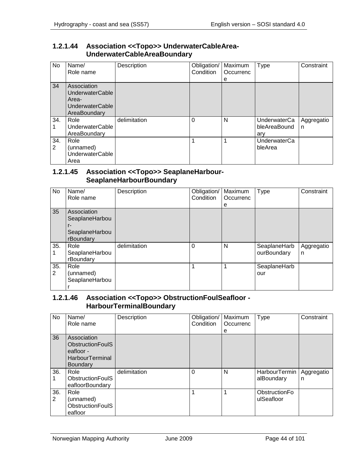#### **1.2.1.44 Association <<Topo>> UnderwaterCableArea-UnderwaterCableAreaBoundary**

| No       | Name/<br>Role name                                                                       | Description  | Obligation/<br>Condition | Maximum<br>Occurrenc<br>е | Type                                       | Constraint      |
|----------|------------------------------------------------------------------------------------------|--------------|--------------------------|---------------------------|--------------------------------------------|-----------------|
| 34       | Association<br><b>UnderwaterCable</b><br>Area-<br><b>UnderwaterCable</b><br>AreaBoundary |              |                          |                           |                                            |                 |
| 34.      | Role<br><b>UnderwaterCable</b><br>AreaBoundary                                           | delimitation | $\Omega$                 | N                         | <b>UnderwaterCa</b><br>bleAreaBound<br>arv | Aggregatio<br>n |
| 34.<br>2 | Role<br>(unnamed)<br><b>UnderwaterCable</b><br>Area                                      |              | 1                        | 1                         | UnderwaterCa<br>bleArea                    |                 |

#### **1.2.1.45 Association <<Topo>> SeaplaneHarbour-SeaplaneHarbourBoundary**

| No       | Name/<br>Role name                                                   | Description  | Obligation/<br>Condition | Maximum<br>Occurrenc<br>е | <b>Type</b>                 | Constraint      |
|----------|----------------------------------------------------------------------|--------------|--------------------------|---------------------------|-----------------------------|-----------------|
| 35       | Association<br>SeaplaneHarbou<br>$r-$<br>SeaplaneHarbou<br>rBoundary |              |                          |                           |                             |                 |
| 35.      | Role<br>SeaplaneHarbou<br>rBoundary                                  | delimitation | 0                        | N                         | SeaplaneHarb<br>ourBoundary | Aggregatio<br>n |
| 35.<br>2 | Role<br>(unnamed)<br>SeaplaneHarbou                                  |              |                          |                           | SeaplaneHarb<br>our         |                 |

#### **1.2.1.46 Association <<Topo>> ObstructionFoulSeafloor - HarbourTerminalBoundary**

| No       | Name/<br>Role name                                                                               | Description  | Obligation/<br>Condition | Maximum<br>Occurrenc<br>е | Type                        | Constraint      |
|----------|--------------------------------------------------------------------------------------------------|--------------|--------------------------|---------------------------|-----------------------------|-----------------|
| 36       | Association<br><b>ObstructionFoulS</b><br>eafloor -<br><b>HarbourTerminal</b><br><b>Boundary</b> |              |                          |                           |                             |                 |
| 36.      | Role<br><b>ObstructionFoulS</b><br>eafloorBoundary                                               | delimitation | 0                        | N                         | HarbourTermin<br>alBoundary | Aggregatio<br>n |
| 36.<br>2 | Role<br>(unnamed)<br><b>ObstructionFoulS</b><br>eafloor                                          |              |                          |                           | ObstructionFo<br>ulSeafloor |                 |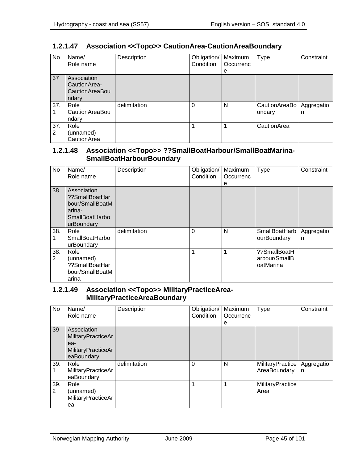| No       | Name/<br>Role name                                     | Description  | Obligation/<br>Condition | Maximum<br>Occurrenc<br>е | Type                    | Constraint      |
|----------|--------------------------------------------------------|--------------|--------------------------|---------------------------|-------------------------|-----------------|
| 37       | Association<br>CautionArea-<br>CautionAreaBou<br>ndary |              |                          |                           |                         |                 |
| 37.      | Role<br>CautionAreaBou<br>ndary                        | delimitation | 0                        | N                         | CautionAreaBo<br>undary | Aggregatio<br>n |
| 37.<br>2 | Role<br>(unnamed)<br>CautionArea                       |              |                          |                           | CautionArea             |                 |

### **1.2.1.47 Association <<Topo>> CautionArea-CautionAreaBoundary**

### **1.2.1.48 Association <<Topo>> ??SmallBoatHarbour/SmallBoatMarina-SmallBoatHarbourBoundary**

| No                    | Name/<br>Role name                                                                         | Description  | Obligation/<br>Condition | Maximum<br>Occurrenc<br>е | Type                                       | Constraint      |
|-----------------------|--------------------------------------------------------------------------------------------|--------------|--------------------------|---------------------------|--------------------------------------------|-----------------|
| 38                    | Association<br>??SmallBoatHar<br>bour/SmallBoatM<br>arina-<br>SmallBoatHarbo<br>urBoundary |              |                          |                           |                                            |                 |
| 38.                   | Role<br>SmallBoatHarbo<br>urBoundary                                                       | delimitation | $\Omega$                 | N                         | <b>SmallBoatHarb</b><br>ourBoundary        | Aggregatio<br>n |
| 38.<br>$\overline{2}$ | Role<br>(unnamed)<br>??SmallBoatHar<br>bour/SmallBoatM<br>arina                            |              |                          |                           | ??SmallBoatH<br>arbour/SmallB<br>oatMarina |                 |

#### **1.2.1.49 Association <<Topo>> MilitaryPracticeArea-MilitaryPracticeAreaBoundary**

| No.      | Name/<br>Role name                                                                  | Description  | Obligation/<br>Condition | Maximum<br>Occurrenc<br>е | <b>Type</b>                      | Constraint                 |
|----------|-------------------------------------------------------------------------------------|--------------|--------------------------|---------------------------|----------------------------------|----------------------------|
| 39       | Association<br><b>MilitaryPracticeAr</b><br>ea-<br>MilitaryPracticeAr<br>eaBoundary |              |                          |                           |                                  |                            |
| 39.      | Role<br>MilitaryPracticeAr<br>eaBoundary                                            | delimitation | 0                        | N                         | MilitaryPractice<br>AreaBoundary | Aggregatio<br>$\mathsf{n}$ |
| 39.<br>2 | Role<br>(unnamed)<br>MilitaryPracticeAr<br>ea                                       |              |                          |                           | MilitaryPractice<br>Area         |                            |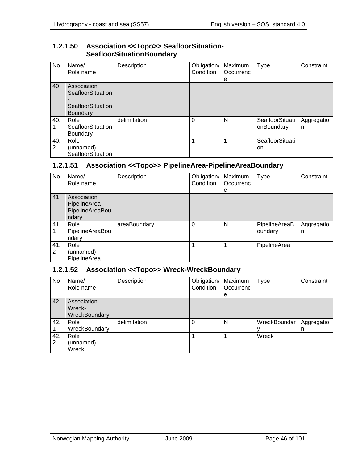### **1.2.1.50 Association <<Topo>> SeafloorSituation-SeafloorSituationBoundary**

| No       | Name/<br>Role name                                                       | Description  | Obligation/<br>Condition | Maximum<br>Occurrenc<br>е | Type                          | Constraint      |
|----------|--------------------------------------------------------------------------|--------------|--------------------------|---------------------------|-------------------------------|-----------------|
| 40       | Association<br>SeafloorSituation<br>SeafloorSituation<br><b>Boundary</b> |              |                          |                           |                               |                 |
| 40.      | Role<br><b>SeafloorSituation</b><br>Boundary                             | delimitation | $\Omega$                 | N                         | SeafloorSituati<br>onBoundary | Aggregatio<br>n |
| 40.<br>2 | Role<br>(unnamed)<br>SeafloorSituation                                   |              | 1                        | 1                         | SeafloorSituati<br>on         |                 |

## **1.2.1.51 Association <<Topo>> PipelineArea-PipelineAreaBoundary**

| No       | Name/<br>Role name                                       | Description  | Obligation/<br>Condition | Maximum<br>Occurrenc | <b>Type</b>              | Constraint      |
|----------|----------------------------------------------------------|--------------|--------------------------|----------------------|--------------------------|-----------------|
|          |                                                          |              |                          | e                    |                          |                 |
| 41       | Association<br>PipelineArea-<br>PipelineAreaBou<br>ndary |              |                          |                      |                          |                 |
| 41.      | Role<br>PipelineAreaBou<br>ndary                         | areaBoundary | $\Omega$                 | N                    | PipelineAreaB<br>oundary | Aggregatio<br>n |
| 41.<br>2 | Role<br>(unnamed)<br>PipelineArea                        |              |                          |                      | PipelineArea             |                 |

## **1.2.1.52 Association <<Topo>> Wreck-WreckBoundary**

| No       | Name/<br>Role name                     | Description  | Obligation/<br>Condition | Maximum<br>Occurrenc<br>е | Type         | Constraint      |
|----------|----------------------------------------|--------------|--------------------------|---------------------------|--------------|-----------------|
| 42       | Association<br>Wreck-<br>WreckBoundary |              |                          |                           |              |                 |
| 42.      | Role<br>WreckBoundary                  | delimitation |                          | N                         | WreckBoundar | Aggregatio<br>n |
| 42.<br>2 | Role<br>(unnamed)<br>Wreck             |              |                          |                           | Wreck        |                 |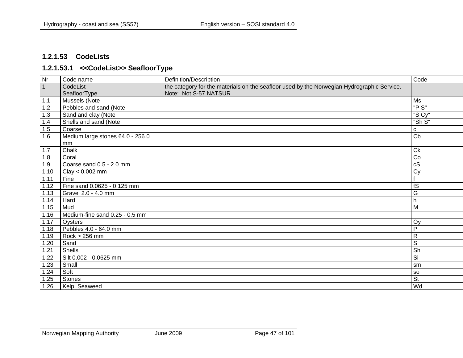### **1.2.1.53 CodeLists**

### **1.2.1.53.1 <<CodeList>> SeafloorType**

| Nr             | Code name                        | Definition/Description                                                                     | Code            |
|----------------|----------------------------------|--------------------------------------------------------------------------------------------|-----------------|
| $\overline{1}$ | CodeList                         | the category for the materials on the seafloor used by the Norwegian Hydrographic Service. |                 |
|                | SeafloorType                     | Note: Not S-57 NATSUR                                                                      |                 |
| $1.1$          | Mussels (Note                    |                                                                                            | Ms              |
| 1.2            | Pebbles and sand (Note           |                                                                                            | "P S"           |
| 1.3            | Sand and clay (Note              |                                                                                            | "S Cy"          |
| $1.4$          | Shells and sand (Note            |                                                                                            | "Sh S"          |
| 1.5            | Coarse                           |                                                                                            | C               |
| 1.6            | Medium large stones 64.0 - 256.0 |                                                                                            | $\overline{Cb}$ |
|                | mm                               |                                                                                            |                 |
| 1.7            | Chalk                            |                                                                                            | <b>Ck</b>       |
| 1.8            | Coral                            |                                                                                            | Co              |
| 1.9            | Coarse sand 0.5 - 2.0 mm         |                                                                                            | cS              |
| 1.10           | $Clay < 0.002$ mm                |                                                                                            | Cy              |
| 1.11           | Fine                             |                                                                                            |                 |
| 1.12           | Fine sand 0.0625 - 0.125 mm      |                                                                                            | fS              |
| 1.13           | Gravel 2.0 - 4.0 mm              |                                                                                            | G               |
| 1.14           | Hard                             |                                                                                            | h               |
| 1.15           | Mud                              |                                                                                            | M               |
| 1.16           | Medium-fine sand 0.25 - 0.5 mm   |                                                                                            |                 |
| 1.17           | Oysters                          |                                                                                            | Oy              |
| 1.18           | Pebbles 4.0 - 64.0 mm            |                                                                                            | P               |
| 1.19           | $Rock > 256$ mm                  |                                                                                            | $\mathsf{R}$    |
| 1.20           | Sand                             |                                                                                            | $\mathsf S$     |
| 1.21           | <b>Shells</b>                    |                                                                                            | Sh              |
| 1.22           | Silt 0.002 - 0.0625 mm           |                                                                                            | Si              |
| 1.23           | Small                            |                                                                                            | sm              |
| 1.24           | Soft                             |                                                                                            | <b>SO</b>       |
| 1.25           | <b>Stones</b>                    |                                                                                            | <b>St</b>       |
| 1.26           | Kelp, Seaweed                    |                                                                                            | Wd              |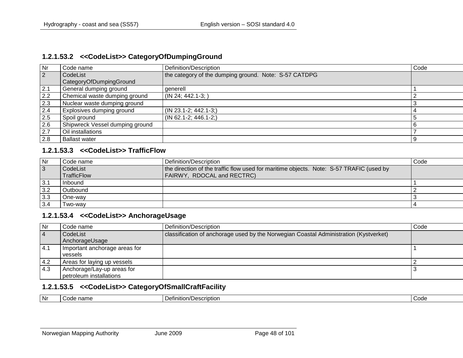# **1.2.1.53.2 <<CodeList>> CategoryOfDumpingGround**

| <b>Nr</b> | Code name                           | Definition/Description                                | Code |
|-----------|-------------------------------------|-------------------------------------------------------|------|
| 2         | CodeList<br>CategoryOfDumpingGround | the category of the dumping ground. Note: S-57 CATDPG |      |
| 2.1       | General dumping ground              | generell                                              |      |
| 2.2       | Chemical waste dumping ground       | $(N 24; 442.1-3; )$                                   |      |
| 2.3       | Nuclear waste dumping ground        |                                                       |      |
| 2.4       | Explosives dumping ground           | $\vert$ (IN 23.1-2; 442.1-3;)                         |      |
| 2.5       | Spoil ground                        | $(N 62.1 - 2; 446.1 - 2))$                            | b    |
| 2.6       | Shipwreck Vessel dumping ground     |                                                       |      |
| 2.7       | Oil installations                   |                                                       |      |
| 2.8       | <b>Ballast water</b>                |                                                       | g    |

## **1.2.1.53.3 <<CodeList>> TrafficFlow**

| Nr             | Code name          | Definition/Description                                                                  | Code |
|----------------|--------------------|-----------------------------------------------------------------------------------------|------|
| $\overline{3}$ | CodeList           | the direction of the traffic flow used for maritime objects. Note: S-57 TRAFIC (used by |      |
|                | <b>TrafficFlow</b> | FAIRWY, RDOCAL and RECTRC)                                                              |      |
| 3.1            | <b>Inbound</b>     |                                                                                         |      |
| 3.2            | Outbound           |                                                                                         |      |
| 3.3            | One-wav            |                                                                                         |      |
| 3.4            | Two-way            |                                                                                         |      |

## **1.2.1.53.4 <<CodeList>> AnchorageUsage**

| Nr            | Code name                     | Definition/Description                                                                | Code |
|---------------|-------------------------------|---------------------------------------------------------------------------------------|------|
| $\sqrt{4}$    | CodeList                      | classification of anchorage used by the Norwegian Coastal Administration (Kystverket) |      |
|               | AnchorageUsage                |                                                                                       |      |
| 14.1          | Important anchorage areas for |                                                                                       |      |
|               | vessels                       |                                                                                       |      |
| $ 4.2\rangle$ | Areas for laying up vessels   |                                                                                       |      |
| 14.3          | Anchorage/Lay-up areas for    |                                                                                       |      |
|               | petroleum installations       |                                                                                       |      |

#### **1.2.1.53.5 <<CodeList>> CategoryOfSmallCraftFacility**

| . Nr<br>name<br>Description<br>)etinition/L<br>`∩NA<br>,,,,, <del>,</del> | . הי<br>vout |
|---------------------------------------------------------------------------|--------------|
|---------------------------------------------------------------------------|--------------|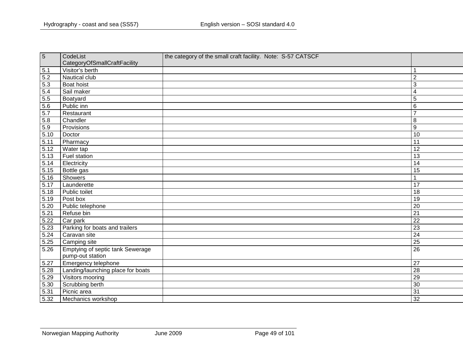| $\overline{5}$ | CodeList                                | the category of the small craft facility. Note: S-57 CATSCF |                 |
|----------------|-----------------------------------------|-------------------------------------------------------------|-----------------|
|                | CategoryOfSmallCraftFacility            |                                                             |                 |
| 5.1            | Visitor's berth                         |                                                             |                 |
| 5.2            | <b>Nautical club</b>                    |                                                             | $\overline{2}$  |
| 5.3            | Boat hoist                              |                                                             | 3               |
| 5.4            | Sail maker                              |                                                             | 4               |
| 5.5            | Boatyard                                |                                                             | 5               |
| 5.6            | Public inn                              |                                                             | 6               |
| 5.7            | Restaurant                              |                                                             | $\overline{7}$  |
| 5.8            | Chandler                                |                                                             | 8               |
| 5.9            | Provisions                              |                                                             | 9               |
| $5.10$         | Doctor                                  |                                                             | 10              |
| 5.11           | Pharmacy                                |                                                             | 11              |
| 5.12           | Water tap                               |                                                             | 12              |
| 5.13           | Fuel station                            |                                                             | 13              |
| 5.14           | Electricity                             |                                                             | 14              |
| 5.15           | Bottle gas                              |                                                             | 15              |
| 5.16           | Showers                                 |                                                             |                 |
| 5.17           | Launderette                             |                                                             | 17              |
| 5.18           | Public toilet                           |                                                             | 18              |
| 5.19           | Post box                                |                                                             | 19              |
| $5.20$         | Public telephone                        |                                                             | 20              |
| 5.21           | Refuse bin                              |                                                             | 21              |
| 5.22           | Car park                                |                                                             | $\overline{22}$ |
| 5.23           | Parking for boats and trailers          |                                                             | 23              |
| 5.24           | Caravan site                            |                                                             | 24              |
| 5.25           | Camping site                            |                                                             | $\overline{25}$ |
| 5.26           | <b>Emptying of septic tank Sewerage</b> |                                                             | $\overline{26}$ |
|                | pump-out station                        |                                                             |                 |
| 5.27           | Emergency telephone                     |                                                             | 27              |
| 5.28           | Landing/launching place for boats       |                                                             | $\overline{28}$ |
| 5.29           | Visitors mooring                        |                                                             | 29              |
| 5.30           | Scrubbing berth                         |                                                             | 30              |
| 5.31           | Picnic area                             |                                                             | $\overline{31}$ |
| 5.32           | Mechanics workshop                      |                                                             | 32              |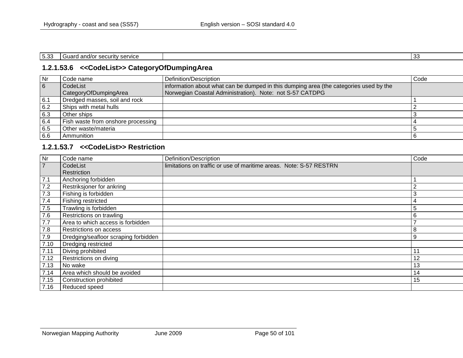| $F \cap T$<br>-5.33 | ' service<br>Guard<br>⊿ and/or sec⊬<br>security |  | $\sim$<br>. J |
|---------------------|-------------------------------------------------|--|---------------|
|---------------------|-------------------------------------------------|--|---------------|

#### **1.2.1.53.6 <<CodeList>> CategoryOfDumpingArea**

| l Nr           | Code name                          | Definition/Description                                                                | Code |
|----------------|------------------------------------|---------------------------------------------------------------------------------------|------|
| $\overline{6}$ | CodeList                           | information about what can be dumped in this dumping area (the categories used by the |      |
|                | CategoryOfDumpingArea              | Norwegian Coastal Administration). Note: not S-57 CATDPG                              |      |
| 6.1            | Dredged masses, soil and rock      |                                                                                       |      |
| 6.2            | Ships with metal hulls             |                                                                                       |      |
| 6.3            | Other ships                        |                                                                                       |      |
| 6.4            | Fish waste from onshore processing |                                                                                       |      |
| 6.5            | Other waste/materia                |                                                                                       |      |
| 6.6            | Ammunition                         |                                                                                       |      |

## **1.2.1.53.7 <<CodeList>> Restriction**

| Nr             | Code name                            | Definition/Description                                             | Code           |
|----------------|--------------------------------------|--------------------------------------------------------------------|----------------|
| $\overline{7}$ | CodeList                             | limitations on traffic or use of maritime areas. Note: S-57 RESTRN |                |
|                | Restriction                          |                                                                    |                |
| 7.1            | Anchoring forbidden                  |                                                                    |                |
| 7.2            | Restriksjoner for ankring            |                                                                    | $\overline{2}$ |
| 7.3            | Fishing is forbidden                 |                                                                    | 3              |
| 7.4            | Fishing restricted                   |                                                                    | 4              |
| 7.5            | Trawling is forbidden                |                                                                    | 5              |
| 7.6            | Restrictions on trawling             |                                                                    | 6              |
| 7.7            | Area to which access is forbidden    |                                                                    | ⇁              |
| 7.8            | Restrictions on access               |                                                                    | 8              |
| 7.9            | Dredging/seafloor scraping forbidden |                                                                    | 9              |
| 7.10           | Dredging restricted                  |                                                                    |                |
| 7.11           | Diving prohibited                    |                                                                    |                |
| 7.12           | Restrictions on diving               |                                                                    | 12             |
| 7.13           | No wake                              |                                                                    | 13             |
| 7.14           | Area which should be avoided         |                                                                    | 14             |
| 7.15           | Construction prohibited              |                                                                    | 15             |
| 7.16           | Reduced speed                        |                                                                    |                |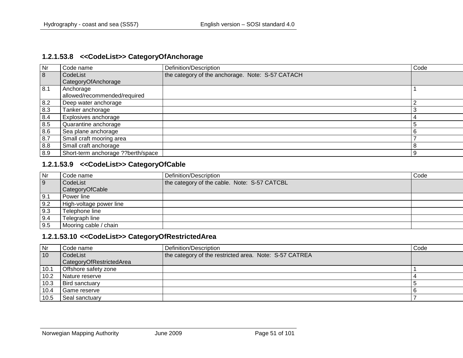#### **1.2.1.53.8 <<CodeList>> CategoryOfAnchorage**

| Nr  | Code name                                 | Definition/Description                           | Code |
|-----|-------------------------------------------|--------------------------------------------------|------|
| 8   | CodeList<br>CategoryOfAnchorage           | the category of the anchorage. Note: S-57 CATACH |      |
| 8.1 | Anchorage<br>allowed/recommended/required |                                                  |      |
| 8.2 | Deep water anchorage                      |                                                  |      |
| 8.3 | Tanker anchorage                          |                                                  |      |
| 8.4 | Explosives anchorage                      |                                                  |      |
| 8.5 | Quarantine anchorage                      |                                                  | 5    |
| 8.6 | Sea plane anchorage                       |                                                  | 6    |
| 8.7 | Small craft mooring area                  |                                                  |      |
| 8.8 | Small craft anchorage                     |                                                  | 8    |
| 8.9 | Short-term anchorage ??berth/space        |                                                  | 9    |

## **1.2.1.53.9 <<CodeList>> CategoryOfCable**

| $\overline{\mathsf{N}}$ r | Code name               | Definition/Description                       | Code |
|---------------------------|-------------------------|----------------------------------------------|------|
| $\overline{9}$            | CodeList                | the category of the cable. Note: S-57 CATCBL |      |
|                           | CategoryOfCable         |                                              |      |
| 9.1                       | Power line              |                                              |      |
| 9.2                       | High-voltage power line |                                              |      |
| 9.3                       | Telephone line          |                                              |      |
| 9.4                       | Telegraph line          |                                              |      |
| 9.5                       | Mooring cable / chain   |                                              |      |

#### **1.2.1.53.10 <<CodeList>> CategoryOfRestrictedArea**

| Nr   | Code name                | Definition/Description                                 | Code |
|------|--------------------------|--------------------------------------------------------|------|
| 10   | CodeList                 | the category of the restricted area. Note: S-57 CATREA |      |
|      | CategoryOfRestrictedArea |                                                        |      |
| 10.1 | Offshore safety zone     |                                                        |      |
| 10.2 | Nature reserve           |                                                        |      |
| 10.3 | <b>Bird sanctuary</b>    |                                                        |      |
| 10.4 | Game reserve             |                                                        |      |
| 10.5 | Seal sanctuary           |                                                        |      |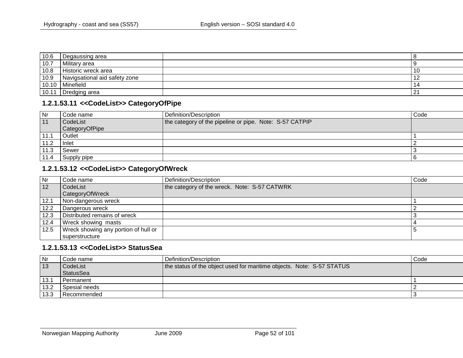| 10.6  | Degaussing area               |                |
|-------|-------------------------------|----------------|
| 10.7  | Military area                 |                |
| 10.8  | Historic wreck area           | 1 U            |
| 10.9  | Navigsational aid safety zone |                |
| 10.10 | <b>Minefield</b>              | -14            |
| 10.11 | Dredging area                 | 2 <sup>1</sup> |

### **1.2.1.53.11 <<CodeList>> CategoryOfPipe**

| <b>Nr</b> | Code name      | Definition/Description                                  | Code |
|-----------|----------------|---------------------------------------------------------|------|
| 11        | CodeList       | the category of the pipeline or pipe. Note: S-57 CATPIP |      |
|           | CategoryOfPipe |                                                         |      |
| 11.1      | Outlet         |                                                         |      |
| 11.2      | Inlet          |                                                         |      |
| 11.3      | Sewer          |                                                         |      |
| 11.4      | Supply pipe    |                                                         |      |

### **1.2.1.53.12 <<CodeList>> CategoryOfWreck**

| Nr   | Code name                            | Definition/Description                       | Code |
|------|--------------------------------------|----------------------------------------------|------|
| 12   | CodeList                             | the category of the wreck. Note: S-57 CATWRK |      |
|      | CategoryOfWreck                      |                                              |      |
| 12.1 | Non-dangerous wreck                  |                                              |      |
| 12.2 | Dangerous wreck                      |                                              |      |
| 12.3 | Distributed remains of wreck         |                                              |      |
| 12.4 | Wreck showing masts                  |                                              |      |
| 12.5 | Wreck showing any portion of hull or |                                              |      |
|      | superstructure                       |                                              |      |

## **1.2.1.53.13 <<CodeList>> StatusSea**

| Nr   | Code name        | Definition/Description                                                | Code |
|------|------------------|-----------------------------------------------------------------------|------|
| 13   | CodeList         | the status of the object used for maritime objects. Note: S-57 STATUS |      |
|      | <b>StatusSea</b> |                                                                       |      |
| 13.1 | Permanent        |                                                                       |      |
| 13.2 | Spesial needs    |                                                                       |      |
| 13.3 | Recommended      |                                                                       |      |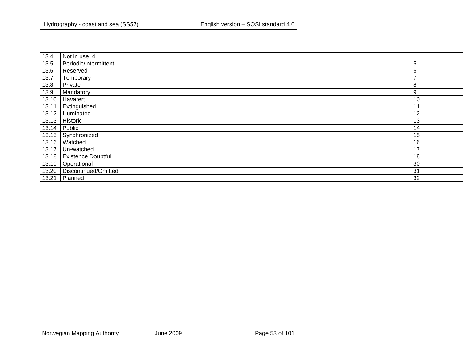| Not in use 4              |                        |    |
|---------------------------|------------------------|----|
| Periodic/intermittent     |                        | 5  |
| Reserved                  |                        | 6  |
| Temporary                 |                        |    |
| Private                   |                        | 8  |
| Mandatory                 |                        | 9  |
| Havarert                  |                        | 10 |
| Extinguished              |                        |    |
|                           |                        | 12 |
| Historic                  |                        | 13 |
| Public                    |                        | 14 |
| 13.15 Synchronized        |                        | 15 |
|                           |                        | 16 |
| Un-watched                |                        | 17 |
| <b>Existence Doubtful</b> |                        | 18 |
| 13.19<br>Operational      |                        | 30 |
| Discontinued/Omitted      |                        | 31 |
| Planned                   |                        | 32 |
|                           | Illuminated<br>Watched |    |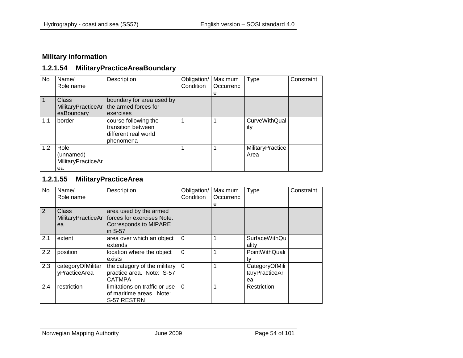## **Military information**

## **1.2.1.54 MilitaryPracticeAreaBoundary**

| No  | Name/              | Description                               | Obligation/ | Maximum   | Type                 | Constraint |
|-----|--------------------|-------------------------------------------|-------------|-----------|----------------------|------------|
|     | Role name          |                                           | Condition   | Occurrenc |                      |            |
|     |                    |                                           |             | е         |                      |            |
|     | <b>Class</b>       | boundary for area used by                 |             |           |                      |            |
|     |                    | MilitaryPracticeAr   the armed forces for |             |           |                      |            |
|     | eaBoundary         | exercises                                 |             |           |                      |            |
| 1.1 | border             | course following the                      |             |           | <b>CurveWithQual</b> |            |
|     |                    | transition between                        |             |           | ity                  |            |
|     |                    | different real world                      |             |           |                      |            |
|     |                    | phenomena                                 |             |           |                      |            |
| 1.2 | Role               |                                           |             |           | MilitaryPractice     |            |
|     | (unnamed)          |                                           |             |           | Area                 |            |
|     | MilitaryPracticeAr |                                           |             |           |                      |            |
|     | ea                 |                                           |             |           |                      |            |

## **1.2.1.55 MilitaryPracticeArea**

| No  | Name/<br>Role name                 | Description                                                                                                          | Obligation/<br>Condition | Maximum<br>Occurrenc<br>е | Type                                   | Constraint |
|-----|------------------------------------|----------------------------------------------------------------------------------------------------------------------|--------------------------|---------------------------|----------------------------------------|------------|
| 2   | Class<br>ea                        | area used by the armed<br>MilitaryPracticeAr   forces for exercises Note:<br><b>Corresponds to MIPARE</b><br>in S-57 |                          |                           |                                        |            |
| 2.1 | extent                             | area over which an object<br>extends                                                                                 | $\Omega$                 |                           | <b>SurfaceWithQu</b><br>ality          |            |
| 2.2 | position                           | location where the object<br>exists                                                                                  | $\Omega$                 |                           | PointWithQuali<br>tv                   |            |
| 2.3 | categoryOfMilitar<br>yPracticeArea | the category of the military<br>practice area. Note: S-57<br><b>CATMPA</b>                                           | <b>0</b>                 |                           | CategoryOfMili<br>taryPracticeAr<br>ea |            |
| 2.4 | restriction                        | limitations on traffic or use<br>of maritime areas. Note:<br>S-57 RESTRN                                             | $\Omega$                 |                           | Restriction                            |            |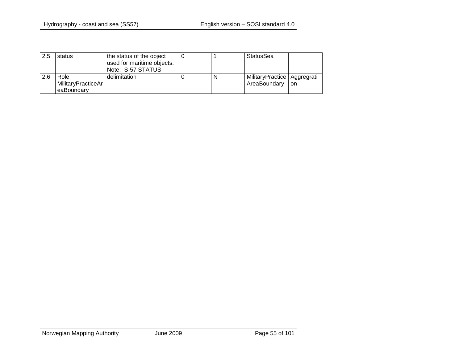| 2.5 | status                                   | the status of the object<br>used for maritime objects.<br>Note: S-57 STATUS |   | StatusSea                                     |      |
|-----|------------------------------------------|-----------------------------------------------------------------------------|---|-----------------------------------------------|------|
| 2.6 | Role<br>MilitaryPracticeAr<br>eaBoundary | delimitation                                                                | N | MilitaryPractice   Aggregrati<br>AreaBoundary | I on |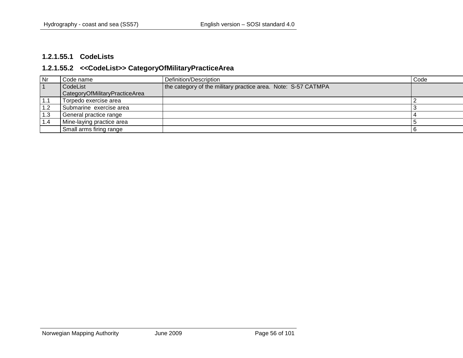#### **1.2.1.55.1 CodeLists**

## **1.2.1.55.2 <<CodeList>> CategoryOfMilitaryPracticeArea**

| Nr             | Code name                      | Definition/Description                                        | Code |
|----------------|--------------------------------|---------------------------------------------------------------|------|
| $\overline{1}$ | CodeList                       | the category of the military practice area. Note: S-57 CATMPA |      |
|                | CategoryOfMilitaryPracticeArea |                                                               |      |
| 1.1            | Torpedo exercise area          |                                                               |      |
| 1.2            | Submarine exercise area        |                                                               |      |
| 1.3            | General practice range         |                                                               |      |
| 1.4            | Mine-laying practice area      |                                                               |      |
|                | Small arms firing range        |                                                               |      |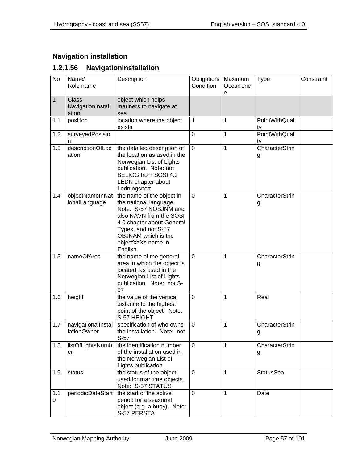## **Navigation installation**

## **1.2.1.56 NavigationInstallation**

| <b>No</b> | Name/<br>Role name                         | Description                                                                                                                                                                                                         | Obligation/<br>Condition | Maximum<br>Occurrenc<br>е | <b>Type</b>                 | Constraint |
|-----------|--------------------------------------------|---------------------------------------------------------------------------------------------------------------------------------------------------------------------------------------------------------------------|--------------------------|---------------------------|-----------------------------|------------|
| 1         | <b>Class</b><br>NavigationInstall<br>ation | object which helps<br>mariners to navigate at<br>sea                                                                                                                                                                |                          |                           |                             |            |
| 1.1       | position                                   | location where the object<br>exists                                                                                                                                                                                 | 1                        | 1                         | PointWithQuali<br>ty        |            |
| 1.2       | surveyedPosisjo                            |                                                                                                                                                                                                                     | 0                        | 1                         | <b>PointWithQuali</b><br>ty |            |
| 1.3       | descriptionOfLoc<br>ation                  | the detailed description of<br>the location as used in the<br>Norwegian List of Lights<br>publication. Note: not<br>BELIGG from SOSI 4.0<br><b>LEDN</b> chapter about<br>Ledningsnett                               | $\overline{0}$           | 1                         | CharacterStrin<br>g         |            |
| 1.4       | objectNameInNat<br>ionalLanguage           | the name of the object in<br>the national language.<br>Note: S-57 NOBJNM and<br>also NAVN from the SOSI<br>4.0 chapter about General<br>Types, and not S-57<br>OBJNAM which is the<br>objectXzXs name in<br>English | 0                        | 1                         | CharacterStrin<br>g         |            |
| 1.5       | nameOfArea                                 | the name of the general<br>area in which the object is<br>located, as used in the<br>Norwegian List of Lights<br>publication. Note: not S-<br>57                                                                    | $\overline{0}$           | 1                         | CharacterStrin<br>g         |            |
| 1.6       | height                                     | the value of the vertical<br>distance to the highest<br>point of the object. Note:<br>S-57 HEIGHT                                                                                                                   | 0                        | 1                         | Real                        |            |
| 1.7       | navigationalInstal<br>lationOwner          | specification of who owns<br>the installation. Note: not<br>$S-57$                                                                                                                                                  | 0                        | 1                         | CharacterStrin<br>g         |            |
| 1.8       | listOfLightsNumb<br>er                     | the identification number<br>of the installation used in<br>the Norwegian List of<br>Lights publication                                                                                                             | $\Omega$                 | 1                         | CharacterStrin<br>g         |            |
| 1.9       | status                                     | the status of the object<br>used for maritime objects.<br>Note: S-57 STATUS                                                                                                                                         | $\overline{0}$           | 1                         | <b>StatusSea</b>            |            |
| 1.1<br>0  | periodicDateStart                          | the start of the active<br>period for a seasonal<br>object (e.g. a buoy). Note:<br>S-57 PERSTA                                                                                                                      | $\mathbf 0$              | 1                         | Date                        |            |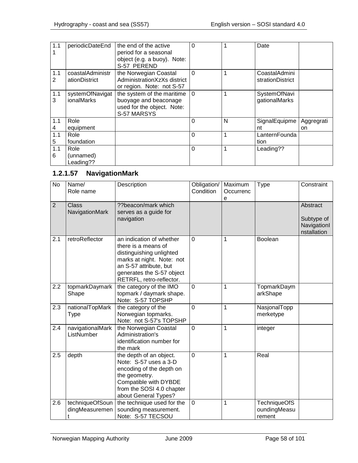| 1.1      | periodicDateEnd                   | the end of the active<br>period for a seasonal<br>object (e.g. a buoy). Note:<br>S-57 PEREND                 | 0        |   | Date                              |                  |
|----------|-----------------------------------|--------------------------------------------------------------------------------------------------------------|----------|---|-----------------------------------|------------------|
| 1.1<br>2 | coastalAdministr<br>ationDistrict | the Norwegian Coastal<br>Administration XzXs district<br>or region. Note: not S-57                           | $\Omega$ |   | CoastalAdmini<br>strationDistrict |                  |
| 1.1<br>3 | systemOfNavigat<br>ionalMarks     | the system of the maritime $ 0\rangle$<br>buoyage and beaconage<br>used for the object. Note:<br>S-57 MARSYS |          |   | SystemOfNavi<br>gationalMarks     |                  |
| 1.1<br>4 | Role<br>equipment                 |                                                                                                              | 0        | N | SignalEquipme<br>nt               | Aggregrati<br>on |
| 1.1<br>5 | Role<br>foundation                |                                                                                                              | 0        |   | LanternFounda<br>tion             |                  |
| 1.1<br>6 | Role<br>(unnamed)<br>Leading??    |                                                                                                              | $\Omega$ |   | Leading??                         |                  |

## **1.2.1.57 NavigationMark**

| <b>No</b>      | Name/<br>Role name                     | Description                                                                                                                                                                                 | Obligation/<br>Condition | Maximum<br>Occurrenc<br>е | Type                                          | Constraint                                           |
|----------------|----------------------------------------|---------------------------------------------------------------------------------------------------------------------------------------------------------------------------------------------|--------------------------|---------------------------|-----------------------------------------------|------------------------------------------------------|
| $\overline{2}$ | <b>Class</b><br>NavigationMark         | ??beacon/mark which<br>serves as a guide for<br>navigation                                                                                                                                  |                          |                           |                                               | Abstract<br>Subtype of<br>Navigationl<br>nstallation |
| 2.1            | retroReflector                         | an indication of whether<br>there is a means of<br>distinguishing unlighted<br>marks at night. Note: not<br>an S-57 attribute, but<br>generates the S-57 object<br>RETRFL, retro-reflector. | $\mathbf 0$              | 1                         | <b>Boolean</b>                                |                                                      |
| 2.2            | topmarkDaymark<br>Shape                | the category of the IMO<br>topmark / daymark shape.<br>Note: S-57 TOPSHP                                                                                                                    | 0                        | 1                         | TopmarkDaym<br>arkShape                       |                                                      |
| 2.3            | nationalTopMark<br><b>Type</b>         | the category of the<br>Norwegian topmarks.<br>Note: not S-57's TOPSHP                                                                                                                       | $\mathbf 0$              | 1                         | NasjonalTopp<br>merketype                     |                                                      |
| 2.4            | navigationalMark<br>ListNumber         | the Norwegian Coastal<br>Administration's<br>identification number for<br>the mark                                                                                                          | 0                        | 1                         | integer                                       |                                                      |
| 2.5            | depth                                  | the depth of an object.<br>Note: S-57 uses a 3-D<br>encoding of the depth on<br>the geometry.<br>Compatible with DYBDE<br>from the SOSI 4.0 chapter<br>about General Types?                 | 0                        | 1                         | Real                                          |                                                      |
| 2.6            | techniqueOfSoun<br>dingMeasuremen<br>t | the technique used for the<br>sounding measurement.<br>Note: S-57 TECSOU                                                                                                                    | 0                        | 1                         | <b>TechniqueOfS</b><br>oundingMeasu<br>rement |                                                      |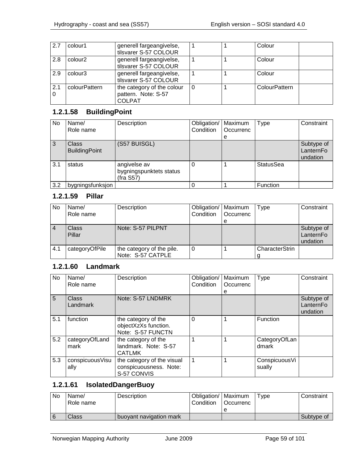| 12.7     | colour1             | generell fargeangivelse,<br>tilsvarer S-57 COLOUR                  |          | Colour        |
|----------|---------------------|--------------------------------------------------------------------|----------|---------------|
| 2.8      | colour <sub>2</sub> | generell fargeangivelse,<br>tilsvarer S-57 COLOUR                  |          | Colour        |
| 2.9      | colour <sub>3</sub> | generell fargeangivelse,<br>tilsvarer S-57 COLOUR                  |          | Colour        |
| 2.1<br>0 | colourPattern       | the category of the colour<br>pattern. Note: S-57<br><b>COLPAT</b> | $\Omega$ | ColourPattern |

### **1.2.1.58 BuildingPoint**

| <b>No</b> | Name/<br>Role name                   | Description                                          | Obligation/<br>Condition | Maximum<br>Occurrenc | Type             | Constraint                          |
|-----------|--------------------------------------|------------------------------------------------------|--------------------------|----------------------|------------------|-------------------------------------|
|           |                                      |                                                      |                          | е                    |                  |                                     |
| 3         | <b>Class</b><br><b>BuildingPoint</b> | (S57 BUISGL)                                         |                          |                      |                  | Subtype of<br>LanternFo<br>undation |
| 3.1       | status                               | angivelse av<br>bygningspunktets status<br>(fra S57) |                          |                      | <b>StatusSea</b> |                                     |
| 3.2       | bygningsfunksjon                     |                                                      |                          |                      | Function         |                                     |

#### **1.2.1.59 Pillar**

| <b>No</b> | Name/<br>Role name | Description                                    | Obligation/   Maximum<br>Condition | <b>Occurrenc</b> | Type           | Constraint                          |
|-----------|--------------------|------------------------------------------------|------------------------------------|------------------|----------------|-------------------------------------|
|           |                    |                                                |                                    | е                |                |                                     |
|           | Class<br>Pillar    | Note: S-57 PILPNT                              |                                    |                  |                | Subtype of<br>LanternFo<br>undation |
| 4.1       | categoryOfPile     | the category of the pile.<br>Note: S-57 CATPLE |                                    |                  | CharacterStrin |                                     |

#### **1.2.1.60 Landmark**

| <b>No</b>   | Name/<br>Role name      | Description                                                         | Obligation/<br>Condition | Maximum<br>Occurrenc<br>е | Type                    | Constraint                          |
|-------------|-------------------------|---------------------------------------------------------------------|--------------------------|---------------------------|-------------------------|-------------------------------------|
| $5^{\circ}$ | Class<br>Landmark       | Note: S-57 LNDMRK                                                   |                          |                           |                         | Subtype of<br>LanternFo<br>undation |
| 5.1         | function                | the category of the<br>objectXzXs function.<br>Note: S-57 FUNCTN    | $\Omega$                 |                           | Function                |                                     |
| 5.2         | categoryOfLand<br>mark  | the category of the<br>landmark. Note: S-57<br><b>CATLMK</b>        |                          |                           | CategoryOfLan<br>dmark  |                                     |
| 5.3         | conspicuousVisu<br>ally | the category of the visual<br>conspicuousness. Note:<br>S-57 CONVIS |                          |                           | ConspicuousVi<br>sually |                                     |

## **1.2.1.61 IsolatedDangerBuoy**

| No | Name/<br>Role name | Description             | Obligation/   Maximum<br><b>Condition</b> | <b>Occurrenc</b><br>е | Tvpe - | Constraint |
|----|--------------------|-------------------------|-------------------------------------------|-----------------------|--------|------------|
|    | Class              | buovant navigation mark |                                           |                       |        | Subtype of |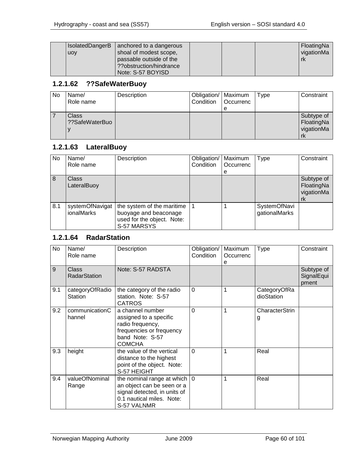| <b>IsolatedDangerB</b><br><b>UOV</b> | anchored to a dangerous<br>shoal of modest scope,<br>passable outside of the<br>??obstruction/hindrance? |  | FloatingNa<br>vigationMa |
|--------------------------------------|----------------------------------------------------------------------------------------------------------|--|--------------------------|
|                                      | Note: S-57 BOYISD                                                                                        |  |                          |

#### **1.2.1.62 ??SafeWaterBuoy**

| No | Name/<br>Role name      | Description | Obligation/   Maximum<br>Condition | <b>Occurrenc</b><br>е | Type | Constraint                                   |
|----|-------------------------|-------------|------------------------------------|-----------------------|------|----------------------------------------------|
|    | Class<br>??SafeWaterBuo |             |                                    |                       |      | Subtype of<br>FloatingNa<br>vigationMa<br>rk |

## **1.2.1.63 LateralBuoy**

| No. | Name/<br>Role name            | Description                                                                                      | Obligation/<br>Condition | Maximum<br>Occurrenc<br>е | Type                          | Constraint                                   |
|-----|-------------------------------|--------------------------------------------------------------------------------------------------|--------------------------|---------------------------|-------------------------------|----------------------------------------------|
| 8   | Class<br>LateralBuoy          |                                                                                                  |                          |                           |                               | Subtype of<br>FloatingNa<br>vigationMa<br>rk |
| 8.1 | systemOfNavigat<br>ionalMarks | the system of the maritime<br>buoyage and beaconage<br>used for the object. Note:<br>S-57 MARSYS |                          |                           | SystemOfNavi<br>gationalMarks |                                              |

### **1.2.1.64 RadarStation**

| No  | Name/<br>Role name                  | Description                                                                                                                                      | Obligation/<br>Condition | Maximum<br>Occurrenc<br>e | <b>Type</b>                | Constraint                        |
|-----|-------------------------------------|--------------------------------------------------------------------------------------------------------------------------------------------------|--------------------------|---------------------------|----------------------------|-----------------------------------|
| 9   | <b>Class</b><br><b>RadarStation</b> | Note: S-57 RADSTA                                                                                                                                |                          |                           |                            | Subtype of<br>SignalEqui<br>pment |
| 9.1 | categoryOfRadio<br>Station          | the category of the radio<br>station. Note: S-57<br><b>CATROS</b>                                                                                | $\mathbf 0$              | 1                         | CategoryOfRa<br>dioStation |                                   |
| 9.2 | communicationC<br>hannel            | a channel number<br>assigned to a specific<br>radio frequency,<br>frequencies or frequency<br>band Note: S-57<br><b>COMCHA</b>                   | $\overline{0}$           | 1                         | CharacterStrin<br>g        |                                   |
| 9.3 | height                              | the value of the vertical<br>distance to the highest<br>point of the object. Note:<br>S-57 HEIGHT                                                | $\Omega$                 | 1                         | Real                       |                                   |
| 9.4 | valueOfNominal<br>Range             | the nominal range at which $ 0\rangle$<br>an object can be seen or a<br>signal detected, in units of<br>0.1 nautical miles. Note:<br>S-57 VALNMR |                          | 1                         | Real                       |                                   |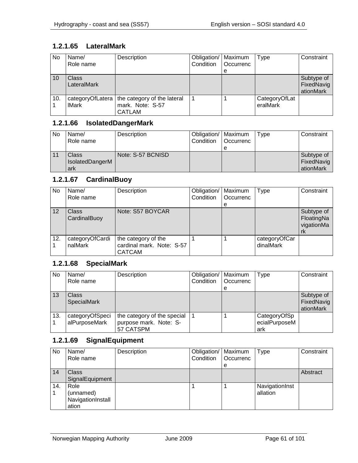### **1.2.1.65 LateralMark**

| <b>No</b> | Name/<br>Role name               | Description                                                      | Obligation/   Maximum<br>Condition | Occurrenc<br>е | <b>Type</b>               | Constraint                            |
|-----------|----------------------------------|------------------------------------------------------------------|------------------------------------|----------------|---------------------------|---------------------------------------|
| 10        | Class<br>LateralMark             |                                                                  |                                    |                |                           | Subtype of<br>FixedNavig<br>ationMark |
| 10.       | categoryOfLatera<br><b>IMark</b> | the category of the lateral<br>mark. Note: S-57<br><b>CATLAM</b> |                                    |                | CategoryOfLat<br>eralMark |                                       |

### **1.2.1.66 IsolatedDangerMark**

| No | Name/<br>Role name              | Description       | Obligation/   Maximum<br><b>Condition</b> | <b>Occurrenc</b><br>е | Type | Constraint                            |
|----|---------------------------------|-------------------|-------------------------------------------|-----------------------|------|---------------------------------------|
|    | Class<br>IsolatedDangerM<br>ark | Note: S-57 BCNISD |                                           |                       |      | Subtype of<br>FixedNavig<br>ationMark |

## **1.2.1.67 CardinalBuoy**

| No. | Name/<br>Role name         | Description                                                       | Obligation/   Maximum<br>Condition | Occurrenc<br>е | Type                       | Constraint                                   |
|-----|----------------------------|-------------------------------------------------------------------|------------------------------------|----------------|----------------------------|----------------------------------------------|
| 12  | Class<br>CardinalBuoy      | Note: S57 BOYCAR                                                  |                                    |                |                            | Subtype of<br>FloatingNa<br>vigationMa<br>rk |
| 12. | categoryOfCardi<br>nalMark | the category of the<br>cardinal mark. Note: S-57<br><b>CATCAM</b> |                                    |                | categoryOfCar<br>dinalMark |                                              |

## **1.2.1.68 SpecialMark**

| <b>No</b> | Name/<br>Role name                 | Description                                                        | Obligation/   Maximum<br>Condition | Occurrenc<br>е | Type                                 | Constraint                            |
|-----------|------------------------------------|--------------------------------------------------------------------|------------------------------------|----------------|--------------------------------------|---------------------------------------|
| 13        | <b>Class</b><br><b>SpecialMark</b> |                                                                    |                                    |                |                                      | Subtype of<br>FixedNavig<br>ationMark |
| 13.       | categoryOfSpeci<br>alPurposeMark   | the category of the special<br>purpose mark. Note: S-<br>57 CATSPM |                                    |                | CategoryOfSp<br>ecialPurposeM<br>ark |                                       |

## **1.2.1.69 SignalEquipment**

| <b>No</b> | Name/             | Description | Obligation/   Maximum |           | <b>Type</b>    | Constraint |
|-----------|-------------------|-------------|-----------------------|-----------|----------------|------------|
|           | Role name         |             | Condition             | Occurrenc |                |            |
|           |                   |             |                       | е         |                |            |
| 14        | <b>Class</b>      |             |                       |           |                | Abstract   |
|           | SignalEquipment   |             |                       |           |                |            |
| 14.       | Role              |             |                       |           | NavigationInst |            |
|           | (unnamed)         |             |                       |           | allation       |            |
|           | NavigationInstall |             |                       |           |                |            |
|           | ation             |             |                       |           |                |            |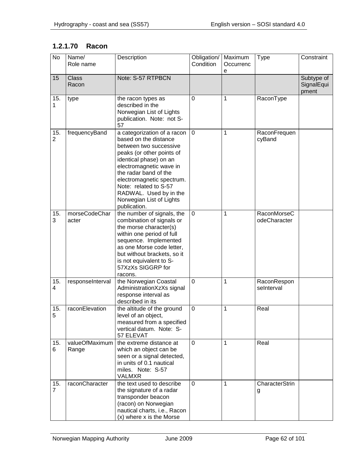## **1.2.1.70 Racon**

| No                    | Name/<br>Role name      | Description                                                                                                                                                                                                                                                                                                           | Obligation/<br>Condition | Maximum<br>Occurrenc<br>е | Type                        | Constraint                        |
|-----------------------|-------------------------|-----------------------------------------------------------------------------------------------------------------------------------------------------------------------------------------------------------------------------------------------------------------------------------------------------------------------|--------------------------|---------------------------|-----------------------------|-----------------------------------|
| 15                    | <b>Class</b><br>Racon   | Note: S-57 RTPBCN                                                                                                                                                                                                                                                                                                     |                          |                           |                             | Subtype of<br>SignalEqui<br>pment |
| 15.<br>1              | type                    | the racon types as<br>described in the<br>Norwegian List of Lights<br>publication. Note: not S-<br>57                                                                                                                                                                                                                 | 0                        | 1                         | RaconType                   |                                   |
| 15.<br>$\overline{2}$ | frequencyBand           | a categorization of a racon<br>based on the distance<br>between two successive<br>peaks (or other points of<br>identical phase) on an<br>electromagnetic wave in<br>the radar band of the<br>electromagnetic spectrum.<br>Note: related to S-57<br>RADWAL. Used by in the<br>Norwegian List of Lights<br>publication. | $\mathbf 0$              | 1                         | RaconFrequen<br>cyBand      |                                   |
| 15.<br>3              | morseCodeChar<br>acter  | the number of signals, the<br>combination of signals or<br>the morse character(s)<br>within one period of full<br>sequence. Implemented<br>as one Morse code letter,<br>but without brackets, so it<br>is not equivalent to S-<br>57XzXs SIGGRP for<br>racons.                                                        | $\mathbf 0$              | 1                         | RaconMorseC<br>odeCharacter |                                   |
| 15.<br>4              | responseInterval        | the Norwegian Coastal<br>AdministrationXzXs signal<br>response interval as<br>described in its                                                                                                                                                                                                                        | 0                        | 1                         | RaconRespon<br>seInterval   |                                   |
| 15.<br>5              | raconElevation          | the altitude of the ground<br>level of an object,<br>measured from a specified<br>vertical datum. Note: S-<br>57 ELEVAT                                                                                                                                                                                               | 0                        | 1                         | Real                        |                                   |
| 15.<br>6              | valueOfMaximum<br>Range | the extreme distance at<br>which an object can be<br>seen or a signal detected,<br>in units of 0.1 nautical<br>miles. Note: S-57<br><b>VALMXR</b>                                                                                                                                                                     | $\mathbf 0$              | 1                         | Real                        |                                   |
| 15.<br>$\overline{7}$ | raconCharacter          | the text used to describe<br>the signature of a radar<br>transponder beacon<br>(racon) on Norwegian<br>nautical charts, i.e., Racon<br>(x) where x is the Morse                                                                                                                                                       | $\Omega$                 | 1                         | CharacterStrin<br>g         |                                   |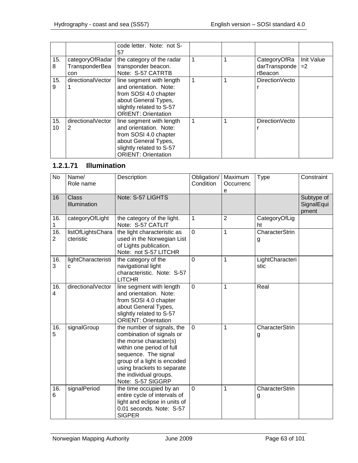|          |                                   | code letter. Note: not S-<br>57                  |   |                               |                    |
|----------|-----------------------------------|--------------------------------------------------|---|-------------------------------|--------------------|
| 15.<br>8 | categoryOfRadar<br>TransponderBea | the category of the radar<br>transponder beacon. |   | CategoryOfRa<br>darTransponde | Init Value<br>$=2$ |
|          | con.                              | Note: S-57 CATRTB                                |   | rBeacon                       |                    |
| 15.      | directionalVector                 | line segment with length                         | 1 | Direction Vecto               |                    |
| 9        |                                   | and orientation. Note:                           |   |                               |                    |
|          |                                   | from SOSI 4.0 chapter                            |   |                               |                    |
|          |                                   | about General Types,                             |   |                               |                    |
|          |                                   | slightly related to S-57                         |   |                               |                    |
|          |                                   | <b>ORIENT: Orientation</b>                       |   |                               |                    |
| 15.      | directionalVector                 | line segment with length                         | 1 | DirectionVecto                |                    |
| 10       | 2                                 | and orientation. Note:                           |   |                               |                    |
|          |                                   | from SOSI 4.0 chapter                            |   |                               |                    |
|          |                                   | about General Types,                             |   |                               |                    |
|          |                                   | slightly related to S-57                         |   |                               |                    |
|          |                                   | <b>ORIENT: Orientation</b>                       |   |                               |                    |

## **1.2.1.71 Illumination**

| <b>No</b> | Name/<br>Role name                  | Description                                                                                                                                                                                                                                        | Obligation/<br>Condition | Maximum<br>Occurrenc<br>е | <b>Type</b>             | Constraint                        |
|-----------|-------------------------------------|----------------------------------------------------------------------------------------------------------------------------------------------------------------------------------------------------------------------------------------------------|--------------------------|---------------------------|-------------------------|-----------------------------------|
| 16        | <b>Class</b><br><b>Illumination</b> | Note: S-57 LIGHTS                                                                                                                                                                                                                                  |                          |                           |                         | Subtype of<br>SignalEqui<br>pment |
| 16.<br>1  | categoryOfLight                     | the category of the light.<br>Note: S-57 CATLIT                                                                                                                                                                                                    | 1                        | $\overline{2}$            | CategoryOfLig<br>ht     |                                   |
| 16.<br>2  | listOfLightsChara<br>cteristic      | the light characteristic as<br>used in the Norwegian List<br>of Lights publication.<br>Note: not S-57 LITCHR                                                                                                                                       | $\overline{0}$           | 1                         | CharacterStrin<br>g     |                                   |
| 16.<br>3  | lightCharacteristi<br>C             | the category of the<br>navigational light<br>characteristic. Note: S-57<br><b>LITCHR</b>                                                                                                                                                           | $\Omega$                 | 1                         | LightCharacteri<br>stic |                                   |
| 16.<br>4  | directionalVector                   | line segment with length<br>and orientation. Note:<br>from SOSI 4.0 chapter<br>about General Types,<br>slightly related to S-57<br><b>ORIENT: Orientation</b>                                                                                      | $\overline{0}$           | 1                         | Real                    |                                   |
| 16.<br>5  | signalGroup                         | the number of signals, the<br>combination of signals or<br>the morse character(s)<br>within one period of full<br>sequence. The signal<br>group of a light is encoded<br>using brackets to separate<br>the individual groups.<br>Note: S-57 SIGGRP | $\overline{0}$           | 1                         | CharacterStrin<br>g     |                                   |
| 16.<br>6  | signalPeriod                        | the time occupied by an<br>entire cycle of intervals of<br>light and eclipse in units of<br>0.01 seconds. Note: S-57<br><b>SIGPER</b>                                                                                                              | $\overline{0}$           | 1                         | CharacterStrin<br>g     |                                   |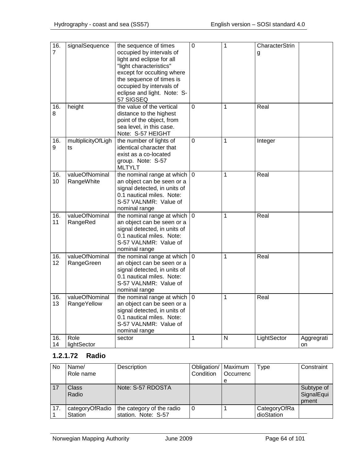| 16.<br>$\overline{7}$ | signalSequence                | the sequence of times<br>occupied by intervals of<br>light and eclipse for all<br>"light characteristics"<br>except for occulting where<br>the sequence of times is<br>occupied by intervals of<br>eclipse and light. Note: S-<br>57 SIGSEQ | $\mathbf 0$ | 1            | CharacterStrin<br>g |                  |
|-----------------------|-------------------------------|---------------------------------------------------------------------------------------------------------------------------------------------------------------------------------------------------------------------------------------------|-------------|--------------|---------------------|------------------|
| 16.<br>8              | height                        | the value of the vertical<br>distance to the highest<br>point of the object, from<br>sea level, in this case.<br>Note: S-57 HEIGHT                                                                                                          | $\mathbf 0$ | 1            | Real                |                  |
| 16.<br>9              | multiplicityOfLigh<br>ts      | the number of lights of<br>identical character that<br>exist as a co-located<br>group. Note: S-57<br><b>MLTYLT</b>                                                                                                                          | 0           | 1            | Integer             |                  |
| 16.<br>10             | valueOfNominal<br>RangeWhite  | the nominal range at which $ 0\rangle$<br>an object can be seen or a<br>signal detected, in units of<br>0.1 nautical miles. Note:<br>S-57 VALNMR: Value of<br>nominal range                                                                 |             | 1            | Real                |                  |
| 16.<br>11             | valueOfNominal<br>RangeRed    | the nominal range at which $ 0\rangle$<br>an object can be seen or a<br>signal detected, in units of<br>0.1 nautical miles. Note:<br>S-57 VALNMR: Value of<br>nominal range                                                                 |             | 1            | Real                |                  |
| 16.<br>12             | valueOfNominal<br>RangeGreen  | the nominal range at which $ 0\rangle$<br>an object can be seen or a<br>signal detected, in units of<br>0.1 nautical miles. Note:<br>S-57 VALNMR: Value of<br>nominal range                                                                 |             | 1            | Real                |                  |
| 16.<br>13             | valueOfNominal<br>RangeYellow | the nominal range at which $ 0\rangle$<br>an object can be seen or a<br>signal detected, in units of<br>0.1 nautical miles. Note:<br>S-57 VALNMR: Value of<br>nominal range                                                                 |             | 1            | Real                |                  |
| 16.<br>14             | Role<br>lightSector           | sector                                                                                                                                                                                                                                      | 1           | $\mathsf{N}$ | LightSector         | Aggregrati<br>on |

## **1.2.1.72 Radio**

| No  | Name/<br>Role name         | Description                                      | Obligation/   Maximum<br>Condition | l Occurrenc | Type                       | Constraint                        |
|-----|----------------------------|--------------------------------------------------|------------------------------------|-------------|----------------------------|-----------------------------------|
|     |                            |                                                  |                                    | е           |                            |                                   |
| 17  | Class<br>Radio             | Note: S-57 RDOSTA                                |                                    |             |                            | Subtype of<br>SignalEqui<br>pment |
| 17. | categoryOfRadio<br>Station | the category of the radio<br>station. Note: S-57 |                                    |             | CategoryOfRa<br>dioStation |                                   |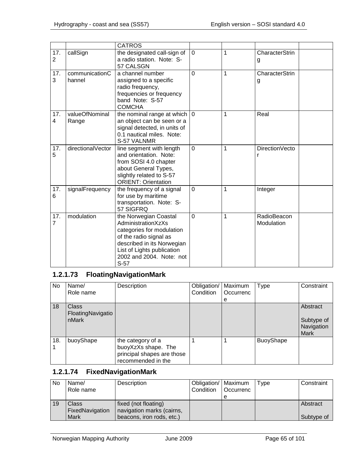|                       |                          | <b>CATROS</b>                                                                                                                                                                                        |                |   |                           |
|-----------------------|--------------------------|------------------------------------------------------------------------------------------------------------------------------------------------------------------------------------------------------|----------------|---|---------------------------|
| 17.<br>$\overline{2}$ | callSign                 | the designated call-sign of<br>a radio station. Note: S-<br>57 CALSGN                                                                                                                                | $\Omega$       | 1 | CharacterStrin<br>g       |
| 17.<br>3              | communicationC<br>hannel | a channel number<br>assigned to a specific<br>radio frequency,<br>frequencies or frequency<br>band Note: S-57<br><b>COMCHA</b>                                                                       | $\overline{0}$ | 1 | CharacterStrin<br>g       |
| 17.<br>4              | valueOfNominal<br>Range  | the nominal range at which $ 0\rangle$<br>an object can be seen or a<br>signal detected, in units of<br>0.1 nautical miles. Note:<br>S-57 VALNMR                                                     |                | 1 | Real                      |
| 17.<br>5              | directionalVector        | line segment with length<br>and orientation. Note:<br>from SOSI 4.0 chapter<br>about General Types,<br>slightly related to S-57<br><b>ORIENT: Orientation</b>                                        | $\overline{0}$ | 1 | DirectionVecto<br>r       |
| 17.<br>6              | signalFrequency          | the frequency of a signal<br>for use by maritime<br>transportation. Note: S-<br>57 SIGFRQ                                                                                                            | $\overline{0}$ | 1 | Integer                   |
| 17.<br>7              | modulation               | the Norwegian Coastal<br>AdministrationXzXs<br>categories for modulation<br>of the radio signal as<br>described in its Norwegian<br>List of Lights publication<br>2002 and 2004. Note: not<br>$S-57$ | $\overline{0}$ | 1 | RadioBeacon<br>Modulation |

## **1.2.1.73 FloatingNavigationMark**

| No  | Name/<br>Role name                         | Description                                                                                  | Obligation/<br>Condition | Maximum<br>Occurrenc<br>e | <b>Type</b>      | Constraint                                          |
|-----|--------------------------------------------|----------------------------------------------------------------------------------------------|--------------------------|---------------------------|------------------|-----------------------------------------------------|
| 18  | <b>Class</b><br>FloatingNavigatio<br>nMark |                                                                                              |                          |                           |                  | Abstract<br>Subtype of<br>Navigation<br><b>Mark</b> |
| 18. | buoyShape                                  | the category of a<br>buoyXzXs shape. The<br>principal shapes are those<br>recommended in the |                          |                           | <b>BuoyShape</b> |                                                     |

## **1.2.1.74 FixedNavigationMark**

| No | Name/           | Description               | Obligation/   Maximum |                  | Type | Constraint |
|----|-----------------|---------------------------|-----------------------|------------------|------|------------|
|    | Role name       |                           | Condition             | <b>Occurrenc</b> |      |            |
|    |                 |                           |                       |                  |      |            |
| 19 | Class           | fixed (not floating)      |                       |                  |      | Abstract   |
|    | FixedNavigation | navigation marks (cairns, |                       |                  |      |            |
|    | <b>Mark</b>     | beacons, iron rods, etc.) |                       |                  |      | Subtype of |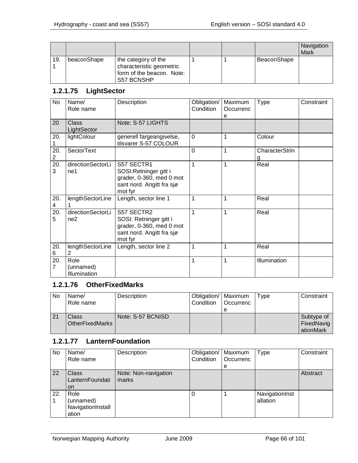|     |             |                                                                                            |  |             | Navigation<br>Mark |
|-----|-------------|--------------------------------------------------------------------------------------------|--|-------------|--------------------|
| 19. | beaconShape | the category of the<br>characteristic geometric<br>form of the beacon. Note:<br>S57 BCNSHP |  | BeaconShape |                    |

## **1.2.1.75 LightSector**

| No                    | Name/<br>Role name                | Description                                                                                              | Obligation/<br>Condition | Maximum<br>Occurrenc<br>е | <b>Type</b>    | Constraint |
|-----------------------|-----------------------------------|----------------------------------------------------------------------------------------------------------|--------------------------|---------------------------|----------------|------------|
| 20                    | <b>Class</b><br>LightSector       | Note: S-57 LIGHTS                                                                                        |                          |                           |                |            |
| 20.                   | lightColour                       | generell fargeangivelse,<br>tilsvarer S-57 COLOUR                                                        | $\overline{0}$           |                           | Colour         |            |
| 20.<br>$\overline{2}$ | <b>SectorText</b>                 |                                                                                                          | $\Omega$                 |                           | CharacterStrin |            |
| 20.<br>3              | directionSectorLi<br>ne1          | S57 SECTR1<br>SOSI:Retninger gitt i<br>grader, 0-360, med 0 mot<br>sant nord. Angitt fra sjø<br>mot fyr  | 1                        | 1                         | Real           |            |
| 20.<br>4              | lengthSectorLine                  | Length, sector line 1                                                                                    | 1                        | 1                         | Real           |            |
| 20.<br>5              | directionSectorLi<br>ne2          | S57 SECTR2<br>SOSI: Retninger gitt i<br>grader, 0-360, med 0 mot<br>sant nord. Angitt fra sjø<br>mot fyr | 1                        | 1                         | Real           |            |
| 20.<br>6              | lengthSectorLine<br>2             | Length, sector line 2                                                                                    | 1                        | 1                         | Real           |            |
| 20.<br>$\overline{7}$ | Role<br>(unnamed)<br>Illumination |                                                                                                          | 1                        | 1                         | Illumination   |            |

## **1.2.1.76 OtherFixedMarks**

| No | Name/<br>Role name              | Description       | Obligation/   Maximum<br><b>Condition</b> | <b>Occurrenc</b> | Type | Constraint                            |
|----|---------------------------------|-------------------|-------------------------------------------|------------------|------|---------------------------------------|
| 21 | Class<br><b>OtherFixedMarks</b> | Note: S-57 BCNISD |                                           |                  |      | Subtype of<br>FixedNavig<br>ationMark |

## **1.2.1.77 LanternFoundation**

| No  | Name/<br>Role name                              | Description                   | Obligation/   Maximum<br>Condition | Occurrenc<br>e | <b>Type</b>                | Constraint |
|-----|-------------------------------------------------|-------------------------------|------------------------------------|----------------|----------------------------|------------|
| 22  | <b>Class</b><br>LanternFoundati<br><b>on</b>    | Note: Non-navigation<br>marks |                                    |                |                            | Abstract   |
| 22. | Role<br>(unnamed)<br>NavigationInstall<br>ation |                               | 0                                  |                | NavigationInst<br>allation |            |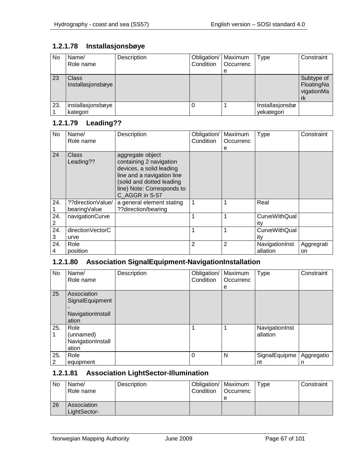## **1.2.1.78 Installasjonsbøye**

| <b>No</b> | Name/<br>Role name            | Description | Obligation/   Maximum<br>Condition | Occurrenc<br>е | <b>Type</b>                   | Constraint                                   |
|-----------|-------------------------------|-------------|------------------------------------|----------------|-------------------------------|----------------------------------------------|
| 23        | Class<br>Installasjonsbøye    |             |                                    |                |                               | Subtype of<br>FloatingNa<br>vigationMa<br>rk |
| 23.       | installasjonsbøye<br>kategori |             |                                    |                | Installasjonsbø<br>yekategori |                                              |

## **1.2.1.79 Leading??**

| No       | Name/<br>Role name                | Description                                                                                                                                                                        | Obligation/<br>Condition | Maximum<br>Occurrenc<br>е | <b>Type</b>                 | Constraint       |
|----------|-----------------------------------|------------------------------------------------------------------------------------------------------------------------------------------------------------------------------------|--------------------------|---------------------------|-----------------------------|------------------|
| 24       | Class<br>Leading??                | aggregate object<br>containing 2 navigation<br>devices, a solid leading<br>line and a navigation line<br>(solid and dotted leading<br>line) Note: Corresponds to<br>C AGGR in S-57 |                          |                           |                             |                  |
| 24.      | ??directionValue/<br>bearingValue | a general element stating<br>??direction/bearing                                                                                                                                   |                          |                           | Real                        |                  |
| 24.      | navigationCurve                   |                                                                                                                                                                                    |                          |                           | <b>CurveWithQual</b><br>itv |                  |
| 24.<br>3 | directionVectorC<br>urve          |                                                                                                                                                                                    |                          |                           | <b>CurveWithQual</b><br>itv |                  |
| 24.<br>4 | Role<br>position                  |                                                                                                                                                                                    | 2                        | $\overline{2}$            | NavigationInst<br>allation  | Aggregrati<br>on |

## **1.2.1.80 Association SignalEquipment-NavigationInstallation**

| <b>No</b> | Name/<br>Role name                                           | Description | Obligation/<br>Condition | Maximum<br>Occurrenc<br>е | Type                       | Constraint      |
|-----------|--------------------------------------------------------------|-------------|--------------------------|---------------------------|----------------------------|-----------------|
| 25        | Association<br>SignalEquipment<br>NavigationInstall<br>ation |             |                          |                           |                            |                 |
| 25.       | Role<br>(unnamed)<br>NavigationInstall<br>ation              |             |                          |                           | NavigationInst<br>allation |                 |
| 25.<br>2  | Role<br>equipment                                            |             | 0                        | N                         | SignalEquipme<br>nt        | Aggregatio<br>n |

## **1.2.1.81 Association LightSector-Illumination**

| <b>No</b> | Name/<br>Role name          | Description | Obligation/   Maximum<br>Condition | <b>Occurrenc</b><br>е | Type | Constraint |
|-----------|-----------------------------|-------------|------------------------------------|-----------------------|------|------------|
| 26        | Association<br>LightSector- |             |                                    |                       |      |            |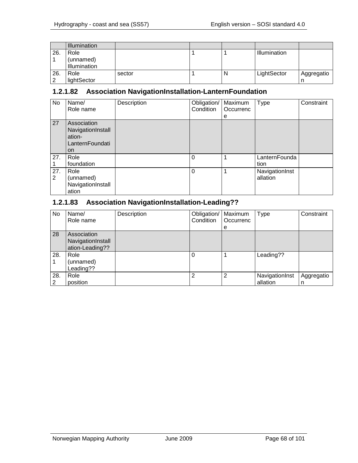|     | <b>Illumination</b> |        |   |              |            |
|-----|---------------------|--------|---|--------------|------------|
| 26. | Role                |        |   | Illumination |            |
|     | (unnamed)           |        |   |              |            |
|     | Illumination        |        |   |              |            |
| 26. | Role                | sector | N | LightSector  | Aggregatio |
| ົ   | lightSector         |        |   |              | n          |

# **1.2.1.82 Association NavigationInstallation-LanternFoundation**

| No       | Name/<br>Role name                                                   | Description | Obligation/<br>Condition | Maximum<br>Occurrenc<br>е | <b>Type</b>                | Constraint |
|----------|----------------------------------------------------------------------|-------------|--------------------------|---------------------------|----------------------------|------------|
| 27       | Association<br>NavigationInstall<br>ation-<br>LanternFoundati<br>on. |             |                          |                           |                            |            |
| 27.      | Role<br>foundation                                                   |             | $\Omega$                 |                           | LanternFounda<br>tion      |            |
| 27.<br>2 | Role<br>(unnamed)<br>NavigationInstall<br>ation                      |             | $\Omega$                 | 1                         | NavigationInst<br>allation |            |

## **1.2.1.83 Association NavigationInstallation-Leading??**

| No       | Name/<br>Role name                                  | Description | Obligation/   Maximum<br>Condition | Occurrenc<br>е | <b>Type</b>                | Constraint      |
|----------|-----------------------------------------------------|-------------|------------------------------------|----------------|----------------------------|-----------------|
| 28       | Association<br>NavigationInstall<br>ation-Leading?? |             |                                    |                |                            |                 |
| 28.      | Role<br>(unnamed)<br>Leading??                      |             | $\Omega$                           |                | Leading??                  |                 |
| 28.<br>2 | Role<br>position                                    |             | 2                                  | 2              | NavigationInst<br>allation | Aggregatio<br>n |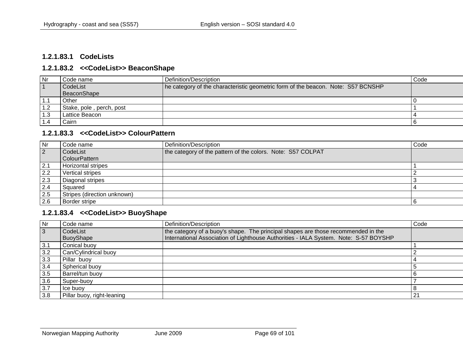#### **1.2.1.83.1 CodeLists**

## **1.2.1.83.2 <<CodeList>> BeaconShape**

| Nr                       | Code name                | Definition/Description                                                           | Code |
|--------------------------|--------------------------|----------------------------------------------------------------------------------|------|
| $\overline{\phantom{0}}$ | CodeList                 | he category of the characteristic geometric form of the beacon. Note: S57 BCNSHP |      |
|                          | BeaconShape              |                                                                                  |      |
| 1.1                      | Other                    |                                                                                  |      |
| 1.2                      | Stake, pole, perch, post |                                                                                  |      |
| 1.3                      | Lattice Beacon           |                                                                                  |      |
|                          | Cairn                    |                                                                                  |      |

## **1.2.1.83.3 <<CodeList>> ColourPattern**

| l Nr           | Code name                   | Definition/Description                                      | Code |
|----------------|-----------------------------|-------------------------------------------------------------|------|
| $\overline{2}$ | CodeList                    | the category of the pattern of the colors. Note: S57 COLPAT |      |
|                | ColourPattern               |                                                             |      |
| 2.1            | Horizontal stripes          |                                                             |      |
| 2.2            | Vertical stripes            |                                                             |      |
| 2.3            | Diagonal stripes            |                                                             |      |
| 2.4            | Squared                     |                                                             |      |
| 2.5            | Stripes (direction unknown) |                                                             |      |
| 2.6            | Border stripe               |                                                             |      |
|                |                             |                                                             |      |

### **1.2.1.83.4 <<CodeList>> BuoyShape**

| $\mathsf{N}$ r | Code name                  | Definition/Description                                                                                                                                                    | Code |
|----------------|----------------------------|---------------------------------------------------------------------------------------------------------------------------------------------------------------------------|------|
| $\overline{3}$ | CodeList<br>BuoyShape      | the category of a buoy's shape. The principal shapes are those recommended in the<br>International Association of Lighthouse Authorities - IALA System. Note: S-57 BOYSHP |      |
| 3.1            | Conical buoy               |                                                                                                                                                                           |      |
| 3.2            | Can/Cylindrical buoy       |                                                                                                                                                                           |      |
| 3.3            | Pillar buoy                |                                                                                                                                                                           |      |
| 3.4            | Spherical buoy             |                                                                                                                                                                           |      |
| 3.5            | Barrel/tun buoy            |                                                                                                                                                                           |      |
| 3.6            | Super-buoy                 |                                                                                                                                                                           |      |
| 3.7            | Ice buoy                   |                                                                                                                                                                           |      |
| 3.8            | Pillar buoy, right-leaning |                                                                                                                                                                           | 21   |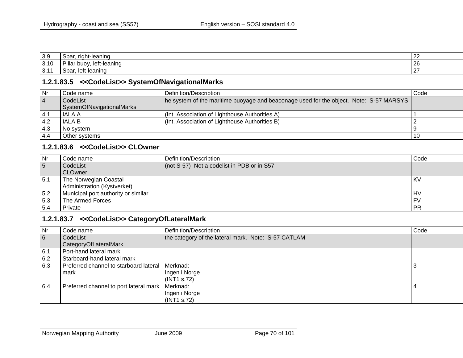| 3.9                   | -leanınd<br>≌nar<br>riah<br>اα⊍ت         | ---              |
|-----------------------|------------------------------------------|------------------|
| l 3 10<br><b>J.IU</b> | $\sim$<br>left-leaning<br>buoy<br>יוופµי | $\sim$<br>$\sim$ |
| 241<br>ا . ت          | left-leaning<br>C'nor<br>ovai            |                  |

### **1.2.1.83.5 <<CodeList>> SystemOfNavigationalMarks**

| l Nr              | Code name                 | Definition/Description                                                                 | Code |
|-------------------|---------------------------|----------------------------------------------------------------------------------------|------|
| <b>4</b>          | CodeList                  | he system of the maritime buoyage and beaconage used for the object. Note: S-57 MARSYS |      |
|                   | SystemOfNavigationalMarks |                                                                                        |      |
| 4.1               | IALA A                    | (Int. Association of Lighthouse Authorities A)                                         |      |
| $\overline{14.2}$ | IALA B                    | (Int. Association of Lighthouse Authorities B)                                         |      |
| $ 4.3\rangle$     | l No svstem               |                                                                                        |      |
| 4.4               | Other systems             |                                                                                        |      |

## **1.2.1.83.6 <<CodeList>> CLOwner**

| Nr               | Code name                           | Definition/Description                     | Code |
|------------------|-------------------------------------|--------------------------------------------|------|
| 5                | CodeList                            | (not S-57) Not a codelist in PDB or in S57 |      |
|                  | <b>CLOwner</b>                      |                                            |      |
| 5.1              | The Norwegian Coastal               |                                            | KV.  |
|                  | Administration (Kystverket)         |                                            |      |
| 5.2              | Municipal port authority or similar |                                            | HV   |
| $\overline{5.3}$ | The Armed Forces                    |                                            | FV   |
| 5.4              | Private                             |                                            | -PR  |

### **1.2.1.83.7 <<CodeList>> CategoryOfLateralMark**

| Nr              | Code name                              | Definition/Description                              | Code |
|-----------------|----------------------------------------|-----------------------------------------------------|------|
| $6\overline{6}$ | CodeList                               | the category of the lateral mark. Note: S-57 CATLAM |      |
|                 | CategoryOfLateralMark                  |                                                     |      |
| 6.1             | Port-hand lateral mark                 |                                                     |      |
| 6.2             | Starboard-hand lateral mark            |                                                     |      |
| 6.3             | Preferred channel to starboard lateral | Merknad:                                            |      |
|                 | mark                                   | Ingen i Norge                                       |      |
|                 |                                        | (INT1 s.72)                                         |      |
| 6.4             | Preferred channel to port lateral mark | Merknad:                                            |      |
|                 |                                        | Ingen i Norge                                       |      |
|                 |                                        | (INT1 s.72)                                         |      |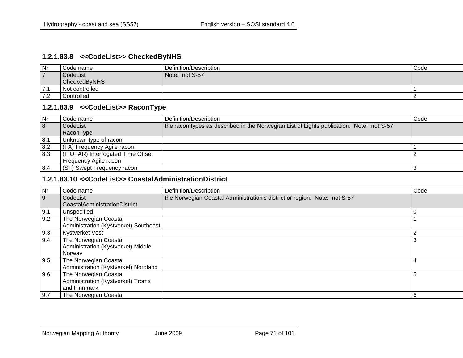#### **1.2.1.83.8 <<CodeList>> CheckedByNHS**

| Nr             | Code name                | Definition/Description | Code |
|----------------|--------------------------|------------------------|------|
| $\overline{7}$ | CodeList<br>CheckedByNHS | Note: not S-57         |      |
| 7.5<br>.       | Not controlled           |                        |      |
| 7.2            | Controlled               |                        |      |

#### **1.2.1.83.9 <<CodeList>> RaconType**

| l Nr | Code name                         | Definition/Description                                                                   | Code |
|------|-----------------------------------|------------------------------------------------------------------------------------------|------|
| 8    | CodeList                          | the racon types as described in the Norwegian List of Lights publication. Note: not S-57 |      |
|      | RaconType                         |                                                                                          |      |
| 8.1  | Unknown type of racon             |                                                                                          |      |
| 8.2  | (FA) Frequency Agile racon        |                                                                                          |      |
| 8.3  | (ITOFAR) Interrogated Time Offset |                                                                                          |      |
|      | Frequency Agile racon             |                                                                                          |      |
| 8.4  | (SF) Swept Frequency racon        |                                                                                          |      |

#### **1.2.1.83.10 <<CodeList>> CoastalAdministrationDistrict**

| Nr             | Code name                             | Definition/Description                                                    | Code |
|----------------|---------------------------------------|---------------------------------------------------------------------------|------|
| $\overline{9}$ | CodeList                              | the Norwegian Coastal Administration's district or region. Note: not S-57 |      |
|                | CoastalAdministrationDistrict         |                                                                           |      |
| 9.1            | Unspecified                           |                                                                           |      |
| 9.2            | The Norwegian Coastal                 |                                                                           |      |
|                | Administration (Kystverket) Southeast |                                                                           |      |
| 9.3            | <b>Kystverket Vest</b>                |                                                                           | ົ    |
| 9.4            | The Norwegian Coastal                 |                                                                           | 3    |
|                | Administration (Kystverket) Middle    |                                                                           |      |
|                | Norway                                |                                                                           |      |
| 9.5            | The Norwegian Coastal                 |                                                                           | 4    |
|                | Administration (Kystverket) Nordland  |                                                                           |      |
| 9.6            | The Norwegian Coastal                 |                                                                           | 5    |
|                | Administration (Kystverket) Troms     |                                                                           |      |
|                | and Finnmark                          |                                                                           |      |
| 9.7            | The Norwegian Coastal                 |                                                                           | -6   |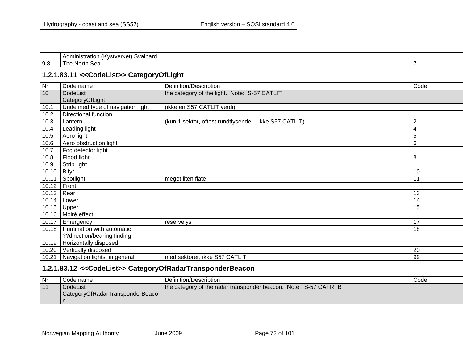|     | Svalbard<br>Administration<br>varkat<br>I K VStv<br>eikel |  |
|-----|-----------------------------------------------------------|--|
| 9.8 | n.<br>∘ہ∽<br>North .<br>$\sim$ 000 $\sim$                 |  |

## **1.2.1.83.11 <<CodeList>> CategoryOfLight**

| Nr    | Code name                          | Definition/Description                                 | Code            |
|-------|------------------------------------|--------------------------------------------------------|-----------------|
| 10    | CodeList                           | the category of the light. Note: S-57 CATLIT           |                 |
|       | CategoryOfLight                    |                                                        |                 |
| 10.1  | Undefined type of navigation light | (ikke en S57 CATLIT verdi)                             |                 |
| 10.2  | Directional function               |                                                        |                 |
| 10.3  | Lantern                            | (kun 1 sektor, oftest rundtlysende -- ikke S57 CATLIT) | $\overline{2}$  |
| 10.4  | Leading light                      |                                                        | 4               |
| 10.5  | Aero light                         |                                                        | 5               |
| 10.6  | Aero obstruction light             |                                                        | $6\phantom{1}6$ |
| 10.7  | Fog detector light                 |                                                        |                 |
| 10.8  | Flood light                        |                                                        | 8               |
| 10.9  | Strip light                        |                                                        |                 |
| 10.10 | Bifyr                              |                                                        | 10              |
| 10.11 | Spotlight                          | meget liten flate                                      | 11              |
| 10.12 | Front                              |                                                        |                 |
| 10.13 | Rear                               |                                                        | 13              |
| 10.14 | Lower                              |                                                        | 14              |
| 10.15 | Upper                              |                                                        | 15              |
| 10.16 | Moiré effect                       |                                                        |                 |
| 10.17 | Emergency                          | reservelys                                             | 17              |
| 10.18 | Illumination with automatic        |                                                        | 18              |
|       | ??direction/bearing finding        |                                                        |                 |
| 10.19 | Horizontally disposed              |                                                        |                 |
| 10.20 | Vertically disposed                |                                                        | 20              |
| 10.21 | Navigation lights, in general      | med sektorer; ikke S57 CATLIT                          | 99              |

## **1.2.1.83.12 <<CodeList>> CategoryOfRadarTransponderBeacon**

| Nr | ode nameٽ                       | l Definition/Description                                        | Code |
|----|---------------------------------|-----------------------------------------------------------------|------|
| 11 | CodeList                        | the category of the radar transponder beacon. Note: S-57 CATRTB |      |
|    | CategoryOfRadarTransponderBeaco |                                                                 |      |
|    |                                 |                                                                 |      |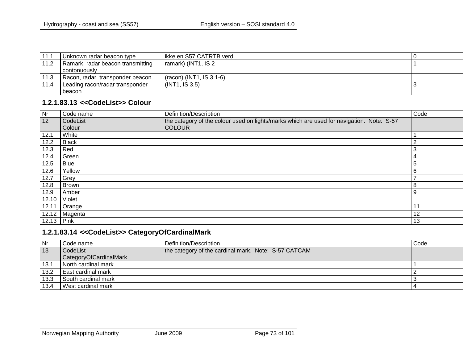| 11.1 | Unknown radar beacon type         | l ikke en S57 CATRTB verdi l |  |
|------|-----------------------------------|------------------------------|--|
| 11.2 | Ramark, radar beacon transmitting | ramark) (INT1, IS 2          |  |
|      | l contonuouslv                    |                              |  |
| 11.3 | Racon, radar transponder beacon   | $(racon)$ (INT1, IS 3.1-6)   |  |
| 11.4 | Leading racon/radar transponder   | $\vert$ (INT1, IS 3.5)       |  |
|      | beacon                            |                              |  |

## **1.2.1.83.13 <<CodeList>> Colour**

| Nr    | Code name          | Definition/Description                                                                                     | Code |
|-------|--------------------|------------------------------------------------------------------------------------------------------------|------|
| 12    | CodeList<br>Colour | the category of the colour used on lights/marks which are used for navigation. Note: S-57<br><b>COLOUR</b> |      |
| 12.1  | White              |                                                                                                            |      |
| 12.2  | <b>Black</b>       |                                                                                                            | ົ    |
| 12.3  | Red                |                                                                                                            | 3    |
| 12.4  | Green              |                                                                                                            | 4    |
| 12.5  | <b>Blue</b>        |                                                                                                            | 5    |
| 12.6  | Yellow             |                                                                                                            | 6    |
| 12.7  | Grey               |                                                                                                            |      |
| 12.8  | <b>Brown</b>       |                                                                                                            | 8    |
| 12.9  | Amber              |                                                                                                            | 9    |
| 12.10 | Violet             |                                                                                                            |      |
| 12.11 | Orange             |                                                                                                            | 11   |
| 12.12 | Magenta            |                                                                                                            | 12   |
| 12.13 | Pink               |                                                                                                            | 13   |

## **1.2.1.83.14 <<CodeList>> CategoryOfCardinalMark**

| Nr   | Code name              | Definition/Description                               | Code |
|------|------------------------|------------------------------------------------------|------|
| 13   | CodeList               | the category of the cardinal mark. Note: S-57 CATCAM |      |
|      | CategoryOfCardinalMark |                                                      |      |
| 13.1 | North cardinal mark    |                                                      |      |
| 13.2 | East cardinal mark     |                                                      |      |
| 13.3 | South cardinal mark    |                                                      |      |
| 13.4 | West cardinal mark     |                                                      |      |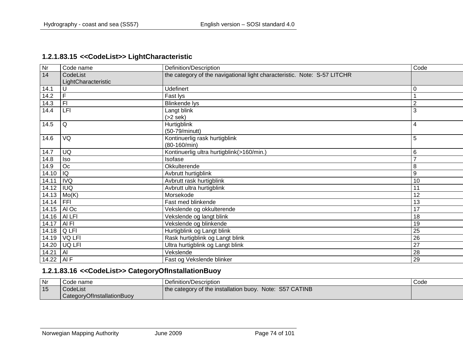### **1.2.1.83.15 <<CodeList>> LightCharacteristic**

| Nr           | Code name                       | Definition/Description                                                   | Code           |
|--------------|---------------------------------|--------------------------------------------------------------------------|----------------|
| 14           | CodeList<br>LightCharacteristic | the category of the navigational light characteristic. Note: S-57 LITCHR |                |
| 14.1         | U                               | <b>Udefinert</b>                                                         | 0              |
| 14.2         | E                               | Fast lys                                                                 |                |
| 14.3         | $\overline{F}$                  | <b>Blinkende lys</b>                                                     | $\overline{2}$ |
| 14.4         | LFI                             | Langt blink<br>$(>2$ sek)                                                | 3              |
| 14.5         | Q                               | <b>Hurtigblink</b><br>(50-79/minutt)                                     | 4              |
| 14.6         | VQ                              | Kontinuerlig rask hurtigblink<br>$(80-160/min)$                          | 5              |
| 14.7         | UQ                              | Kontinuerlig ultra hurtigblink(>160/min.)                                | 6              |
| 14.8         | <b>Iso</b>                      | Isofase                                                                  |                |
| 14.9         | Oc                              | Okkulterende                                                             | 8              |
| 14.10        | IQ                              | Avbrutt hurtigblink                                                      | 9              |
| 14.11        | <b>IVQ</b>                      | Avbrutt rask hurtigblink                                                 | 10             |
| 14.12        | <b>IUQ</b>                      | Avbrutt ultra hurtigblink                                                |                |
| 14.13        | Mo(K)                           | Morsekode                                                                | 12             |
| 14.14        | <b>FFI</b>                      | Fast med blinkende                                                       | 13             |
| 14.15        | Al Oc                           | Vekslende og okkulterende                                                | 17             |
| 14.16        | AI LFI                          | Vekslende og langt blink                                                 | 18             |
| 14.17        | AL                              | Vekslende og blinkende                                                   | 19             |
| 14.18        | Q LFI                           | Hurtigblink og Langt blink                                               | 25             |
| 14.19        | VQ LFI                          | Rask hurtigblink og Langt blink                                          | 26             |
| 14.20        | UQ LFI                          | Ultra hurtigblink og Langt blink                                         | 27             |
| 14.21        | $\overline{A}$                  | Vekslende                                                                | 28             |
| 14.22   AI F |                                 | Fast og Vekslende blinker                                                | 29             |

# **1.2.1.83.16 <<CodeList>> CategoryOfInstallationBuoy**

| l Nr | Code name                  | Definition/Description                                  | Code |
|------|----------------------------|---------------------------------------------------------|------|
| 15   | CodeList                   | the category of the installation buoy. Note: S57 CATINB |      |
|      | CategoryOfInstallationBuoy |                                                         |      |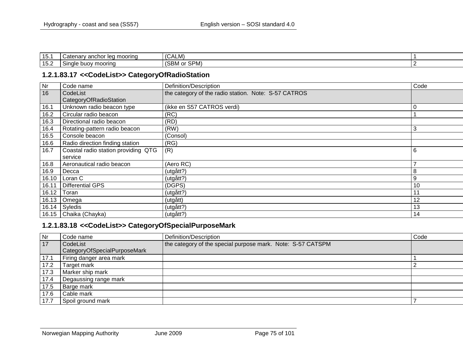| $-15$<br>ا . ن ا | <sup>,</sup> anchor leg mooring<br>∵atenar∨ | (CAI<br>. .<br>ALM)                |  |
|------------------|---------------------------------------------|------------------------------------|--|
| $-15c$<br>ے. ب   | l Sinale buov moorina                       | (SBM or SPM)<br>$\sqrt{2}$<br>ົ\ບ⊾ |  |

## **1.2.1.83.17 <<CodeList>> CategoryOfRadioStation**

| Nr    | Code name                           | Definition/Description                               | Code |
|-------|-------------------------------------|------------------------------------------------------|------|
| 16    | CodeList                            | the category of the radio station. Note: S-57 CATROS |      |
|       | CategoryOfRadioStation              |                                                      |      |
| 16.1  | Unknown radio beacon type           | (ikke en S57 CATROS verdi)                           | 0    |
| 16.2  | Circular radio beacon               | (RC)                                                 |      |
| 16.3  | Directional radio beacon            | (RD)                                                 |      |
| 16.4  | Rotating-pattern radio beacon       | (RW)                                                 | 3    |
| 16.5  | Console beacon                      | (Consol)                                             |      |
| 16.6  | Radio direction finding station     | (RG)                                                 |      |
| 16.7  | Coastal radio station providing QTG | (R)                                                  | 6    |
|       | service                             |                                                      |      |
| 16.8  | Aeronautical radio beacon           | (Aero RC)                                            | –    |
| 16.9  | Decca                               | (utgått?)                                            | 8    |
| 16.10 | Loran C                             | (utgått?)                                            | 9    |
| 16.11 | Differential GPS                    | (DGPS)                                               | 10   |
| 16.12 | Toran                               | (utgått?)                                            | 11   |
| 16.13 | Omega                               | (utgått)                                             | 12   |
|       | $16.14$ Syledis                     | (utgått?)                                            | 13   |
|       | 16.15 Chaika (Chayka)               | (utgått?)                                            | 14   |

### **1.2.1.83.18 <<CodeList>> CategoryOfSpecialPurposeMark**

| Nr   | Code name                    | Definition/Description                                      | Code |
|------|------------------------------|-------------------------------------------------------------|------|
| 17   | CodeList                     | the category of the special purpose mark. Note: S-57 CATSPM |      |
|      | CategoryOfSpecialPurposeMark |                                                             |      |
| 17.1 | Firing danger area mark      |                                                             |      |
| 17.2 | Target mark                  |                                                             |      |
| 17.3 | Marker ship mark             |                                                             |      |
| 17.4 | Degaussing range mark        |                                                             |      |
| 17.5 | <b>Barge mark</b>            |                                                             |      |
| 17.6 | Cable mark                   |                                                             |      |
| 17.7 | Spoil ground mark            |                                                             |      |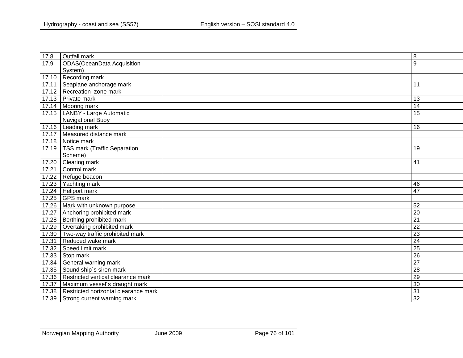| 17.8  | Outfall mark                         | 8               |
|-------|--------------------------------------|-----------------|
| 17.9  | <b>ODAS</b> (OceanData Acquisition   | 9               |
|       | System)                              |                 |
| 17.10 | Recording mark                       |                 |
| 17.11 | Seaplane anchorage mark              | 11              |
|       | 17.12 Recreation zone mark           |                 |
| 17.13 | Private mark                         | 13              |
| 17.14 | Mooring mark                         | 14              |
| 17.15 | LANBY - Large Automatic              | 15              |
|       | Navigational Buoy                    |                 |
|       | 17.16   Leading mark                 | 16              |
| 17.17 | Measured distance mark               |                 |
|       | 17.18 Notice mark                    |                 |
|       | 17.19   TSS mark (Traffic Separation | 19              |
|       | Scheme)                              |                 |
| 17.20 | Clearing mark                        | 41              |
| 17.21 | Control mark                         |                 |
| 17.22 | Refuge beacon                        |                 |
| 17.23 | Yachting mark                        | 46              |
| 17.24 | Heliport mark                        | 47              |
| 17.25 | GPS mark                             |                 |
| 17.26 | Mark with unknown purpose            | 52              |
| 17.27 | Anchoring prohibited mark            | 20              |
| 17.28 | Berthing prohibited mark             | $\overline{21}$ |
| 17.29 | Overtaking prohibited mark           | $\overline{22}$ |
| 17.30 | Two-way traffic prohibited mark      | $\overline{23}$ |
| 17.31 | Reduced wake mark                    | $\overline{24}$ |
| 17.32 | Speed limit mark                     | $\overline{25}$ |
| 17.33 | Stop mark                            | 26              |
| 17.34 | General warning mark                 | $\overline{27}$ |
| 17.35 | Sound ship's siren mark              | 28              |
| 17.36 | Restricted vertical clearance mark   | 29              |
| 17.37 | Maximum vessel's draught mark        | 30              |
| 17.38 | Restricted horizontal clearance mark | 31              |
|       | 17.39 Strong current warning mark    | 32              |
|       |                                      |                 |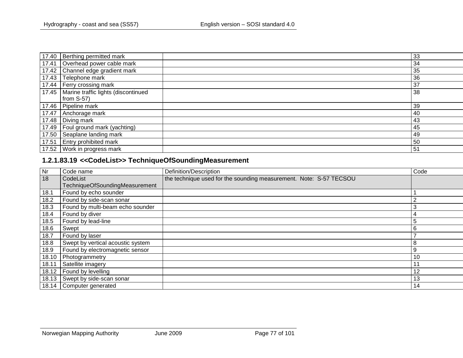| 17.40 | Berthing permitted mark                     | 33 |
|-------|---------------------------------------------|----|
| 17.41 | Overhead power cable mark                   | 34 |
|       | 17.42 Channel edge gradient mark            | 35 |
| 17.43 | Telephone mark                              | 36 |
|       | 17.44   Ferry crossing mark                 | 37 |
|       | 17.45   Marine traffic lights (discontinued | 38 |
|       | from S-57)                                  |    |
|       | 17.46   Pipeline mark                       | 39 |
| 17.47 | Anchorage mark                              | 40 |
| 17.48 | Diving mark                                 | 43 |
| 17.49 | Foul ground mark (yachting)                 | 45 |
| 17.50 | Seaplane landing mark                       | 49 |
| 17.51 | <b>Entry prohibited mark</b>                | 50 |
| 17.52 | Work in progress mark                       | 51 |

### **1.2.1.83.19 <<CodeList>> TechniqueOfSoundingMeasurement**

| Nr    | Code name                         | Definition/Description                                             | Code |
|-------|-----------------------------------|--------------------------------------------------------------------|------|
| 18    | CodeList                          | the technique used for the sounding measurement. Note: S-57 TECSOU |      |
|       | TechniqueOfSoundingMeasurement    |                                                                    |      |
| 18.1  | Found by echo sounder             |                                                                    |      |
| 18.2  | Found by side-scan sonar          |                                                                    | 2    |
| 18.3  | Found by multi-beam echo sounder  |                                                                    | 3    |
| 18.4  | Found by diver                    |                                                                    | 4    |
| 18.5  | Found by lead-line                |                                                                    | 5    |
| 18.6  | Swept                             |                                                                    | 6    |
| 18.7  | Found by laser                    |                                                                    |      |
| 18.8  | Swept by vertical acoustic system |                                                                    | 8    |
| 18.9  | Found by electromagnetic sensor   |                                                                    | 9    |
| 18.10 | Photogrammetry                    |                                                                    | 10   |
| 18.11 | Satellite imagery                 |                                                                    | 11   |
| 18.12 | Found by levelling                |                                                                    | 12   |
| 18.13 | Swept by side-scan sonar          |                                                                    | 13   |
| 18.14 | Computer generated                |                                                                    | 14   |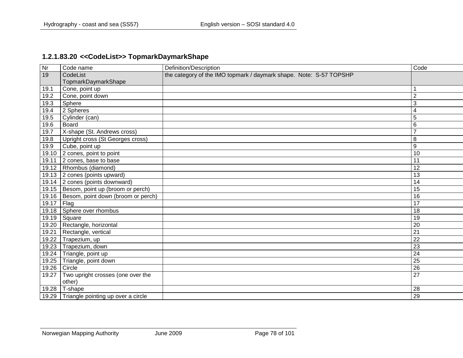# **1.2.1.83.20 <<CodeList>> TopmarkDaymarkShape**

| <b>Nr</b> | Code name                                | Definition/Description                                             | Code            |
|-----------|------------------------------------------|--------------------------------------------------------------------|-----------------|
| 19        | CodeList                                 | the category of the IMO topmark / daymark shape. Note: S-57 TOPSHP |                 |
|           | TopmarkDaymarkShape                      |                                                                    |                 |
| 19.1      | Cone, point up                           |                                                                    |                 |
| 19.2      | Cone, point down                         |                                                                    | $\overline{2}$  |
| 19.3      | Sphere                                   |                                                                    | 3               |
| 19.4      | 2 Spheres                                |                                                                    | $\overline{4}$  |
| 19.5      | Cylinder (can)                           |                                                                    | 5               |
| 19.6      | <b>Board</b>                             |                                                                    | 6               |
| 19.7      | X-shape (St. Andrews cross)              |                                                                    |                 |
| 19.8      | Upright cross (St Georges cross)         |                                                                    | 8               |
| 19.9      | Cube, point up                           |                                                                    | $9$             |
| 19.10     | 2 cones, point to point                  |                                                                    | 10              |
| 19.11     | 2 cones, base to base                    |                                                                    | 11              |
| 19.12     | Rhombus (diamond)                        |                                                                    | 12              |
| 19.13     | 2 cones (points upward)                  |                                                                    | 13              |
|           | 19.14 2 cones (points downward)          |                                                                    | 14              |
|           | 19.15   Besom, point up (broom or perch) |                                                                    | 15              |
| 19.16     | Besom, point down (broom or perch)       |                                                                    | 16              |
| 19.17     | Flag                                     |                                                                    | 17              |
| 19.18     | Sphere over rhombus                      |                                                                    | 18              |
| 19.19     | Square                                   |                                                                    | 19              |
| 19.20     | Rectangle, horizontal                    |                                                                    | 20              |
| 19.21     | Rectangle, vertical                      |                                                                    | $\overline{21}$ |
| 19.22     | Trapezium, up                            |                                                                    | 22              |
| 19.23     | Trapezium, down                          |                                                                    | 23              |
| 19.24     | Triangle, point up                       |                                                                    | 24              |
| 19.25     | Triangle, point down                     |                                                                    | 25              |
| 19.26     | Circle                                   |                                                                    | 26              |
| 19.27     | Two upright crosses (one over the        |                                                                    | 27              |
|           | other)                                   |                                                                    |                 |
| 19.28     | T-shape                                  |                                                                    | 28              |
|           | 19.29 Triangle pointing up over a circle |                                                                    | 29              |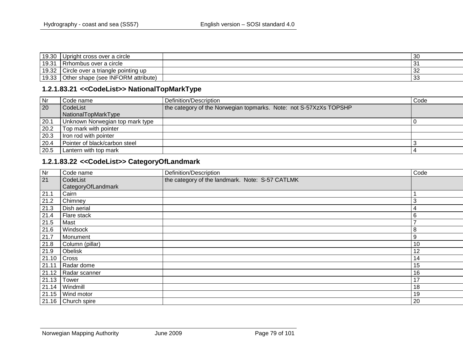| 19.30          | Upright cross over a circle                    | -30                |
|----------------|------------------------------------------------|--------------------|
| 19.31          | Rrhombus over a circle                         | n<br>ັ             |
| 19.32          | Circle over a triangle pointing up             | $\mathbf{r}$<br>∠ت |
| 10.22<br>נט.פו | r shape (see INFORM )<br>Other<br>l attribute) | -33                |

# **1.2.1.83.21 <<CodeList>> NationalTopMarkType**

| Nr   | Code name                       | Definition/Description                                            | Code |
|------|---------------------------------|-------------------------------------------------------------------|------|
| 20   | CodeList                        | the category of the Norwegian topmarks. Note: not S-57XzXs TOPSHP |      |
|      | NationalTopMarkType             |                                                                   |      |
| 20.1 | Unknown Norwegian top mark type |                                                                   |      |
| 20.2 | Top mark with pointer           |                                                                   |      |
| 20.3 | Iron rod with pointer           |                                                                   |      |
| 20.4 | Pointer of black/carbon steel   |                                                                   |      |
| 20.5 | Lantern with top mark           |                                                                   |      |

## **1.2.1.83.22 <<CodeList>> CategoryOfLandmark**

| Nr              | Code name          | Definition/Description                          | Code |
|-----------------|--------------------|-------------------------------------------------|------|
| $\overline{21}$ | CodeList           | the category of the landmark. Note: S-57 CATLMK |      |
|                 | CategoryOfLandmark |                                                 |      |
| 21.1            | Cairn              |                                                 |      |
| 21.2            | Chimney            |                                                 | 3    |
| 21.3            | Dish aerial        |                                                 | 4    |
| 21.4            | Flare stack        |                                                 | 6    |
| 21.5            | Mast               |                                                 | –    |
| 21.6            | Windsock           |                                                 | 8    |
| 21.7            | Monument           |                                                 | 9    |
| 21.8            | Column (pillar)    |                                                 | 10   |
| 21.9            | Obelisk            |                                                 | 12   |
| 21.10           | Cross              |                                                 | 14   |
| 21.11           | Radar dome         |                                                 | 15   |
| 21.12           | Radar scanner      |                                                 | 16   |
| 21.13           | Tower              |                                                 | 17   |
| 21.14           | Windmill           |                                                 | 18   |
| 21.15           | Wind motor         |                                                 | 19   |
| 21.16           | Church spire       |                                                 | 20   |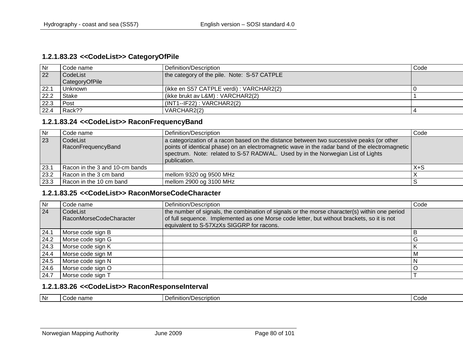#### **1.2.1.83.23 <<CodeList>> CategoryOfPile**

| Nr   | Code name      | Definition/Description                      | Code |
|------|----------------|---------------------------------------------|------|
| 22   | CodeList       | the category of the pile. Note: S-57 CATPLE |      |
|      | CategoryOfPile |                                             |      |
| 22.1 | Unknown        | (ikke en S57 CATPLE verdi) : VARCHAR2(2)    |      |
| 22.2 | Stake          | (ikke brukt av L&M) : VARCHAR2(2)           |      |
| 22.3 | Post           | $\vert$ (INT1--IF22) : VARCHAR2(2)          |      |
| 22.4 | Rack??         | VARCHAR2(2)                                 |      |

#### **1.2.1.83.24 <<CodeList>> RaconFrequencyBand**

| Nr   | Code name                      | Definition/Description                                                                                                                                                                                                                                                                        | Code    |
|------|--------------------------------|-----------------------------------------------------------------------------------------------------------------------------------------------------------------------------------------------------------------------------------------------------------------------------------------------|---------|
| 23   | CodeList<br>RaconFrequencyBand | a categorization of a racon based on the distance between two successive peaks (or other<br>points of identical phase) on an electromagnetic wave in the radar band of the electromagnetic<br>spectrum. Note: related to S-57 RADWAL. Used by in the Norwegian List of Lights<br>publication. |         |
| 23.1 | Racon in the 3 and 10-cm bands |                                                                                                                                                                                                                                                                                               | $X + S$ |
| 23.2 | Racon in the 3 cm band         | mellom 9320 og 9500 MHz                                                                                                                                                                                                                                                                       |         |
| 23.3 | Racon in the 10 cm band        | mellom 2900 og 3100 MHz                                                                                                                                                                                                                                                                       |         |

## **1.2.1.83.25 <<CodeList>> RaconMorseCodeCharacter**

| <b>Nr</b> | Code name               | Definition/Description                                                                                                                  | Code |
|-----------|-------------------------|-----------------------------------------------------------------------------------------------------------------------------------------|------|
| 24        | CodeList                | the number of signals, the combination of signals or the morse character(s) within one period                                           |      |
|           | RaconMorseCodeCharacter | of full sequence. Implemented as one Morse code letter, but without brackets, so it is not<br>equivalent to S-57XzXs SIGGRP for racons. |      |
| 24.1      | Morse code sign B       |                                                                                                                                         |      |
| 24.2      | Morse code sign G       |                                                                                                                                         | G    |
| 24.3      | Morse code sign K       |                                                                                                                                         |      |
| 24.4      | Morse code sign M       |                                                                                                                                         | М    |
| 24.5      | Morse code sign N       |                                                                                                                                         |      |
| 24.6      | Morse code sign O       |                                                                                                                                         |      |
| 24.7      | Morse code sign T       |                                                                                                                                         |      |

## **1.2.1.83.26 <<CodeList>> RaconResponseInterval**

| . Nr | name<br>CO.<br>,,,,, | Code |
|------|----------------------|------|
|      |                      |      |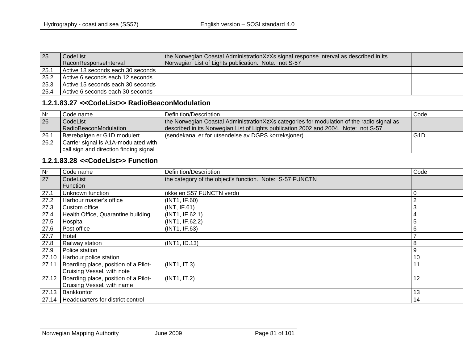| 25   | CodeList                          | the Norwegian Coastal AdministrationXzXs signal response interval as described in its |  |
|------|-----------------------------------|---------------------------------------------------------------------------------------|--|
|      | RaconResponseInterval             | Norwegian List of Lights publication. Note: not S-57                                  |  |
| 25.1 | Active 18 seconds each 30 seconds |                                                                                       |  |
| 25.2 | Active 6 seconds each 12 seconds  |                                                                                       |  |
| 25.3 | Active 15 seconds each 30 seconds |                                                                                       |  |
| 25.4 | Active 6 seconds each 30 seconds  |                                                                                       |  |

### **1.2.1.83.27 <<CodeList>> RadioBeaconModulation**

| <b>Nr</b> | Code name                              | Definition/Description                                                                     | Code             |
|-----------|----------------------------------------|--------------------------------------------------------------------------------------------|------------------|
| 26        | CodeList                               | the Norwegian Coastal Administration XzXs categories for modulation of the radio signal as |                  |
|           | RadioBeaconModulation                  | described in its Norwegian List of Lights publication 2002 and 2004. Note: not S-57        |                  |
| 26.1      | Bærebølgen er G1D modulert             | (sendekanal er for utsendelse av DGPS korreksjoner)                                        | G <sub>1</sub> D |
| 26.2      | Carrier signal is A1A-modulated with   |                                                                                            |                  |
|           | call sign and direction finding signal |                                                                                            |                  |

### **1.2.1.83.28 <<CodeList>> Function**

| <b>Nr</b> | Code name                                 | Definition/Description                                   | Code   |
|-----------|-------------------------------------------|----------------------------------------------------------|--------|
| 27        | CodeList                                  | the category of the object's function. Note: S-57 FUNCTN |        |
|           | Function                                  |                                                          |        |
| 27.1      | Unknown function                          | (ikke en S57 FUNCTN verdi)                               |        |
| 27.2      | Harbour master's office                   | (INT1, IF.60)                                            |        |
| 27.3      | Custom office                             | (INT, IF.61)                                             | ⌒<br>3 |
| 27.4      | Health Office, Quarantine building        | (INT1, IF.62.1)                                          |        |
| 27.5      | Hospital                                  | (INT1, IF.62.2)                                          | 5      |
| 27.6      | Post office                               | (INT1, IF.63)                                            | 6      |
| 27.7      | Hotel                                     |                                                          |        |
| 27.8      | Railway station                           | (INT1, ID.13)                                            | 8      |
| 27.9      | Police station                            |                                                          | 9      |
| 27.10     | Harbour police station                    |                                                          | 10     |
| 27.11     | Boarding place, position of a Pilot-      | (INT1, IT.3)                                             | 11     |
|           | Cruising Vessel, with note                |                                                          |        |
| 27.12     | Boarding place, position of a Pilot-      | (INT1, IT.2)                                             | 12     |
|           | Cruising Vessel, with name                |                                                          |        |
| 27.13     | Bankkontor                                |                                                          | 13     |
|           | 27.14   Headquarters for district control |                                                          | 14     |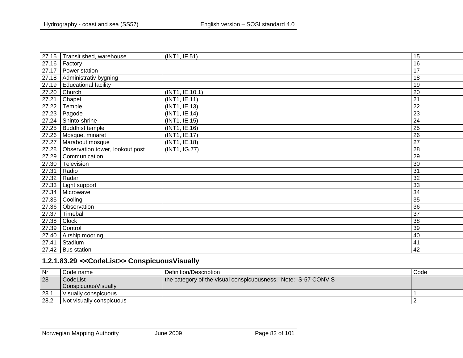|       | 27.15 Transit shed, warehouse   | (INT1, IF.51)   | 15              |
|-------|---------------------------------|-----------------|-----------------|
| 27.16 | Factory                         |                 | 16              |
| 27.17 | Power station                   |                 | 17              |
| 27.18 | Administrativ bygning           |                 | 18              |
| 27.19 | <b>Educational facility</b>     |                 | 19              |
| 27.20 | Church                          | (INT1, IE.10.1) | 20              |
| 27.21 | Chapel                          | (INT1, IE.11)   | 21              |
| 27.22 | Temple                          | (INT1, IE.13)   | $\overline{22}$ |
| 27.23 | Pagode                          | (INT1, IE.14)   | 23              |
| 27.24 | Shinto-shrine                   | (INT1, IE.15)   | 24              |
| 27.25 | <b>Buddhist temple</b>          | (INT1, IE.16)   | 25              |
| 27.26 | Mosque, minaret                 | (INT1, IE.17)   | 26              |
| 27.27 | Marabout mosque                 | (INT1, IE.18)   | $\overline{27}$ |
| 27.28 | Observation tower, lookout post | (INT1, IG.77)   | 28              |
| 27.29 | Communication                   |                 | 29              |
| 27.30 | Television                      |                 | 30              |
| 27.31 | Radio                           |                 | 31              |
| 27.32 | Radar                           |                 | $\overline{32}$ |
| 27.33 | Light support                   |                 | 33              |
| 27.34 | Microwave                       |                 | 34              |
| 27.35 | Cooling                         |                 | 35              |
| 27.36 | Observation                     |                 | 36              |
| 27.37 | Timeball                        |                 | 37              |
| 27.38 | Clock                           |                 | 38              |
| 27.39 | Control                         |                 | 39              |
| 27.40 | Airship mooring                 |                 | 40              |
| 27.41 | Stadium                         |                 | 41              |
| 27.42 | <b>Bus station</b>              |                 | 42              |

# **1.2.1.83.29 <<CodeList>> ConspicuousVisually**

| Nr   | Code name                | l Definition/Description                                      | Code |
|------|--------------------------|---------------------------------------------------------------|------|
| 28   | CodeList                 | the category of the visual conspicuousness. Note: S-57 CONVIS |      |
|      | ConspicuousVisually      |                                                               |      |
| 28.1 | Visually conspicuous     |                                                               |      |
| 28.2 | Not visually conspicuous |                                                               |      |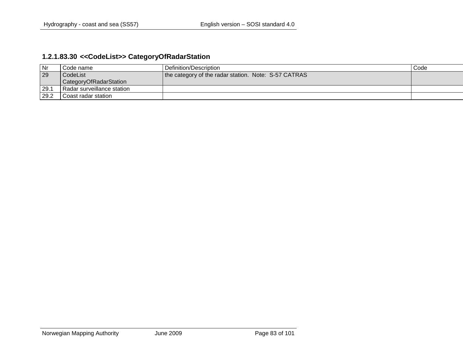# **1.2.1.83.30 <<CodeList>> CategoryOfRadarStation**

| Nr   | Code name                  | Definition/Description                               | Code |
|------|----------------------------|------------------------------------------------------|------|
| 29   | CodeList                   | the category of the radar station. Note: S-57 CATRAS |      |
|      | CategoryOfRadarStation     |                                                      |      |
| 29.1 | Radar surveillance station |                                                      |      |
| 29.2 | Coast radar station        |                                                      |      |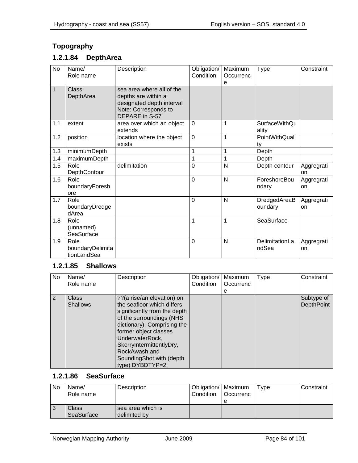# **Topography**

# **1.2.1.84 DepthArea**

| No           | Name/<br>Role name                      | Description                                                                                                             | Obligation/<br>Condition | Maximum<br>Occurrenc<br>е | <b>Type</b>                   | Constraint       |
|--------------|-----------------------------------------|-------------------------------------------------------------------------------------------------------------------------|--------------------------|---------------------------|-------------------------------|------------------|
| $\mathbf{1}$ | <b>Class</b><br>DepthArea               | sea area where all of the<br>depths are within a<br>designated depth interval<br>Note: Corresponds to<br>DEPARE in S-57 |                          |                           |                               |                  |
| 1.1          | extent                                  | area over which an object<br>extends                                                                                    | $\mathbf 0$              | 1                         | <b>SurfaceWithQu</b><br>ality |                  |
| 1.2          | position                                | location where the object<br>exists                                                                                     | $\overline{0}$           | 1                         | PointWithQuali<br>ty          |                  |
| 1.3          | minimumDepth                            |                                                                                                                         | 1                        | 1                         | Depth                         |                  |
| 1.4          | maximumDepth                            |                                                                                                                         | 1                        | $\overline{1}$            | Depth                         |                  |
| 1.5          | Role<br>DepthContour                    | delimitation                                                                                                            | $\overline{0}$           | N                         | Depth contour                 | Aggregrati<br>on |
| 1.6          | Role<br>boundaryForesh<br>ore           |                                                                                                                         | $\overline{0}$           | N                         | ForeshoreBou<br>ndary         | Aggregrati<br>on |
| 1.7          | Role<br>boundaryDredge<br>dArea         |                                                                                                                         | $\overline{0}$           | N                         | DredgedAreaB<br>oundary       | Aggregrati<br>on |
| 1.8          | Role<br>(unnamed)<br>SeaSurface         |                                                                                                                         | 1                        | 1                         | SeaSurface                    |                  |
| 1.9          | Role<br>boundaryDelimita<br>tionLandSea |                                                                                                                         | $\overline{0}$           | N                         | DelimitationLa<br>ndSea       | Aggregrati<br>on |

## **1.2.1.85 Shallows**

| <b>No</b> | Name/<br>Role name       | Description                                                                                                                                                                                                                                                                                   | Obligation/<br>Condition | Maximum<br>Occurrenc<br>е | Type | Constraint                      |
|-----------|--------------------------|-----------------------------------------------------------------------------------------------------------------------------------------------------------------------------------------------------------------------------------------------------------------------------------------------|--------------------------|---------------------------|------|---------------------------------|
| 2         | Class<br><b>Shallows</b> | ?? (a rise/an elevation) on<br>the seafloor which differs<br>significantly from the depth<br>of the surroundings (NHS<br>dictionary). Comprising the<br>former object classes<br>UnderwaterRock,<br>SkerryIntermittentlyDry,<br>RockAwash and<br>SoundingShot with (depth<br>type) DYBDTYP=2. |                          |                           |      | Subtype of<br><b>DepthPoint</b> |

#### **1.2.1.86 SeaSurface**

| No | Name/<br>Role name  | Description                       | Obligation/   Maximum<br>Condition | 1 Occurrenc | Type | Constraint |
|----|---------------------|-----------------------------------|------------------------------------|-------------|------|------------|
| Ő  | Class<br>SeaSurface | sea area which is<br>delimited by |                                    |             |      |            |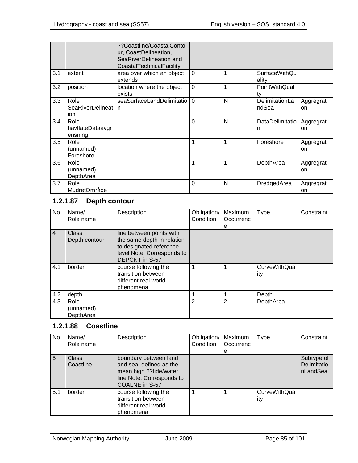|     |                                     | ??Coastline/CoastalConto<br>ur, CoastDelineation,<br>SeaRiverDelineation and<br>CoastalTechnicalFacility |              |   |                               |                  |
|-----|-------------------------------------|----------------------------------------------------------------------------------------------------------|--------------|---|-------------------------------|------------------|
| 3.1 | extent                              | area over which an object<br>extends                                                                     | $\mathbf{0}$ |   | <b>SurfaceWithQu</b><br>ality |                  |
| 3.2 | position                            | location where the object<br>exists                                                                      | $\mathbf 0$  | 1 | PointWithQuali<br>ty          |                  |
| 3.3 | Role<br>SeaRiverDelineat<br>ion     | seaSurfaceLandDelimitatio<br>n                                                                           | $\Omega$     | N | DelimitationLa<br>ndSea       | Aggregrati<br>on |
| 3.4 | Role<br>havflateDataavgr<br>ensning |                                                                                                          | 0            | N | DataDelimitatio<br>n          | Aggregrati<br>on |
| 3.5 | Role<br>(unnamed)<br>Foreshore      |                                                                                                          |              | 1 | Foreshore                     | Aggregrati<br>on |
| 3.6 | Role<br>(unnamed)<br>DepthArea      |                                                                                                          |              | 1 | DepthArea                     | Aggregrati<br>on |
| 3.7 | Role<br>MudretOmråde                |                                                                                                          | $\Omega$     | N | DredgedArea                   | Aggregrati<br>on |

# **1.2.1.87 Depth contour**

| No             | Name/<br>Role name             | Description                                                                                                                              | Obligation/<br>Condition | Maximum<br>Occurrenc | Type                        | Constraint |
|----------------|--------------------------------|------------------------------------------------------------------------------------------------------------------------------------------|--------------------------|----------------------|-----------------------------|------------|
|                |                                |                                                                                                                                          |                          | е                    |                             |            |
| $\overline{4}$ | <b>Class</b><br>Depth contour  | line between points with<br>the same depth in relation<br>to designated reference<br>level Note: Corresponds to<br><b>DEPCNT</b> in S-57 |                          |                      |                             |            |
| 4.1            | border                         | course following the<br>transition between<br>different real world<br>phenomena                                                          |                          |                      | <b>CurveWithQual</b><br>ity |            |
| 4.2            | depth                          |                                                                                                                                          |                          |                      | Depth                       |            |
| 4.3            | Role<br>(unnamed)<br>DepthArea |                                                                                                                                          | 2                        | 2                    | DepthArea                   |            |

## **1.2.1.88 Coastline**

| <b>No</b> | Name/<br>Role name        | Description                                                                                                               | Obligation/   Maximum<br>Condition | Occurrenc | Type                        | Constraint                            |
|-----------|---------------------------|---------------------------------------------------------------------------------------------------------------------------|------------------------------------|-----------|-----------------------------|---------------------------------------|
|           |                           |                                                                                                                           |                                    | e         |                             |                                       |
| 5         | <b>Class</b><br>Coastline | boundary between land<br>and sea, defined as the<br>mean high ??tide/water<br>line Note: Corresponds to<br>COALNE in S-57 |                                    |           |                             | Subtype of<br>Delimitatio<br>nLandSea |
| 5.1       | border                    | course following the<br>transition between<br>different real world<br>phenomena                                           |                                    |           | <b>CurveWithQual</b><br>ity |                                       |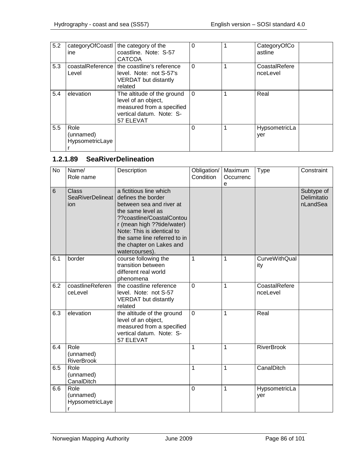| $\overline{5.2}$ | ine                                  | categoryOfCoastI   the category of the<br>coastline. Note: S-57<br><b>CATCOA</b>                                        | $\Omega$ | CategoryOfCo<br>astline   |
|------------------|--------------------------------------|-------------------------------------------------------------------------------------------------------------------------|----------|---------------------------|
| 5.3              | Level                                | coastalReference   the coastline's reference<br>level. Note: not S-57's<br><b>VERDAT</b> but distantly<br>related       | $\Omega$ | CoastalRefere<br>nceLevel |
| 5.4              | elevation                            | The altitude of the ground<br>level of an object,<br>measured from a specified<br>vertical datum. Note: S-<br>57 ELEVAT | $\Omega$ | Real                      |
| 5.5              | Role<br>(unnamed)<br>HypsometricLaye |                                                                                                                         | 0        | HypsometricLa<br>yer      |

# **1.2.1.89 SeaRiverDelineation**

| <b>No</b> | Name/<br>Role name                             | Description                                                                                                                                                                                                                                                           | Obligation/<br>Condition | Maximum<br>Occurrenc<br>e | <b>Type</b>                 | Constraint                            |
|-----------|------------------------------------------------|-----------------------------------------------------------------------------------------------------------------------------------------------------------------------------------------------------------------------------------------------------------------------|--------------------------|---------------------------|-----------------------------|---------------------------------------|
| 6         | <b>Class</b><br><b>SeaRiverDelineat</b><br>ion | a fictitious line which<br>defines the border<br>between sea and river at<br>the same level as<br>??coastline/CoastalContou<br>r (mean high ??tide/water)<br>Note: This is identical to<br>the same line referred to in<br>the chapter on Lakes and<br>watercourses). |                          |                           |                             | Subtype of<br>Delimitatio<br>nLandSea |
| 6.1       | border                                         | course following the<br>transition between<br>different real world<br>phenomena                                                                                                                                                                                       | 1                        | 1                         | <b>CurveWithQual</b><br>ity |                                       |
| 6.2       | coastlineReferen<br>ceLevel                    | the coastline reference<br>level. Note: not S-57<br><b>VERDAT</b> but distantly<br>related                                                                                                                                                                            | $\overline{0}$           | 1                         | CoastalRefere<br>nceLevel   |                                       |
| 6.3       | elevation                                      | the altitude of the ground<br>level of an object,<br>measured from a specified<br>vertical datum. Note: S-<br>57 ELEVAT                                                                                                                                               | $\overline{0}$           | 1                         | Real                        |                                       |
| 6.4       | Role<br>(unnamed)<br><b>RiverBrook</b>         |                                                                                                                                                                                                                                                                       | 1                        | 1                         | <b>RiverBrook</b>           |                                       |
| 6.5       | Role<br>(unnamed)<br>CanalDitch                |                                                                                                                                                                                                                                                                       | 1                        | 1                         | CanalDitch                  |                                       |
| 6.6       | Role<br>(unnamed)<br>HypsometricLaye<br>r      |                                                                                                                                                                                                                                                                       | $\overline{0}$           | 1                         | HypsometricLa<br>yer        |                                       |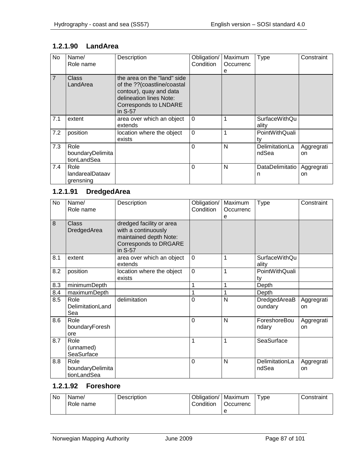# **1.2.1.90 LandArea**

| <b>No</b>      | Name/<br>Role name                      | Description                                                                                                                                          | Obligation/<br>Condition | Maximum<br>Occurrenc<br>е | <b>Type</b>                    | Constraint       |
|----------------|-----------------------------------------|------------------------------------------------------------------------------------------------------------------------------------------------------|--------------------------|---------------------------|--------------------------------|------------------|
| $\overline{7}$ | Class<br>LandArea                       | the area on the "land" side<br>of the ??(coastline/coastal<br>contour), quay and data<br>delineation lines Note:<br>Corresponds to LNDARE<br>in S-57 |                          |                           |                                |                  |
| 7.1            | extent                                  | area over which an object<br>extends                                                                                                                 | 0                        |                           | <b>SurfaceWithQu</b><br>ality  |                  |
| 7.2            | position                                | location where the object<br>exists                                                                                                                  | 0                        |                           | PointWithQuali<br>tv           |                  |
| 7.3            | Role<br>boundaryDelimita<br>tionLandSea |                                                                                                                                                      | 0                        | N                         | <b>DelimitationLa</b><br>ndSea | Aggregrati<br>on |
| 7.4            | Role<br>landarealDataav<br>grensning    |                                                                                                                                                      | 0                        | N                         | DataDelimitatio<br>n           | Aggregrati<br>on |

# **1.2.1.91 DredgedArea**

| <b>No</b> | Name/<br>Role name                      | Description                                                                                                          | Obligation/<br>Condition | Maximum<br>Occurrenc<br>е | <b>Type</b>                   | Constraint       |
|-----------|-----------------------------------------|----------------------------------------------------------------------------------------------------------------------|--------------------------|---------------------------|-------------------------------|------------------|
| 8         | Class<br>DredgedArea                    | dredged facility or area<br>with a continuously<br>maintained depth Note:<br><b>Corresponds to DRGARE</b><br>in S-57 |                          |                           |                               |                  |
| 8.1       | extent                                  | area over which an object<br>extends                                                                                 | $\mathbf 0$              | 1                         | <b>SurfaceWithQu</b><br>ality |                  |
| 8.2       | position                                | location where the object<br>exists                                                                                  | $\overline{0}$           | 1                         | PointWithQuali<br>ty          |                  |
| 8.3       | minimumDepth                            |                                                                                                                      |                          | 1                         | Depth                         |                  |
| 8.4       | maximumDepth                            |                                                                                                                      |                          | 1                         | Depth                         |                  |
| 8.5       | Role<br>DelimitationLand<br>Sea         | delimitation                                                                                                         | 0                        | N                         | DredgedAreaB<br>oundary       | Aggregrati<br>on |
| 8.6       | Role<br>boundaryForesh<br>ore           |                                                                                                                      | 0                        | N                         | ForeshoreBou<br>ndary         | Aggregrati<br>on |
| 8.7       | Role<br>(unnamed)<br>SeaSurface         |                                                                                                                      | 1                        | 1                         | SeaSurface                    |                  |
| 8.8       | Role<br>boundaryDelimita<br>tionLandSea |                                                                                                                      | 0                        | N                         | DelimitationLa<br>ndSea       | Aggregrati<br>on |

# **1.2.1.92 Foreshore**

| - No | Name/     | Description | Obligation/   Maximum |           | vpe | Constraint |
|------|-----------|-------------|-----------------------|-----------|-----|------------|
|      | Role name |             | Condition             | Occurrenc |     |            |
|      |           |             |                       |           |     |            |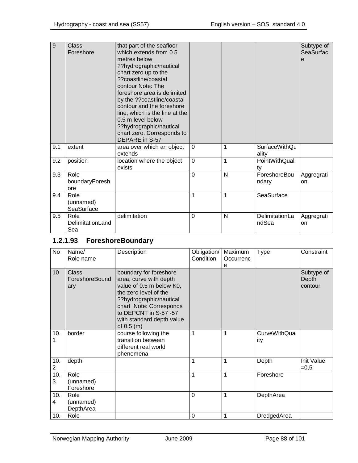| $\overline{9}$ | <b>Class</b><br>Foreshore       | that part of the seafloor<br>which extends from 0.5<br>metres below<br>??hydrographic/nautical<br>chart zero up to the<br>??coastline/coastal<br>contour Note: The<br>foreshore area is delimited<br>by the ??coastline/coastal<br>contour and the foreshore<br>line, which is the line at the<br>0.5 m level below<br>??hydrographic/nautical<br>chart zero. Corresponds to<br>DEPARE in S-57 |                |              |                               | Subtype of<br><b>SeaSurfac</b><br>e |
|----------------|---------------------------------|------------------------------------------------------------------------------------------------------------------------------------------------------------------------------------------------------------------------------------------------------------------------------------------------------------------------------------------------------------------------------------------------|----------------|--------------|-------------------------------|-------------------------------------|
| 9.1            | extent                          | area over which an object<br>extends                                                                                                                                                                                                                                                                                                                                                           | $\mathbf 0$    | 1            | <b>SurfaceWithQu</b><br>ality |                                     |
| 9.2            | position                        | location where the object<br>exists                                                                                                                                                                                                                                                                                                                                                            | $\overline{0}$ | 1            | PointWithQuali<br>tv          |                                     |
| 9.3            | Role<br>boundaryForesh<br>ore   |                                                                                                                                                                                                                                                                                                                                                                                                | $\overline{0}$ | $\mathsf{N}$ | ForeshoreBou<br>ndary         | Aggregrati<br>on                    |
| 9.4            | Role<br>(unnamed)<br>SeaSurface |                                                                                                                                                                                                                                                                                                                                                                                                | 1              | 1            | SeaSurface                    |                                     |
| 9.5            | Role<br>DelimitationLand<br>Sea | delimitation                                                                                                                                                                                                                                                                                                                                                                                   | $\mathbf 0$    | N            | DelimitationLa<br>ndSea       | Aggregrati<br>on                    |

# **1.2.1.93 ForeshoreBoundary**

| No       | Name/<br>Role name                    | Description                                                                                                                                                                                                                       | Obligation/<br>Condition | Maximum<br>Occurrenc<br>e | <b>Type</b>                 | Constraint                     |
|----------|---------------------------------------|-----------------------------------------------------------------------------------------------------------------------------------------------------------------------------------------------------------------------------------|--------------------------|---------------------------|-----------------------------|--------------------------------|
| 10       | <b>Class</b><br>ForeshoreBound<br>ary | boundary for foreshore<br>area, curve with depth<br>value of 0.5 m below K0,<br>the zero level of the<br>??hydrographic/nautical<br>chart Note: Corresponds<br>to DEPCNT in S-57 -57<br>with standard depth value<br>of $0.5$ (m) |                          |                           |                             | Subtype of<br>Depth<br>contour |
| 10.<br>1 | border                                | course following the<br>transition between<br>different real world<br>phenomena                                                                                                                                                   | 1                        | 1                         | <b>CurveWithQual</b><br>ity |                                |
| 10.<br>2 | depth                                 |                                                                                                                                                                                                                                   | 1                        | 1                         | Depth                       | Init Value<br>$=0,5$           |
| 10.<br>3 | Role<br>(unnamed)<br>Foreshore        |                                                                                                                                                                                                                                   | 1                        | 1                         | Foreshore                   |                                |
| 10.<br>4 | Role<br>(unnamed)<br>DepthArea        |                                                                                                                                                                                                                                   | $\mathbf 0$              | 1                         | DepthArea                   |                                |
| 10.      | Role                                  |                                                                                                                                                                                                                                   | $\mathbf 0$              | 1                         | DredgedArea                 |                                |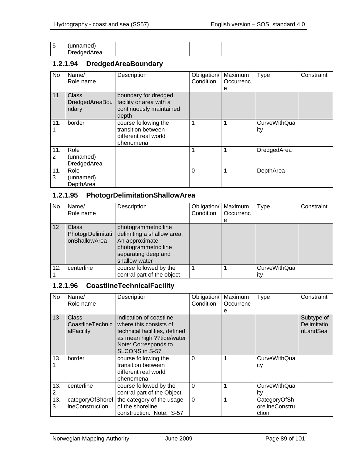| -<br>. .<br>-<br>ັ | .                                       |  |  |  |
|--------------------|-----------------------------------------|--|--|--|
|                    | -<br><b>1.2</b><br>$\mathbf{r}$<br>l Ud |  |  |  |

# **1.2.1.94 DredgedAreaBoundary**

| <b>No</b> | Name/<br>Role name               | Description                                                                         | Obligation/<br>Condition | Maximum<br>Occurrenc<br>е | Type                        | Constraint |
|-----------|----------------------------------|-------------------------------------------------------------------------------------|--------------------------|---------------------------|-----------------------------|------------|
| 11        | Class<br>DredgedAreaBou<br>ndary | boundary for dredged<br>facility or area with a<br>continuously maintained<br>depth |                          |                           |                             |            |
| 11.       | border                           | course following the<br>transition between<br>different real world<br>phenomena     | $\mathbf 1$              | 1                         | <b>CurveWithQual</b><br>ity |            |
| 11.<br>2  | Role<br>(unnamed)<br>DredgedArea |                                                                                     | 1                        | 1                         | DredgedArea                 |            |
| 11.<br>3  | Role<br>(unnamed)<br>DepthArea   |                                                                                     | $\mathbf 0$              | 1                         | DepthArea                   |            |

## **1.2.1.95 PhotogrDelimitationShallowArea**

| No  | Name/                                              | Description                                                                                                                          | Obligation/ | Maximum   | Type          | Constraint |
|-----|----------------------------------------------------|--------------------------------------------------------------------------------------------------------------------------------------|-------------|-----------|---------------|------------|
|     | Role name                                          |                                                                                                                                      | Condition   | Occurrenc |               |            |
|     |                                                    |                                                                                                                                      |             | е         |               |            |
| 12  | <b>Class</b><br>PhotogrDelimitati<br>onShallowArea | photogrammetric line<br>delimiting a shallow area.<br>An approximate<br>photogrammetric line<br>separating deep and<br>shallow water |             |           |               |            |
| 12. | centerline                                         | course followed by the                                                                                                               |             |           | CurveWithQual |            |
|     |                                                    | central part of the object                                                                                                           |             |           | itv           |            |

### **1.2.1.96 CoastlineTechnicalFacility**

| No       | Name/<br>Role name                      | Description                                                                                                                                               | Obligation/<br>Condition | Maximum<br>Occurrenc | <b>Type</b>                             | Constraint                            |
|----------|-----------------------------------------|-----------------------------------------------------------------------------------------------------------------------------------------------------------|--------------------------|----------------------|-----------------------------------------|---------------------------------------|
| 13       | Class<br>CoastlineTechnic<br>alFacility | indication of coastline<br>where this consists of<br>technical facilities, defined<br>as mean high ??tide/water<br>Note: Corresponds to<br>SLCONS in S-57 |                          | е                    |                                         | Subtype of<br>Delimitatio<br>nLandSea |
| 13.      | border                                  | course following the<br>transition between<br>different real world<br>phenomena                                                                           | 0                        |                      | <b>CurveWithQual</b><br>ity             |                                       |
| 13.<br>2 | centerline                              | course followed by the<br>central part of the Object                                                                                                      | $\Omega$                 |                      | <b>CurveWithQual</b><br>ity             |                                       |
| 13.<br>3 | categoryOfShorel<br>ineConstruction     | the category of the usage<br>of the shoreline<br>construction. Note: S-57                                                                                 | $\mathbf 0$              |                      | CategoryOfSh<br>orelineConstru<br>ction |                                       |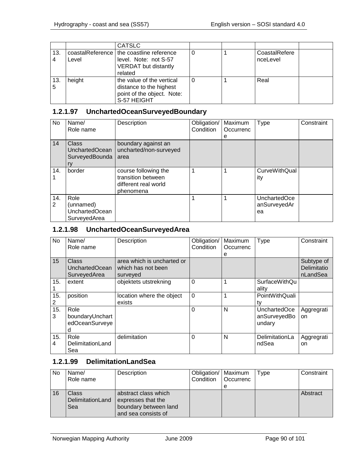|          |        | <b>CATSLC</b>                                                                                                 |  |                           |  |
|----------|--------|---------------------------------------------------------------------------------------------------------------|--|---------------------------|--|
| 13.<br>4 | Level  | coastalReference   the coastline reference<br>level. Note: not S-57<br><b>VERDAT</b> but distantly<br>related |  | CoastalRefere<br>nceLevel |  |
| 13.<br>5 | height | the value of the vertical<br>distance to the highest<br>point of the object. Note:<br>S-57 HEIGHT             |  | Real                      |  |

## **1.2.1.97 UnchartedOceanSurveyedBoundary**

| No                    | Name/<br>Role name                                         | Description                                                                     | Obligation/<br>Condition | Maximum<br>Occurrenc<br>е | <b>Type</b>                        | Constraint |
|-----------------------|------------------------------------------------------------|---------------------------------------------------------------------------------|--------------------------|---------------------------|------------------------------------|------------|
| 14                    | Class<br>UnchartedOcean<br>SurveyedBounda                  | boundary against an<br>uncharted/non-surveyed<br>area                           |                          |                           |                                    |            |
| 14.                   | border                                                     | course following the<br>transition between<br>different real world<br>phenomena |                          |                           | <b>CurveWithQual</b><br>ity        |            |
| 14.<br>$\overline{2}$ | Role<br>(unnamed)<br><b>UnchartedOcean</b><br>SurveyedArea |                                                                                 |                          |                           | UnchartedOce<br>anSurveyedAr<br>ea |            |

## **1.2.1.98 UnchartedOceanSurveyedArea**

| No       | Name/<br>Role name                             | Description                                                  | Obligation/<br>Condition | Maximum<br>Occurrenc<br>е | <b>Type</b>                            | Constraint                            |
|----------|------------------------------------------------|--------------------------------------------------------------|--------------------------|---------------------------|----------------------------------------|---------------------------------------|
| 15       | Class<br><b>UnchartedOcean</b><br>SurveyedArea | area which is uncharted or<br>which has not been<br>surveyed |                          |                           |                                        | Subtype of<br>Delimitatio<br>nLandSea |
| 15.      | extent                                         | objektets utstrekning                                        | 0                        |                           | <b>SurfaceWithQu</b><br>ality          |                                       |
| 15.<br>2 | position                                       | location where the object<br>exists                          | $\Omega$                 |                           | PointWithQuali<br>tv                   |                                       |
| 15.<br>3 | Role<br>boundaryUnchart<br>edOceanSurveye<br>d |                                                              | 0                        | N                         | UnchartedOce<br>anSurveyedBo<br>undary | Aggregrati<br>on                      |
| 15.<br>4 | Role<br>DelimitationLand<br>Sea                | delimitation                                                 | 0                        | N                         | DelimitationLa<br>ndSea                | Aggregrati<br>on                      |

## **1.2.1.99 DelimitationLandSea**

| No | Name/            | Description           | Obligation/   Maximum |             | Type | Constraint |
|----|------------------|-----------------------|-----------------------|-------------|------|------------|
|    | Role name        |                       | Condition             | l Occurrenc |      |            |
|    |                  |                       |                       | е           |      |            |
| 16 | Class            | abstract class which  |                       |             |      | Abstract   |
|    | DelimitationLand | expresses that the    |                       |             |      |            |
|    | Sea              | boundary between land |                       |             |      |            |
|    |                  | and sea consists of   |                       |             |      |            |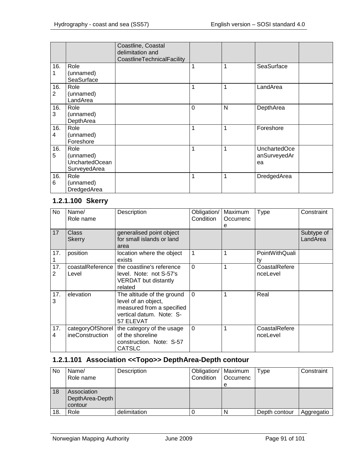|                       |                                                            | Coastline, Coastal<br>delimitation and<br>CoastlineTechnicalFacility |              |                |                                           |  |
|-----------------------|------------------------------------------------------------|----------------------------------------------------------------------|--------------|----------------|-------------------------------------------|--|
| 16.                   | Role<br>(unnamed)<br>SeaSurface                            |                                                                      | 1            | 1              | SeaSurface                                |  |
| 16.<br>$\overline{2}$ | Role<br>(unnamed)<br>LandArea                              |                                                                      | 1            | 1              | LandArea                                  |  |
| 16.<br>3              | Role<br>(unnamed)<br>DepthArea                             |                                                                      | $\Omega$     | N              | DepthArea                                 |  |
| 16.<br>4              | Role<br>(unnamed)<br>Foreshore                             |                                                                      | $\mathbf{1}$ | $\overline{1}$ | Foreshore                                 |  |
| 16.<br>5              | Role<br>(unnamed)<br><b>UnchartedOcean</b><br>SurveyedArea |                                                                      | 1            | 1              | <b>UnchartedOce</b><br>anSurveyedAr<br>ea |  |
| 16.<br>6              | Role<br>(unnamed)<br>DredgedArea                           |                                                                      | 1            | 1              | DredgedArea                               |  |

# **1.2.1.100 Skerry**

| No.      | Name/<br>Role name                         | Description                                                                                                             | Obligation/<br>Condition | Maximum<br>Occurrenc<br>e | <b>Type</b>               | Constraint             |
|----------|--------------------------------------------|-------------------------------------------------------------------------------------------------------------------------|--------------------------|---------------------------|---------------------------|------------------------|
| 17       | Class<br><b>Skerry</b>                     | generalised point object<br>for small islands or land<br>area                                                           |                          |                           |                           | Subtype of<br>LandArea |
| 17.      | position                                   | location where the object<br>exists                                                                                     | $\mathbf{1}$             | 1                         | PointWithQuali<br>tv      |                        |
| 17.<br>2 | coastalReference<br>Level                  | the coastline's reference<br>level. Note: not S-57's<br><b>VERDAT</b> but distantly<br>related                          | $\Omega$                 | 1                         | CoastalRefere<br>nceLevel |                        |
| 17.<br>3 | elevation                                  | The altitude of the ground<br>level of an object,<br>measured from a specified<br>vertical datum. Note: S-<br>57 ELEVAT | $\Omega$                 | 1                         | Real                      |                        |
| 17.<br>4 | categoryOfShorel<br><i>ineConstruction</i> | the category of the usage<br>of the shoreline<br>construction. Note: S-57<br><b>CATSLC</b>                              | $\Omega$                 | 1                         | CoastalRefere<br>nceLevel |                        |

## **1.2.1.101 Association <<Topo>> DepthArea-Depth contour**

| No  | Name/<br>Role name                        | Description  | Obligation/   Maximum<br>Condition | Occurrenc | Type          | Constraint |
|-----|-------------------------------------------|--------------|------------------------------------|-----------|---------------|------------|
|     |                                           |              |                                    | e         |               |            |
| 18  | Association<br>DepthArea-Depth<br>contour |              |                                    |           |               |            |
| 18. | Role                                      | delimitation |                                    |           | Depth contour | Aggregatio |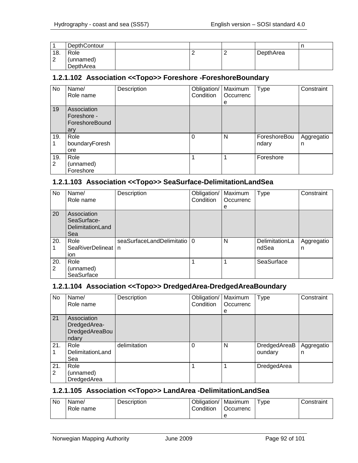|          | DepthContour |  |           |  |
|----------|--------------|--|-----------|--|
| 18.<br>ົ | Role         |  | DepthArea |  |
| ∠        | (unnamed)    |  |           |  |
|          | DepthArea    |  |           |  |

### **1.2.1.102 Association <<Topo>> Foreshore -ForeshoreBoundary**

| No  | Name/          | Description | Obligation/ | Maximum   | <b>Type</b>  | Constraint |
|-----|----------------|-------------|-------------|-----------|--------------|------------|
|     | Role name      |             | Condition   | Occurrenc |              |            |
|     |                |             |             | е         |              |            |
| 19  | Association    |             |             |           |              |            |
|     | Foreshore -    |             |             |           |              |            |
|     | ForeshoreBound |             |             |           |              |            |
|     | ary            |             |             |           |              |            |
| 19. | Role           |             | 0           | N         | ForeshoreBou | Aggregatio |
|     | boundaryForesh |             |             |           | ndary        | n          |
|     | ore            |             |             |           |              |            |
| 19. | Role           |             |             |           | Foreshore    |            |
| 2   | (unnamed)      |             |             |           |              |            |
|     | Foreshore      |             |             |           |              |            |

### **1.2.1.103 Association <<Topo>> SeaSurface-DelimitationLandSea**

| No.      | Name/<br>Role name                                    | Description                   | Obligation/<br>Condition | Maximum<br>Occurrenc<br>e | Type                    | Constraint      |
|----------|-------------------------------------------------------|-------------------------------|--------------------------|---------------------------|-------------------------|-----------------|
| 20       | Association<br>SeaSurface-<br>DelimitationLand<br>Sea |                               |                          |                           |                         |                 |
| 20.      | Role<br>SeaRiverDelineat   n<br>ion                   | seaSurfaceLandDelimitatio   0 |                          | N                         | DelimitationLa<br>ndSea | Aggregatio<br>n |
| 20.<br>2 | Role<br>(unnamed)<br>SeaSurface                       |                               |                          |                           | SeaSurface              |                 |

## **1.2.1.104 Association <<Topo>> DredgedArea-DredgedAreaBoundary**

| No       | Name/<br>Role name                                     | Description  | Obligation/<br>Condition | Maximum<br>Occurrenc<br>е | Type                    | Constraint      |
|----------|--------------------------------------------------------|--------------|--------------------------|---------------------------|-------------------------|-----------------|
| 21       | Association<br>DredgedArea-<br>DredgedAreaBou<br>ndary |              |                          |                           |                         |                 |
| 21.      | Role<br><b>DelimitationLand</b><br>Sea                 | delimitation | $\Omega$                 | N                         | DredgedAreaB<br>oundary | Aggregatio<br>n |
| 21.<br>2 | Role<br>(unnamed)<br>DredgedArea                       |              | 1                        |                           | DredgedArea             |                 |

## **1.2.1.105 Association <<Topo>> LandArea -DelimitationLandSea**

| No | Name/<br>Role name | <b>Description</b> | Obligation/<br>Condition | '   Maximum<br>Occurrenc | vpe <sup>-</sup> | Constraint |
|----|--------------------|--------------------|--------------------------|--------------------------|------------------|------------|
|    |                    |                    |                          |                          |                  |            |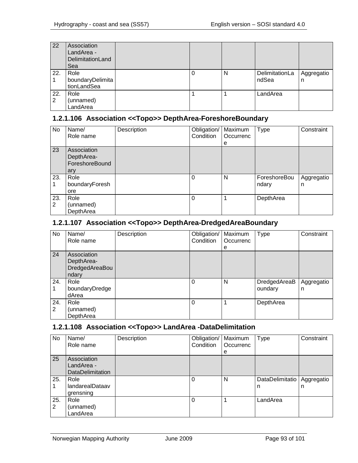| 22       | Association<br>LandArea -<br>DelimitationLand<br>Sea |  |   |                         |                 |
|----------|------------------------------------------------------|--|---|-------------------------|-----------------|
| 22.      | Role<br>boundaryDelimita<br>tionLandSea              |  | N | DelimitationLa<br>ndSea | Aggregatio<br>n |
| 22.<br>2 | Role<br>(unnamed)<br>LandArea                        |  |   | LandArea                |                 |

# **1.2.1.106 Association <<Topo>> DepthArea-ForeshoreBoundary**

| No. | Name/          | Description | Obligation/ | Maximum   | Type         | Constraint |
|-----|----------------|-------------|-------------|-----------|--------------|------------|
|     | Role name      |             | Condition   | Occurrenc |              |            |
|     |                |             |             | е         |              |            |
| 23  | Association    |             |             |           |              |            |
|     | DepthArea-     |             |             |           |              |            |
|     | ForeshoreBound |             |             |           |              |            |
|     | ary            |             |             |           |              |            |
| 23. | Role           |             | 0           | N         | ForeshoreBou | Aggregatio |
|     | boundaryForesh |             |             |           | ndary        | n          |
|     | ore            |             |             |           |              |            |
| 23. | Role           |             | 0           |           | DepthArea    |            |
| 2   | (unnamed)      |             |             |           |              |            |
|     | DepthArea      |             |             |           |              |            |

### **1.2.1.107 Association <<Topo>> DepthArea-DredgedAreaBoundary**

| No       | Name/<br>Role name                                   | Description | Obligation/   Maximum<br>Condition | Occurrenc | Type                    | Constraint      |
|----------|------------------------------------------------------|-------------|------------------------------------|-----------|-------------------------|-----------------|
|          |                                                      |             |                                    | e         |                         |                 |
| 24       | Association<br>DepthArea-<br>DredgedAreaBou<br>ndary |             |                                    |           |                         |                 |
| 24.      | Role<br>boundaryDredge<br>dArea                      |             | $\Omega$                           | N         | DredgedAreaB<br>oundary | Aggregatio<br>n |
| 24.<br>2 | Role<br>(unnamed)<br>DepthArea                       |             | $\Omega$                           | 1         | DepthArea               |                 |

### **1.2.1.108 Association <<Topo>> LandArea -DataDelimitation**

| No       | Name/<br>Role name                                   | Description | Obligation/<br>Condition | Maximum<br>Occurrenc<br>е | <b>Type</b>          | Constraint      |
|----------|------------------------------------------------------|-------------|--------------------------|---------------------------|----------------------|-----------------|
| 25       | Association<br>LandArea -<br><b>DataDelimitation</b> |             |                          |                           |                      |                 |
| 25.      | Role<br>landarealDataav<br>grensning                 |             | 0                        | N                         | DataDelimitatio<br>n | Aggregatio<br>n |
| 25.<br>2 | Role<br>(unnamed)<br>LandArea                        |             | $\Omega$                 |                           | LandArea             |                 |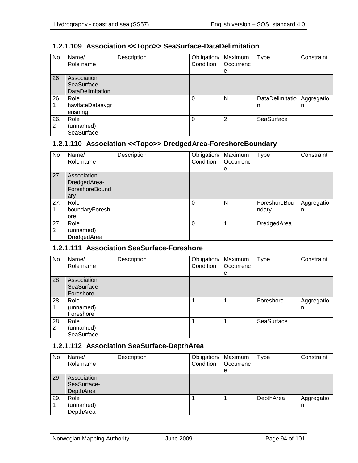| 1.2.1.109 Association << Topo>> SeaSurface-DataDelimitation |  |
|-------------------------------------------------------------|--|
|                                                             |  |

| No       | Name/<br>Role name                                    | Description | Obligation/<br>Condition | Maximum<br>Occurrenc | Type                 | Constraint      |
|----------|-------------------------------------------------------|-------------|--------------------------|----------------------|----------------------|-----------------|
| 26       | Association<br>SeaSurface-<br><b>DataDelimitation</b> |             |                          | е                    |                      |                 |
| 26.      | Role<br>havflateDataavgr<br>ensning                   |             |                          | N                    | DataDelimitatio<br>n | Aggregatio<br>n |
| 26.<br>2 | Role<br>(unnamed)<br>SeaSurface                       |             |                          | 2                    | SeaSurface           |                 |

## **1.2.1.110 Association <<Topo>> DredgedArea-ForeshoreBoundary**

| No       | Name/<br>Role name                                   | Description | Obligation/<br>Condition | Maximum<br>Occurrenc<br>е | <b>Type</b>           | Constraint      |
|----------|------------------------------------------------------|-------------|--------------------------|---------------------------|-----------------------|-----------------|
| 27       | Association<br>DredgedArea-<br>ForeshoreBound<br>ary |             |                          |                           |                       |                 |
| 27.      | Role<br>boundaryForesh<br>ore                        |             | 0                        | N                         | ForeshoreBou<br>ndary | Aggregatio<br>n |
| 27.<br>2 | Role<br>(unnamed)<br>DredgedArea                     |             | $\Omega$                 |                           | DredgedArea           |                 |

## **1.2.1.111 Association SeaSurface-Foreshore**

| No  | Name/       | Description | Obligation/ | Maximum   | Type       | Constraint |
|-----|-------------|-------------|-------------|-----------|------------|------------|
|     | Role name   |             | Condition   | Occurrenc |            |            |
|     |             |             |             | е         |            |            |
| 28  | Association |             |             |           |            |            |
|     | SeaSurface- |             |             |           |            |            |
|     | Foreshore   |             |             |           |            |            |
| 28. | Role        |             |             |           | Foreshore  | Aggregatio |
|     | (unnamed)   |             |             |           |            | n          |
|     | Foreshore   |             |             |           |            |            |
| 28. | Role        |             |             |           | SeaSurface |            |
| 2   | (unnamed)   |             |             |           |            |            |
|     | SeaSurface  |             |             |           |            |            |

# **1.2.1.112 Association SeaSurface-DepthArea**

| No  | Name/<br>Role name                      | Description | Obligation/   Maximum<br>Condition | <b>Occurrenc</b><br>e | Type      | Constraint      |
|-----|-----------------------------------------|-------------|------------------------------------|-----------------------|-----------|-----------------|
| 29  | Association<br>SeaSurface-<br>DepthArea |             |                                    |                       |           |                 |
| 29. | Role<br>(unnamed)<br>DepthArea          |             |                                    |                       | DepthArea | Aggregatio<br>n |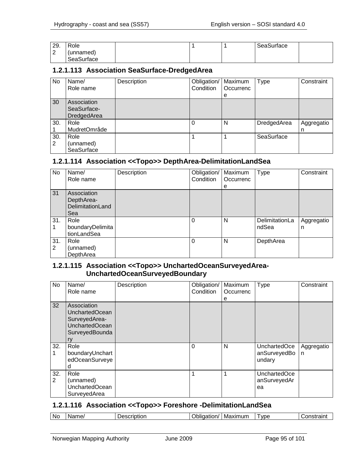| 29.    | Role       |  | SeaSurface |  |
|--------|------------|--|------------|--|
| ⌒<br>▵ | (unnamed)  |  |            |  |
|        | SeaSurface |  |            |  |

#### **1.2.1.113 Association SeaSurface-DredgedArea**

| No       | Name/<br>Role name                        | Description | Obligation/<br>Condition | Maximum<br>Occurrenc<br>е | Type        | Constraint      |
|----------|-------------------------------------------|-------------|--------------------------|---------------------------|-------------|-----------------|
| 30       | Association<br>SeaSurface-<br>DredgedArea |             |                          |                           |             |                 |
| 30.      | Role<br>MudretOmråde                      |             |                          | N                         | DredgedArea | Aggregatio<br>n |
| 30.<br>2 | Role<br>(unnamed)<br>SeaSurface           |             |                          |                           | SeaSurface  |                 |

### **1.2.1.114 Association <<Topo>> DepthArea-DelimitationLandSea**

| No  | Name/                   | Description | Obligation/ | Maximum   | <b>Type</b>    | Constraint |
|-----|-------------------------|-------------|-------------|-----------|----------------|------------|
|     | Role name               |             | Condition   | Occurrenc |                |            |
|     |                         |             |             | е         |                |            |
| 31  | Association             |             |             |           |                |            |
|     | DepthArea-              |             |             |           |                |            |
|     | <b>DelimitationLand</b> |             |             |           |                |            |
|     | Sea                     |             |             |           |                |            |
| 31. | Role                    |             | 0           | N         | DelimitationLa | Aggregatio |
|     | boundaryDelimita        |             |             |           | ndSea          | n          |
|     | tionLandSea             |             |             |           |                |            |
| 31. | Role                    |             | 0           | N         | DepthArea      |            |
| 2   | (unnamed)               |             |             |           |                |            |
|     | DepthArea               |             |             |           |                |            |

#### **1.2.1.115 Association <<Topo>> UnchartedOceanSurveyedArea-UnchartedOceanSurveyedBoundary**

| No       | Name/<br>Role name                                                                                     | Description | Obligation/<br>Condition | Maximum<br>Occurrenc<br>е | Type                                      | Constraint      |
|----------|--------------------------------------------------------------------------------------------------------|-------------|--------------------------|---------------------------|-------------------------------------------|-----------------|
| 32       | Association<br><b>UnchartedOcean</b><br>SurveyedArea-<br><b>UnchartedOcean</b><br>SurveyedBounda<br>ry |             |                          |                           |                                           |                 |
| 32.      | Role<br>boundaryUnchart<br>edOceanSurveye<br>d                                                         |             | 0                        | N                         | UnchartedOce<br>anSurveyedBo<br>undary    | Aggregatio<br>n |
| 32.<br>2 | Role<br>(unnamed)<br><b>UnchartedOcean</b><br>SurveyedArea                                             |             |                          |                           | <b>UnchartedOce</b><br>anSurveyedAr<br>ea |                 |

#### **1.2.1.116 Association <<Topo>> Foreshore -DelimitationLandSea**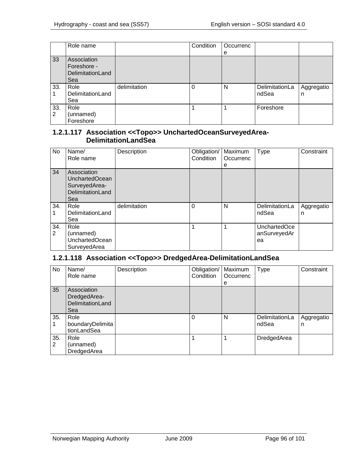|     | Role name               |              | Condition | Occurrenc |                |            |
|-----|-------------------------|--------------|-----------|-----------|----------------|------------|
|     |                         |              |           | е         |                |            |
| 33  | Association             |              |           |           |                |            |
|     | Foreshore -             |              |           |           |                |            |
|     | DelimitationLand        |              |           |           |                |            |
|     | Sea                     |              |           |           |                |            |
| 33. | Role                    | delimitation | 0         | N         | DelimitationLa | Aggregatio |
|     | <b>DelimitationLand</b> |              |           |           | ndSea          | n          |
|     | Sea                     |              |           |           |                |            |
| 33. | Role                    |              |           |           | Foreshore      |            |
| 2   | (unnamed)               |              |           |           |                |            |
|     | Foreshore               |              |           |           |                |            |

### **1.2.1.117 Association <<Topo>> UnchartedOceanSurveyedArea-DelimitationLandSea**

| No       | Name/<br>Role name                                                                      | Description  | Obligation/<br>Condition | Maximum<br>Occurrenc<br>е | <b>Type</b>                        | Constraint      |
|----------|-----------------------------------------------------------------------------------------|--------------|--------------------------|---------------------------|------------------------------------|-----------------|
| 34       | Association<br><b>UnchartedOcean</b><br>SurveyedArea-<br><b>DelimitationLand</b><br>Sea |              |                          |                           |                                    |                 |
| 34.      | Role<br><b>DelimitationLand</b><br>Sea                                                  | delimitation | 0                        | N                         | DelimitationLa<br>ndSea            | Aggregatio<br>n |
| 34.<br>2 | Role<br>(unnamed)<br><b>UnchartedOcean</b><br>SurveyedArea                              |              |                          |                           | UnchartedOce<br>anSurveyedAr<br>ea |                 |

## **1.2.1.118 Association <<Topo>> DredgedArea-DelimitationLandSea**

| No       | Name/<br>Role name                                     | Description | Obligation/<br>Condition | Maximum<br>Occurrenc<br>е | Type                    | Constraint      |
|----------|--------------------------------------------------------|-------------|--------------------------|---------------------------|-------------------------|-----------------|
| 35       | Association<br>DredgedArea-<br>DelimitationLand<br>Sea |             |                          |                           |                         |                 |
| 35.      | Role<br>boundaryDelimita<br>tionLandSea                |             | $\Omega$                 | N                         | DelimitationLa<br>ndSea | Aggregatio<br>n |
| 35.<br>2 | Role<br>(unnamed)<br>DredgedArea                       |             |                          |                           | DredgedArea             |                 |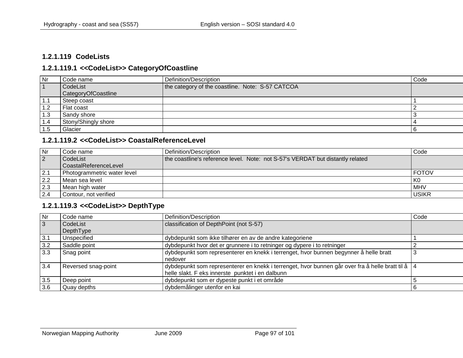#### **1.2.1.119 CodeLists**

### **1.2.1.119.1 <<CodeList>> CategoryOfCoastline**

| $\overline{\mathsf{N}}$ r | Code name           | Definition/Description                           | Code |
|---------------------------|---------------------|--------------------------------------------------|------|
| $\overline{1}$            | CodeList            | the category of the coastline. Note: S-57 CATCOA |      |
|                           | CategoryOfCoastline |                                                  |      |
| 1.1                       | Steep coast         |                                                  |      |
| 1.2                       | Flat coast          |                                                  |      |
| 1.3                       | Sandy shore         |                                                  |      |
| 1.4                       | Stony/Shingly shore |                                                  |      |
| 1.5                       | Glacier             |                                                  |      |

### **1.2.1.119.2 <<CodeList>> CoastalReferenceLevel**

| <b>Nr</b>      | Code name                   | Definition/Description                                                         | Code         |
|----------------|-----------------------------|--------------------------------------------------------------------------------|--------------|
| $\overline{2}$ | CodeList                    | the coastline's reference level. Note: not S-57's VERDAT but distantly related |              |
|                | CoastalReferenceLevel       |                                                                                |              |
| 2.1            | Photogrammetric water level |                                                                                | <b>FOTOV</b> |
| 2.2            | Mean sea level              |                                                                                | ' K0         |
| 2.3            | Mean high water             |                                                                                | <b>MHV</b>   |
| 2.4            | Contour, not verified       |                                                                                | <b>USIKR</b> |

### **1.2.1.119.3 <<CodeList>> DepthType**

| <b>Nr</b> | Code name           | Definition/Description                                                                             | Code |
|-----------|---------------------|----------------------------------------------------------------------------------------------------|------|
| 3         | CodeList            | classification of DepthPoint (not S-57)                                                            |      |
|           | DepthType           |                                                                                                    |      |
| 3.1       | Unspecified         | dybdepunkt som ikke tilhører en av de andre kategoriene                                            |      |
| 3.2       | Saddle point        | dybdepunkt hvor det er grunnere i to retninger og dypere i to retninger                            |      |
| 3.3       | Snag point          | dybdepunkt som representerer en knekk i terrenget, hvor bunnen begynner å helle bratt              |      |
|           |                     | nedover                                                                                            |      |
| 3.4       | Reversed snag-point | dybdepunkt som representerer en knekk i terrenget, hvor bunnen går over fra å helle bratt til å  4 |      |
|           |                     | helle slakt. F eks innerste punktet i en dalbunn                                                   |      |
| 3.5       | Deep point          | dybdepunkt som er dypeste punkt i et område                                                        |      |
| 3.6       | Quay depths         | dybdemålinger utenfor en kai                                                                       |      |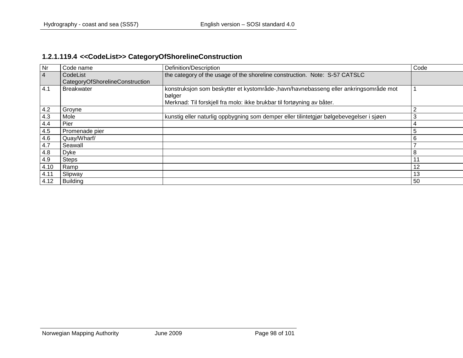# **1.2.1.119.4 <<CodeList>> CategoryOfShorelineConstruction**

| Nr             | Code name                                   | Definition/Description                                                                                                                                                    | Code |
|----------------|---------------------------------------------|---------------------------------------------------------------------------------------------------------------------------------------------------------------------------|------|
| $\overline{4}$ | CodeList<br>CategoryOfShorelineConstruction | the category of the usage of the shoreline construction. Note: S-57 CATSLC                                                                                                |      |
| 4.1            | <b>Breakwater</b>                           | konstruksjon som beskytter et kystområde-, havn/havnebasseng eller ankringsområde mot<br>bølger<br>Merknad: Til forskjell fra molo: ikke brukbar til fortøyning av båter. |      |
| 4.2            | Groyne                                      |                                                                                                                                                                           |      |
| 4.3            | Mole                                        | kunstig eller naturlig oppbygning som demper eller tilintetgjør bølgebevegelser i sjøen                                                                                   | 3    |
| 4.4            | Pier                                        |                                                                                                                                                                           | 4    |
| 4.5            | Promenade pier                              |                                                                                                                                                                           | 5    |
| 4.6            | Quay/Wharf/                                 |                                                                                                                                                                           | 6    |
| 4.7            | Seawall                                     |                                                                                                                                                                           |      |
| 4.8            | Dyke                                        |                                                                                                                                                                           | 8    |
| 4.9            | <b>Steps</b>                                |                                                                                                                                                                           |      |
| 4.10           | Ramp                                        |                                                                                                                                                                           | 12   |
| 4.11           | Slipway                                     |                                                                                                                                                                           | 13   |
| 4.12           | Building                                    |                                                                                                                                                                           | 50   |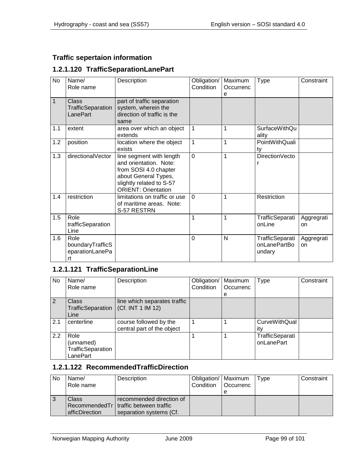### **Traffic sepertaion information**

## **1.2.1.120 TrafficSeparationLanePart**

| <b>No</b>    | Name/<br>Role name                                | Description                                                                                                                                                   | Obligation/<br>Condition | Maximum<br>Occurrenc<br>e | Type                                      | Constraint       |
|--------------|---------------------------------------------------|---------------------------------------------------------------------------------------------------------------------------------------------------------------|--------------------------|---------------------------|-------------------------------------------|------------------|
| $\mathbf{1}$ | Class<br>TrafficSeparation<br>LanePart            | part of traffic separation<br>system, wherein the<br>direction of traffic is the<br>same                                                                      |                          |                           |                                           |                  |
| 1.1          | extent                                            | area over which an object<br>extends                                                                                                                          | 1                        | 1                         | SurfaceWithQu<br>ality                    |                  |
| 1.2          | position                                          | location where the object<br>exists                                                                                                                           | 1                        | 1                         | PointWithQuali<br>tv                      |                  |
| 1.3          | directionalVector                                 | line segment with length<br>and orientation. Note:<br>from SOSI 4.0 chapter<br>about General Types,<br>slightly related to S-57<br><b>ORIENT: Orientation</b> | $\overline{0}$           | 1                         | DirectionVecto                            |                  |
| 1.4          | restriction                                       | limitations on traffic or use<br>of maritime areas. Note:<br>S-57 RESTRN                                                                                      | $\mathbf 0$              | 1                         | Restriction                               |                  |
| 1.5          | Role<br>trafficSeparation<br>Line                 |                                                                                                                                                               | 1                        | 1                         | TrafficSeparati<br>onLine                 | Aggregrati<br>on |
| 1.6          | Role<br>boundaryTrafficS<br>eparationLanePa<br>rt |                                                                                                                                                               | 0                        | N                         | TrafficSeparati<br>onLanePartBo<br>undary | Aggregrati<br>on |

## **1.2.1.121 TrafficSeparationLine**

| No. | Name/<br>Role name                                 | Description                                          | Obligation/<br>Condition | Maximum<br>Occurrenc | <b>Type</b>                   | Constraint |
|-----|----------------------------------------------------|------------------------------------------------------|--------------------------|----------------------|-------------------------------|------------|
|     |                                                    |                                                      |                          | е                    |                               |            |
| 2   | <b>Class</b><br>TrafficSeparation<br>Line          | line which separates traffic<br>(Cf. INT 1 IM 12)    |                          |                      |                               |            |
| 2.1 | centerline                                         | course followed by the<br>central part of the object |                          |                      | <b>CurveWithQual</b><br>itv   |            |
| 2.2 | Role<br>(unnamed)<br>TrafficSeparation<br>LanePart |                                                      |                          |                      | TrafficSeparati<br>onLanePart |            |

## **1.2.1.122 RecommendedTrafficDirection**

| No | Name/          | Description                              | Obligation/   Maximum | Type | Constraint |
|----|----------------|------------------------------------------|-----------------------|------|------------|
|    | Role name      |                                          | Condition   Occurrenc |      |            |
|    |                |                                          |                       |      |            |
| 3  | Class          | recommended direction of                 |                       |      |            |
|    |                | Recommended Tr   traffic between traffic |                       |      |            |
|    | afficDirection | separation systems (Cf.                  |                       |      |            |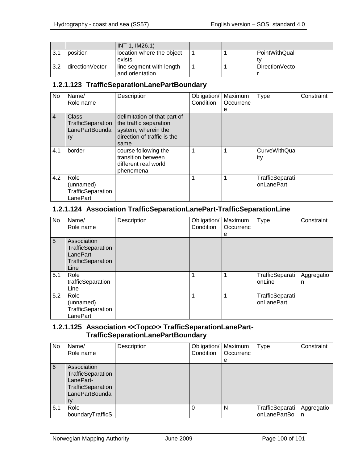|      |                 | INT 1, IM26.1)            |  |                 |  |
|------|-----------------|---------------------------|--|-----------------|--|
| 13.1 | position        | location where the object |  | PointWithQuali  |  |
|      |                 | exists                    |  |                 |  |
| 3.2  | directionVector | line segment with length  |  | Direction Vecto |  |
|      |                 | and orientation           |  |                 |  |

## **1.2.1.123 TrafficSeparationLanePartBoundary**

| <b>No</b>      | Name/<br>Role name                                 | Description                                                                                                          | Obligation/<br>Condition | Maximum<br>Occurrenc<br>e | Type                          | Constraint |
|----------------|----------------------------------------------------|----------------------------------------------------------------------------------------------------------------------|--------------------------|---------------------------|-------------------------------|------------|
| $\overline{4}$ | Class<br>TrafficSeparation<br>LanePartBounda<br>ry | delimitation of that part of<br>the traffic separation<br>system, wherein the<br>direction of traffic is the<br>same |                          |                           |                               |            |
| 4.1            | border                                             | course following the<br>transition between<br>different real world<br>phenomena                                      | 1                        | 1                         | <b>CurveWithQual</b><br>ity   |            |
| 4.2            | Role<br>(unnamed)<br>TrafficSeparation<br>LanePart |                                                                                                                      | 1                        | 1                         | TrafficSeparati<br>onLanePart |            |

### **1.2.1.124 Association TrafficSeparationLanePart-TrafficSeparationLine**

| No  | Name/<br>Role name                                                         | Description | Obligation/<br>Condition | Maximum<br>Occurrenc<br>е | <b>Type</b>                   | Constraint      |
|-----|----------------------------------------------------------------------------|-------------|--------------------------|---------------------------|-------------------------------|-----------------|
| 5   | Association<br>TrafficSeparation<br>LanePart-<br>TrafficSeparation<br>Line |             |                          |                           |                               |                 |
| 5.1 | Role<br>trafficSeparation<br>Line                                          |             | 1                        | 1                         | TrafficSeparati<br>onLine     | Aggregatio<br>n |
| 5.2 | Role<br>(unnamed)<br>TrafficSeparation<br>LanePart                         |             | 1                        | 1                         | TrafficSeparati<br>onLanePart |                 |

### **1.2.1.125 Association <<Topo>> TrafficSeparationLanePart-TrafficSeparationLanePartBoundary**

| No  | Name/<br>Role name                                                                         | Description | Obligation/   Maximum<br>Condition | Occurrenc<br>е | <b>Type</b>                     | Constraint      |
|-----|--------------------------------------------------------------------------------------------|-------------|------------------------------------|----------------|---------------------------------|-----------------|
| 6   | Association<br>TrafficSeparation<br>LanePart-<br>TrafficSeparation<br>LanePartBounda<br>rv |             |                                    |                |                                 |                 |
| 6.1 | Role<br>boundaryTrafficS                                                                   |             |                                    | N              | TrafficSeparati<br>onLanePartBo | Aggregatio<br>n |